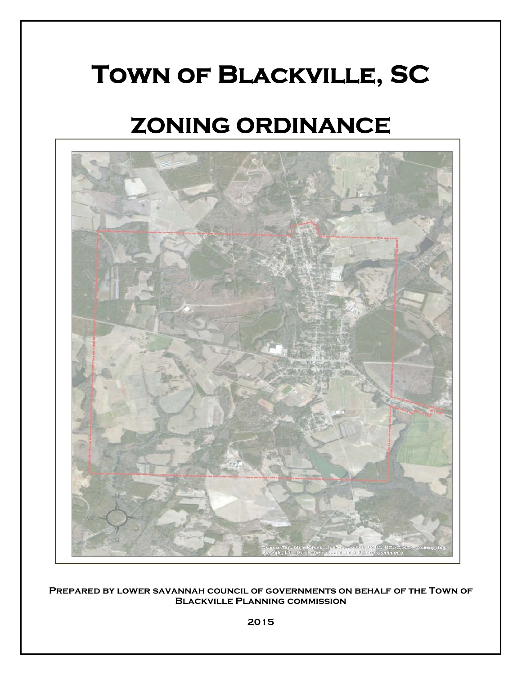# **Town of Blackville, SC**

# **ZONING ORDINANCE**



**Prepared by lower savannah council of governments on behalf of the Town of Blackville Planning commission**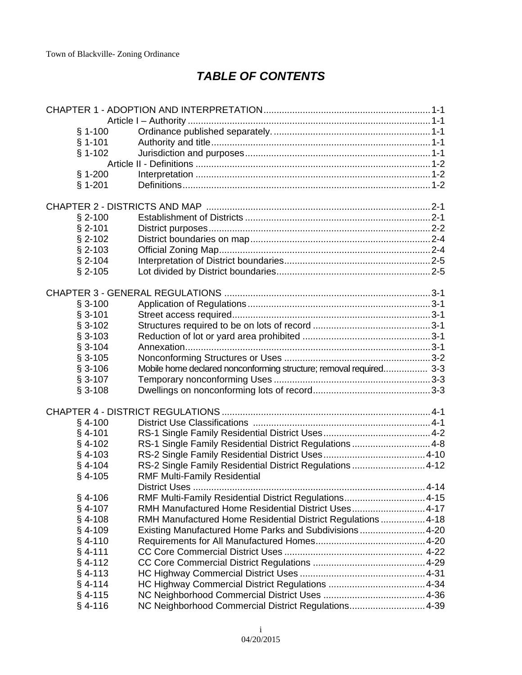### *TABLE OF CONTENTS*

| $§ 1 - 100$<br>$§ 1 - 101$<br>$§ 1 - 102$<br>$§ 1-200$<br>$§ 1 - 201$<br>$§$ 2-100<br>$§$ 2-101<br>$§$ 2-102<br>$§$ 2-103<br>$§$ 2-104<br>$§$ 2-105<br>$§$ 3-100<br>$§$ 3-101<br>$§$ 3-102<br>$§$ 3-103<br>$§$ 3-104<br>$§$ 3-105<br>Mobile home declared nonconforming structure; removal required 3-3<br>$§$ 3-106<br>$§ 3 - 107$<br>$§ 3 - 108$<br>$§$ 4-100<br>$§$ 4-101<br>RS-1 Single Family Residential District Regulations  4-8<br>$§$ 4-102<br>$§$ 4-103<br>RS-2 Single Family Residential District Regulations  4-12<br>$$4-104$<br>$§$ 4-105<br><b>RMF Multi-Family Residential</b><br>RMF Multi-Family Residential District Regulations4-15<br>$§$ 4-106<br>RMH Manufactured Home Residential District Uses4-17<br>$§$ 4-107<br>$§$ 4-108<br>RMH Manufactured Home Residential District Regulations  4-18<br>$§$ 4-109<br>Existing Manufactured Home Parks and Subdivisions4-20<br>$§$ 4-110<br>$§$ 4-111<br>$§$ 4-112<br>$§$ 4-113<br>$§$ 4-114<br>$§$ 4-115 |           |                                                      |  |
|----------------------------------------------------------------------------------------------------------------------------------------------------------------------------------------------------------------------------------------------------------------------------------------------------------------------------------------------------------------------------------------------------------------------------------------------------------------------------------------------------------------------------------------------------------------------------------------------------------------------------------------------------------------------------------------------------------------------------------------------------------------------------------------------------------------------------------------------------------------------------------------------------------------------------------------------------------------------------|-----------|------------------------------------------------------|--|
|                                                                                                                                                                                                                                                                                                                                                                                                                                                                                                                                                                                                                                                                                                                                                                                                                                                                                                                                                                            |           |                                                      |  |
|                                                                                                                                                                                                                                                                                                                                                                                                                                                                                                                                                                                                                                                                                                                                                                                                                                                                                                                                                                            |           |                                                      |  |
|                                                                                                                                                                                                                                                                                                                                                                                                                                                                                                                                                                                                                                                                                                                                                                                                                                                                                                                                                                            |           |                                                      |  |
|                                                                                                                                                                                                                                                                                                                                                                                                                                                                                                                                                                                                                                                                                                                                                                                                                                                                                                                                                                            |           |                                                      |  |
|                                                                                                                                                                                                                                                                                                                                                                                                                                                                                                                                                                                                                                                                                                                                                                                                                                                                                                                                                                            |           |                                                      |  |
|                                                                                                                                                                                                                                                                                                                                                                                                                                                                                                                                                                                                                                                                                                                                                                                                                                                                                                                                                                            |           |                                                      |  |
|                                                                                                                                                                                                                                                                                                                                                                                                                                                                                                                                                                                                                                                                                                                                                                                                                                                                                                                                                                            |           |                                                      |  |
|                                                                                                                                                                                                                                                                                                                                                                                                                                                                                                                                                                                                                                                                                                                                                                                                                                                                                                                                                                            |           |                                                      |  |
|                                                                                                                                                                                                                                                                                                                                                                                                                                                                                                                                                                                                                                                                                                                                                                                                                                                                                                                                                                            |           |                                                      |  |
|                                                                                                                                                                                                                                                                                                                                                                                                                                                                                                                                                                                                                                                                                                                                                                                                                                                                                                                                                                            |           |                                                      |  |
|                                                                                                                                                                                                                                                                                                                                                                                                                                                                                                                                                                                                                                                                                                                                                                                                                                                                                                                                                                            |           |                                                      |  |
|                                                                                                                                                                                                                                                                                                                                                                                                                                                                                                                                                                                                                                                                                                                                                                                                                                                                                                                                                                            |           |                                                      |  |
|                                                                                                                                                                                                                                                                                                                                                                                                                                                                                                                                                                                                                                                                                                                                                                                                                                                                                                                                                                            |           |                                                      |  |
|                                                                                                                                                                                                                                                                                                                                                                                                                                                                                                                                                                                                                                                                                                                                                                                                                                                                                                                                                                            |           |                                                      |  |
|                                                                                                                                                                                                                                                                                                                                                                                                                                                                                                                                                                                                                                                                                                                                                                                                                                                                                                                                                                            |           |                                                      |  |
|                                                                                                                                                                                                                                                                                                                                                                                                                                                                                                                                                                                                                                                                                                                                                                                                                                                                                                                                                                            |           |                                                      |  |
|                                                                                                                                                                                                                                                                                                                                                                                                                                                                                                                                                                                                                                                                                                                                                                                                                                                                                                                                                                            |           |                                                      |  |
|                                                                                                                                                                                                                                                                                                                                                                                                                                                                                                                                                                                                                                                                                                                                                                                                                                                                                                                                                                            |           |                                                      |  |
|                                                                                                                                                                                                                                                                                                                                                                                                                                                                                                                                                                                                                                                                                                                                                                                                                                                                                                                                                                            |           |                                                      |  |
|                                                                                                                                                                                                                                                                                                                                                                                                                                                                                                                                                                                                                                                                                                                                                                                                                                                                                                                                                                            |           |                                                      |  |
|                                                                                                                                                                                                                                                                                                                                                                                                                                                                                                                                                                                                                                                                                                                                                                                                                                                                                                                                                                            |           |                                                      |  |
|                                                                                                                                                                                                                                                                                                                                                                                                                                                                                                                                                                                                                                                                                                                                                                                                                                                                                                                                                                            |           |                                                      |  |
|                                                                                                                                                                                                                                                                                                                                                                                                                                                                                                                                                                                                                                                                                                                                                                                                                                                                                                                                                                            |           |                                                      |  |
|                                                                                                                                                                                                                                                                                                                                                                                                                                                                                                                                                                                                                                                                                                                                                                                                                                                                                                                                                                            |           |                                                      |  |
|                                                                                                                                                                                                                                                                                                                                                                                                                                                                                                                                                                                                                                                                                                                                                                                                                                                                                                                                                                            |           |                                                      |  |
|                                                                                                                                                                                                                                                                                                                                                                                                                                                                                                                                                                                                                                                                                                                                                                                                                                                                                                                                                                            |           |                                                      |  |
|                                                                                                                                                                                                                                                                                                                                                                                                                                                                                                                                                                                                                                                                                                                                                                                                                                                                                                                                                                            |           |                                                      |  |
|                                                                                                                                                                                                                                                                                                                                                                                                                                                                                                                                                                                                                                                                                                                                                                                                                                                                                                                                                                            |           |                                                      |  |
|                                                                                                                                                                                                                                                                                                                                                                                                                                                                                                                                                                                                                                                                                                                                                                                                                                                                                                                                                                            |           |                                                      |  |
|                                                                                                                                                                                                                                                                                                                                                                                                                                                                                                                                                                                                                                                                                                                                                                                                                                                                                                                                                                            |           |                                                      |  |
|                                                                                                                                                                                                                                                                                                                                                                                                                                                                                                                                                                                                                                                                                                                                                                                                                                                                                                                                                                            |           |                                                      |  |
|                                                                                                                                                                                                                                                                                                                                                                                                                                                                                                                                                                                                                                                                                                                                                                                                                                                                                                                                                                            |           |                                                      |  |
|                                                                                                                                                                                                                                                                                                                                                                                                                                                                                                                                                                                                                                                                                                                                                                                                                                                                                                                                                                            |           |                                                      |  |
|                                                                                                                                                                                                                                                                                                                                                                                                                                                                                                                                                                                                                                                                                                                                                                                                                                                                                                                                                                            |           |                                                      |  |
|                                                                                                                                                                                                                                                                                                                                                                                                                                                                                                                                                                                                                                                                                                                                                                                                                                                                                                                                                                            |           |                                                      |  |
|                                                                                                                                                                                                                                                                                                                                                                                                                                                                                                                                                                                                                                                                                                                                                                                                                                                                                                                                                                            |           |                                                      |  |
|                                                                                                                                                                                                                                                                                                                                                                                                                                                                                                                                                                                                                                                                                                                                                                                                                                                                                                                                                                            |           |                                                      |  |
|                                                                                                                                                                                                                                                                                                                                                                                                                                                                                                                                                                                                                                                                                                                                                                                                                                                                                                                                                                            |           |                                                      |  |
|                                                                                                                                                                                                                                                                                                                                                                                                                                                                                                                                                                                                                                                                                                                                                                                                                                                                                                                                                                            |           |                                                      |  |
|                                                                                                                                                                                                                                                                                                                                                                                                                                                                                                                                                                                                                                                                                                                                                                                                                                                                                                                                                                            |           |                                                      |  |
|                                                                                                                                                                                                                                                                                                                                                                                                                                                                                                                                                                                                                                                                                                                                                                                                                                                                                                                                                                            |           |                                                      |  |
|                                                                                                                                                                                                                                                                                                                                                                                                                                                                                                                                                                                                                                                                                                                                                                                                                                                                                                                                                                            |           |                                                      |  |
|                                                                                                                                                                                                                                                                                                                                                                                                                                                                                                                                                                                                                                                                                                                                                                                                                                                                                                                                                                            | $§$ 4-116 | NC Neighborhood Commercial District Regulations 4-39 |  |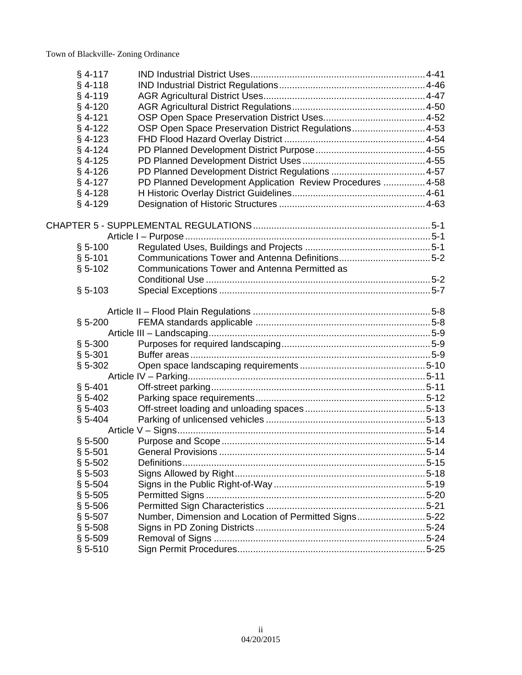| $§$ 4-117   |                                                            |  |
|-------------|------------------------------------------------------------|--|
| $§$ 4-118   |                                                            |  |
| $§$ 4-119   |                                                            |  |
| $§$ 4-120   |                                                            |  |
| $§$ 4-121   |                                                            |  |
| $§$ 4-122   | OSP Open Space Preservation District Regulations 4-53      |  |
| $§$ 4-123   |                                                            |  |
| $§$ 4-124   |                                                            |  |
| $§$ 4-125   |                                                            |  |
| $§$ 4-126   |                                                            |  |
| $§$ 4-127   | PD Planned Development Application Review Procedures  4-58 |  |
| $§$ 4-128   |                                                            |  |
| $§$ 4-129   |                                                            |  |
|             |                                                            |  |
|             |                                                            |  |
| $§ 5 - 100$ |                                                            |  |
| $§ 5 - 101$ |                                                            |  |
| $§ 5 - 102$ | Communications Tower and Antenna Permitted as              |  |
|             |                                                            |  |
| $§ 5 - 103$ |                                                            |  |
|             |                                                            |  |
| $§ 5 - 200$ |                                                            |  |
|             |                                                            |  |
| $§ 5 - 300$ |                                                            |  |
| $§ 5 - 301$ |                                                            |  |
| $§ 5 - 302$ |                                                            |  |
|             |                                                            |  |
| $$5-401$    |                                                            |  |
| $§ 5-402$   |                                                            |  |
| $§ 5 - 403$ |                                                            |  |
| $§ 5 - 404$ |                                                            |  |
|             |                                                            |  |
| $§ 5 - 500$ |                                                            |  |
| $§ 5 - 501$ |                                                            |  |
| $§ 5 - 502$ |                                                            |  |
| $§ 5 - 503$ |                                                            |  |
| $§ 5 - 504$ |                                                            |  |
| $§ 5 - 505$ |                                                            |  |
| $§ 5 - 506$ |                                                            |  |
| $§ 5 - 507$ | Number, Dimension and Location of Permitted Signs5-22      |  |
| $§ 5 - 508$ |                                                            |  |
| $§ 5 - 509$ |                                                            |  |
| $§ 5 - 510$ |                                                            |  |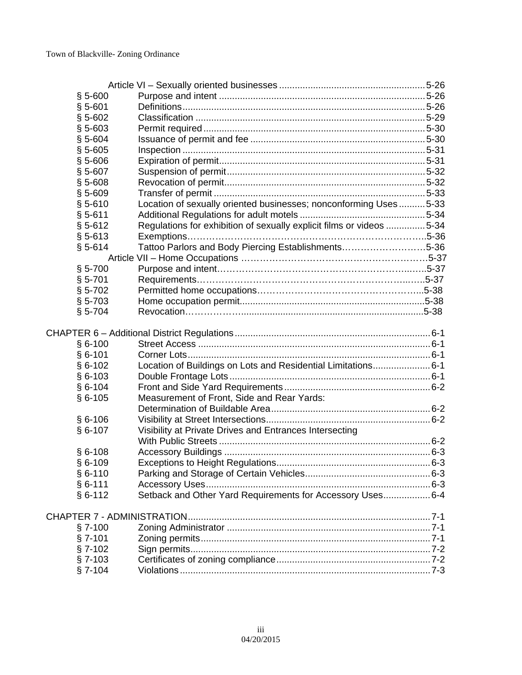| $§ 5 - 600$ |                                                                      |  |
|-------------|----------------------------------------------------------------------|--|
| $§ 5 - 601$ |                                                                      |  |
| $§ 5 - 602$ |                                                                      |  |
| $§ 5 - 603$ |                                                                      |  |
| $$5-604$    |                                                                      |  |
| $$5 - 605$  |                                                                      |  |
| $§ 5 - 606$ |                                                                      |  |
| $§ 5 - 607$ |                                                                      |  |
| $§ 5 - 608$ |                                                                      |  |
| $§ 5 - 609$ |                                                                      |  |
| $§ 5 - 610$ | Location of sexually oriented businesses; nonconforming Uses  5-33   |  |
| $§ 5 - 611$ |                                                                      |  |
| $§ 5 - 612$ | Regulations for exhibition of sexually explicit films or videos 5-34 |  |
| $§ 5 - 613$ |                                                                      |  |
| $§ 5 - 614$ | Tattoo Parlors and Body Piercing Establishments5-36                  |  |
|             |                                                                      |  |
| $§ 5 - 700$ |                                                                      |  |
| $§ 5 - 701$ |                                                                      |  |
| $§ 5 - 702$ |                                                                      |  |
| $§ 5 - 703$ |                                                                      |  |
| $§ 5 - 704$ |                                                                      |  |
|             |                                                                      |  |
|             |                                                                      |  |
| $§6-100$    |                                                                      |  |
| $§ 6 - 101$ |                                                                      |  |
| $§6-102$    | Location of Buildings on Lots and Residential Limitations6-1         |  |
| $§6 - 103$  |                                                                      |  |
| $§ 6 - 104$ |                                                                      |  |
| $§6-105$    | Measurement of Front, Side and Rear Yards:                           |  |
|             |                                                                      |  |
| $§6-106$    |                                                                      |  |
| $§6-107$    | Visibility at Private Drives and Entrances Intersecting              |  |
|             |                                                                      |  |
| $§$ 6-108   |                                                                      |  |
| $§6-109$    |                                                                      |  |
| $§6-110$    |                                                                      |  |
| $§6-111$    |                                                                      |  |
| $§6-112$    | Setback and Other Yard Requirements for Accessory Uses 6-4           |  |
|             |                                                                      |  |
|             |                                                                      |  |
| $§7-100$    |                                                                      |  |
| $§7 - 101$  |                                                                      |  |
| $§7-102$    |                                                                      |  |
| $§7 - 103$  |                                                                      |  |
| $§7-104$    |                                                                      |  |
|             |                                                                      |  |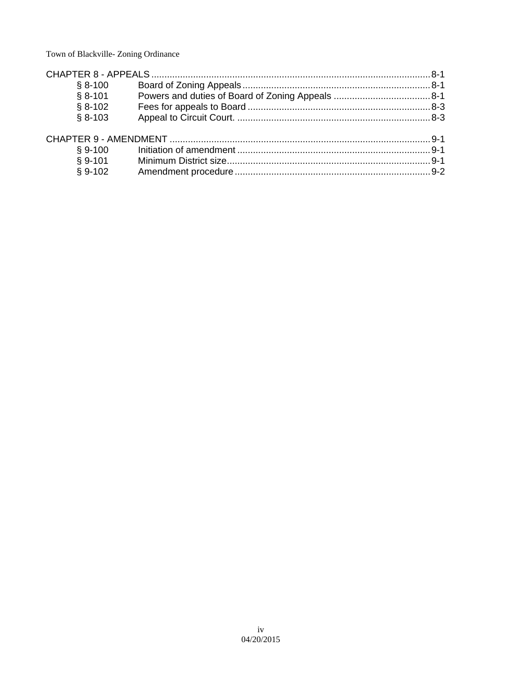| $$8-100$  |  |
|-----------|--|
| $$8-101$  |  |
| $$8-102$  |  |
| $$8-103$  |  |
|           |  |
|           |  |
| $§ 9-100$ |  |
| $§ 9-101$ |  |
| $$9-102$  |  |
|           |  |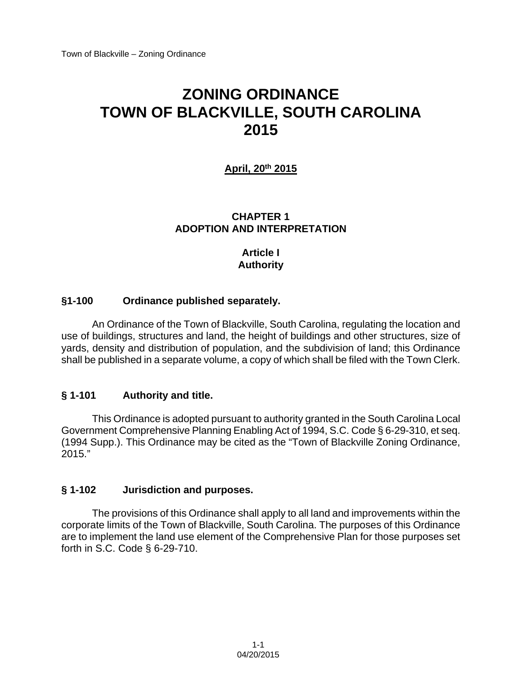## **ZONING ORDINANCE TOWN OF BLACKVILLE, SOUTH CAROLINA 2015**

**April, 20th 2015** 

#### **CHAPTER 1 ADOPTION AND INTERPRETATION**

#### **Article I Authority**

#### **§1-100 Ordinance published separately.**

An Ordinance of the Town of Blackville, South Carolina, regulating the location and use of buildings, structures and land, the height of buildings and other structures, size of yards, density and distribution of population, and the subdivision of land; this Ordinance shall be published in a separate volume, a copy of which shall be filed with the Town Clerk.

#### **§ 1-101 Authority and title.**

This Ordinance is adopted pursuant to authority granted in the South Carolina Local Government Comprehensive Planning Enabling Act of 1994, S.C. Code § 6-29-310, et seq. (1994 Supp.). This Ordinance may be cited as the "Town of Blackville Zoning Ordinance, 2015."

#### **§ 1-102 Jurisdiction and purposes.**

The provisions of this Ordinance shall apply to all land and improvements within the corporate limits of the Town of Blackville, South Carolina. The purposes of this Ordinance are to implement the land use element of the Comprehensive Plan for those purposes set forth in S.C. Code § 6-29-710.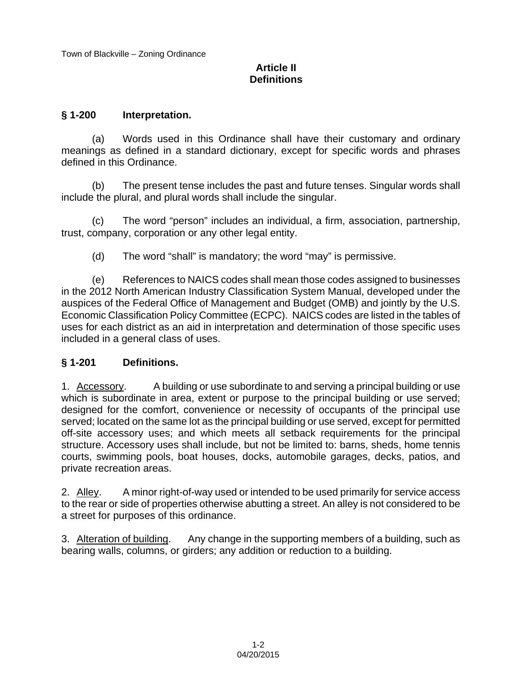#### **Article II Definitions**

#### **§ 1-200 Interpretation.**

(a) Words used in this Ordinance shall have their customary and ordinary meanings as defined in a standard dictionary, except for specific words and phrases defined in this Ordinance.

(b) The present tense includes the past and future tenses. Singular words shall include the plural, and plural words shall include the singular.

(c) The word "person" includes an individual, a firm, association, partnership, trust, company, corporation or any other legal entity.

(d) The word "shall" is mandatory; the word "may" is permissive.

(e) References to NAICS codes shall mean those codes assigned to businesses in the 2012 North American Industry Classification System Manual, developed under the auspices of the Federal Office of Management and Budget (OMB) and jointly by the U.S. Economic Classification Policy Committee (ECPC). NAICS codes are listed in the tables of uses for each district as an aid in interpretation and determination of those specific uses included in a general class of uses.

#### **§ 1-201 Definitions.**

1. Accessory. A building or use subordinate to and serving a principal building or use which is subordinate in area, extent or purpose to the principal building or use served; designed for the comfort, convenience or necessity of occupants of the principal use served; located on the same lot as the principal building or use served, except for permitted off-site accessory uses; and which meets all setback requirements for the principal structure. Accessory uses shall include, but not be limited to: barns, sheds, home tennis courts, swimming pools, boat houses, docks, automobile garages, decks, patios, and private recreation areas.

2. Alley. A minor right-of-way used or intended to be used primarily for service access to the rear or side of properties otherwise abutting a street. An alley is not considered to be a street for purposes of this ordinance.

3. Alteration of building. Any change in the supporting members of a building, such as bearing walls, columns, or girders; any addition or reduction to a building.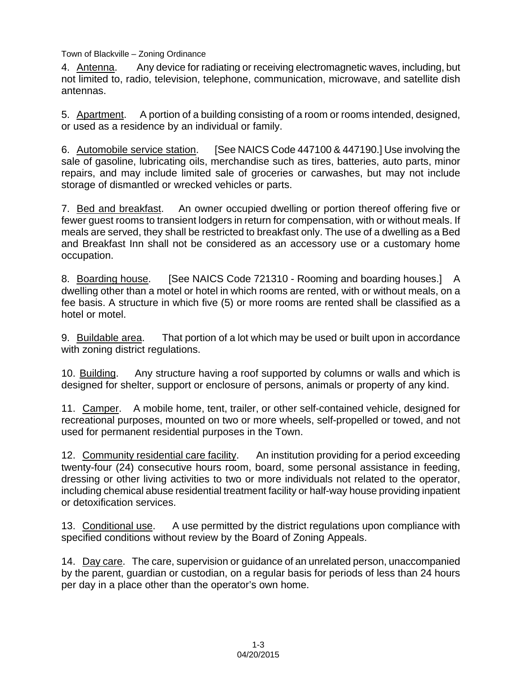4. Antenna. Any device for radiating or receiving electromagnetic waves, including, but not limited to, radio, television, telephone, communication, microwave, and satellite dish antennas.

5. Apartment. A portion of a building consisting of a room or rooms intended, designed, or used as a residence by an individual or family.

6. Automobile service station. [See NAICS Code 447100 & 447190.] Use involving the sale of gasoline, lubricating oils, merchandise such as tires, batteries, auto parts, minor repairs, and may include limited sale of groceries or carwashes, but may not include storage of dismantled or wrecked vehicles or parts.

7. Bed and breakfast. An owner occupied dwelling or portion thereof offering five or fewer guest rooms to transient lodgers in return for compensation, with or without meals. If meals are served, they shall be restricted to breakfast only. The use of a dwelling as a Bed and Breakfast Inn shall not be considered as an accessory use or a customary home occupation.

8. Boarding house. [See NAICS Code 721310 - Rooming and boarding houses.] A dwelling other than a motel or hotel in which rooms are rented, with or without meals, on a fee basis. A structure in which five (5) or more rooms are rented shall be classified as a hotel or motel.

9. Buildable area. That portion of a lot which may be used or built upon in accordance with zoning district regulations.

10. Building. Any structure having a roof supported by columns or walls and which is designed for shelter, support or enclosure of persons, animals or property of any kind.

11. Camper. A mobile home, tent, trailer, or other self-contained vehicle, designed for recreational purposes, mounted on two or more wheels, self-propelled or towed, and not used for permanent residential purposes in the Town.

12. Community residential care facility. An institution providing for a period exceeding twenty-four (24) consecutive hours room, board, some personal assistance in feeding, dressing or other living activities to two or more individuals not related to the operator, including chemical abuse residential treatment facility or half-way house providing inpatient or detoxification services.

13. Conditional use. A use permitted by the district regulations upon compliance with specified conditions without review by the Board of Zoning Appeals.

14. Day care. The care, supervision or guidance of an unrelated person, unaccompanied by the parent, guardian or custodian, on a regular basis for periods of less than 24 hours per day in a place other than the operator's own home.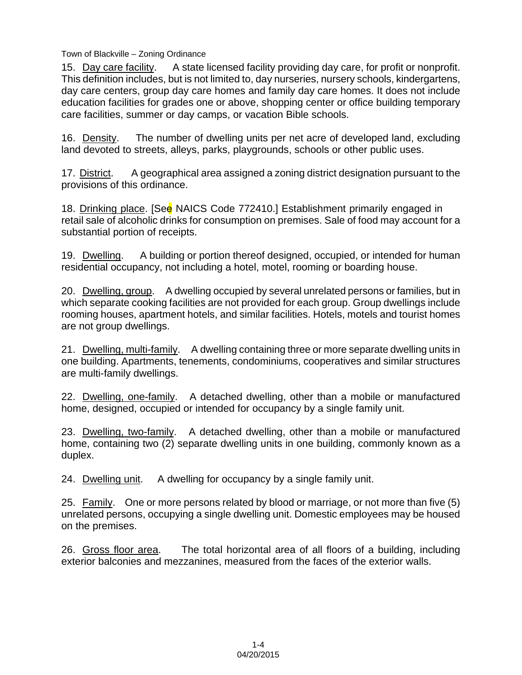15. Day care facility. A state licensed facility providing day care, for profit or nonprofit. This definition includes, but is not limited to, day nurseries, nursery schools, kindergartens, day care centers, group day care homes and family day care homes. It does not include education facilities for grades one or above, shopping center or office building temporary care facilities, summer or day camps, or vacation Bible schools.

16. Density. The number of dwelling units per net acre of developed land, excluding land devoted to streets, alleys, parks, playgrounds, schools or other public uses.

17. District. A geographical area assigned a zoning district designation pursuant to the provisions of this ordinance.

18. Drinking place. [See NAICS Code 772410.] Establishment primarily engaged in retail sale of alcoholic drinks for consumption on premises. Sale of food may account for a substantial portion of receipts.

19. Dwelling. A building or portion thereof designed, occupied, or intended for human residential occupancy, not including a hotel, motel, rooming or boarding house.

20. Dwelling, group. A dwelling occupied by several unrelated persons or families, but in which separate cooking facilities are not provided for each group. Group dwellings include rooming houses, apartment hotels, and similar facilities. Hotels, motels and tourist homes are not group dwellings.

21. Dwelling, multi-family. A dwelling containing three or more separate dwelling units in one building. Apartments, tenements, condominiums, cooperatives and similar structures are multi-family dwellings.

22. Dwelling, one-family. A detached dwelling, other than a mobile or manufactured home, designed, occupied or intended for occupancy by a single family unit.

23. Dwelling, two-family. A detached dwelling, other than a mobile or manufactured home, containing two (2) separate dwelling units in one building, commonly known as a duplex.

24. Dwelling unit. A dwelling for occupancy by a single family unit.

25. Family. One or more persons related by blood or marriage, or not more than five (5) unrelated persons, occupying a single dwelling unit. Domestic employees may be housed on the premises.

26. Gross floor area. The total horizontal area of all floors of a building, including exterior balconies and mezzanines, measured from the faces of the exterior walls.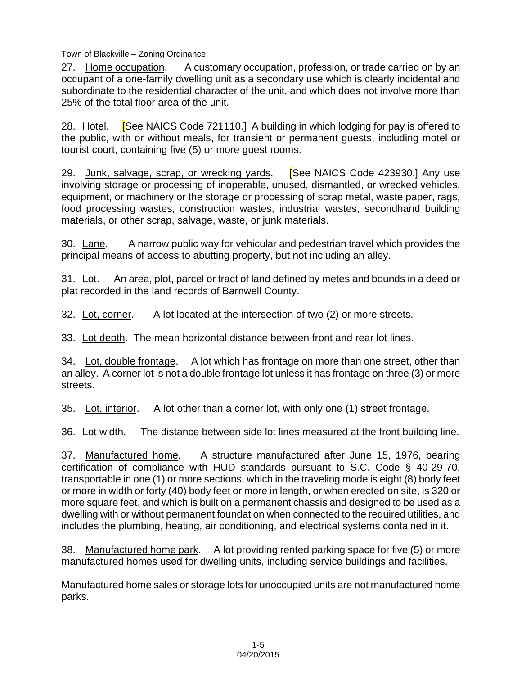27. Home occupation. A customary occupation, profession, or trade carried on by an occupant of a one-family dwelling unit as a secondary use which is clearly incidental and subordinate to the residential character of the unit, and which does not involve more than 25% of the total floor area of the unit.

28. Hotel. **[See NAICS Code 721110.]** A building in which lodging for pay is offered to the public, with or without meals, for transient or permanent guests, including motel or tourist court, containing five (5) or more guest rooms.

29. Junk, salvage, scrap, or wrecking yards. **[See NAICS Code 423930.]** Any use involving storage or processing of inoperable, unused, dismantled, or wrecked vehicles, equipment, or machinery or the storage or processing of scrap metal, waste paper, rags, food processing wastes, construction wastes, industrial wastes, secondhand building materials, or other scrap, salvage, waste, or junk materials.

30. Lane. A narrow public way for vehicular and pedestrian travel which provides the principal means of access to abutting property, but not including an alley.

31. Lot. An area, plot, parcel or tract of land defined by metes and bounds in a deed or plat recorded in the land records of Barnwell County.

32. Lot, corner. A lot located at the intersection of two (2) or more streets.

33. Lot depth. The mean horizontal distance between front and rear lot lines.

34. Lot, double frontage. A lot which has frontage on more than one street, other than an alley. A corner lot is not a double frontage lot unless it has frontage on three (3) or more streets.

35. Lot, interior. A lot other than a corner lot, with only one (1) street frontage.

36. Lot width. The distance between side lot lines measured at the front building line.

37. Manufactured home. A structure manufactured after June 15, 1976, bearing certification of compliance with HUD standards pursuant to S.C. Code § 40-29-70, transportable in one (1) or more sections, which in the traveling mode is eight (8) body feet or more in width or forty (40) body feet or more in length, or when erected on site, is 320 or more square feet, and which is built on a permanent chassis and designed to be used as a dwelling with or without permanent foundation when connected to the required utilities, and includes the plumbing, heating, air conditioning, and electrical systems contained in it.

38. Manufactured home park. A lot providing rented parking space for five (5) or more manufactured homes used for dwelling units, including service buildings and facilities.

Manufactured home sales or storage lots for unoccupied units are not manufactured home parks.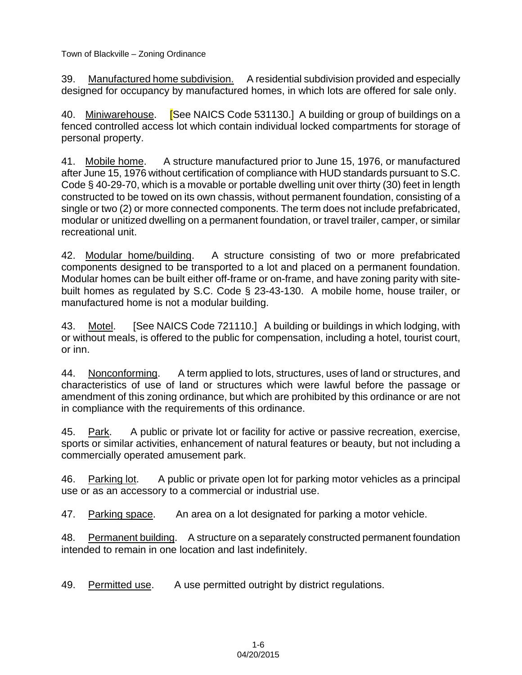39. Manufactured home subdivision. A residential subdivision provided and especially designed for occupancy by manufactured homes, in which lots are offered for sale only.

40. Miniwarehouse. **[See NAICS Code 531130.]** A building or group of buildings on a fenced controlled access lot which contain individual locked compartments for storage of personal property.

41. Mobile home. A structure manufactured prior to June 15, 1976, or manufactured after June 15, 1976 without certification of compliance with HUD standards pursuant to S.C. Code § 40-29-70, which is a movable or portable dwelling unit over thirty (30) feet in length constructed to be towed on its own chassis, without permanent foundation, consisting of a single or two (2) or more connected components. The term does not include prefabricated, modular or unitized dwelling on a permanent foundation, or travel trailer, camper, or similar recreational unit.

42. Modular home/building. A structure consisting of two or more prefabricated components designed to be transported to a lot and placed on a permanent foundation. Modular homes can be built either off-frame or on-frame, and have zoning parity with sitebuilt homes as regulated by S.C. Code § 23-43-130. A mobile home, house trailer, or manufactured home is not a modular building.

43. Motel. [See NAICS Code 721110.] A building or buildings in which lodging, with or without meals, is offered to the public for compensation, including a hotel, tourist court, or inn.

44. Nonconforming. A term applied to lots, structures, uses of land or structures, and characteristics of use of land or structures which were lawful before the passage or amendment of this zoning ordinance, but which are prohibited by this ordinance or are not in compliance with the requirements of this ordinance.

45. Park. A public or private lot or facility for active or passive recreation, exercise, sports or similar activities, enhancement of natural features or beauty, but not including a commercially operated amusement park.

46. Parking lot. A public or private open lot for parking motor vehicles as a principal use or as an accessory to a commercial or industrial use.

47. Parking space. An area on a lot designated for parking a motor vehicle.

48. Permanent building. A structure on a separately constructed permanent foundation intended to remain in one location and last indefinitely.

49. Permitted use. A use permitted outright by district regulations.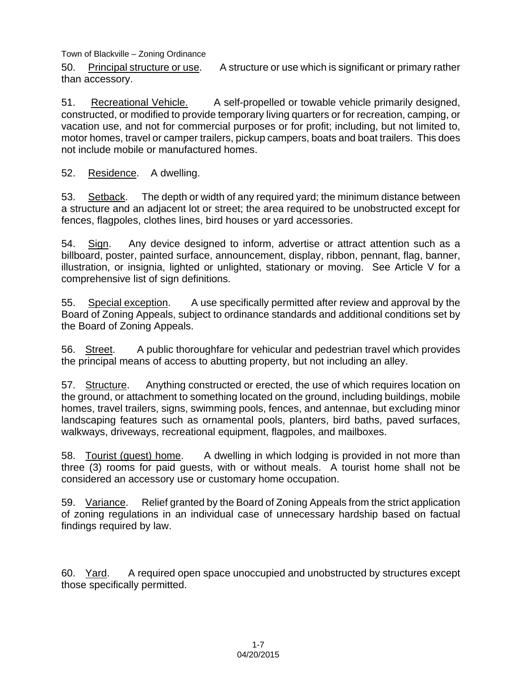50. Principal structure or use. A structure or use which is significant or primary rather than accessory.

51. Recreational Vehicle. A self-propelled or towable vehicle primarily designed, constructed, or modified to provide temporary living quarters or for recreation, camping, or vacation use, and not for commercial purposes or for profit; including, but not limited to, motor homes, travel or camper trailers, pickup campers, boats and boat trailers. This does not include mobile or manufactured homes.

#### 52. Residence. A dwelling.

53. Setback. The depth or width of any required yard; the minimum distance between a structure and an adjacent lot or street; the area required to be unobstructed except for fences, flagpoles, clothes lines, bird houses or yard accessories.

54. Sign. Any device designed to inform, advertise or attract attention such as a billboard, poster, painted surface, announcement, display, ribbon, pennant, flag, banner, illustration, or insignia, lighted or unlighted, stationary or moving. See Article V for a comprehensive list of sign definitions.

55. Special exception. A use specifically permitted after review and approval by the Board of Zoning Appeals, subject to ordinance standards and additional conditions set by the Board of Zoning Appeals.

56. Street. A public thoroughfare for vehicular and pedestrian travel which provides the principal means of access to abutting property, but not including an alley.

57. Structure. Anything constructed or erected, the use of which requires location on the ground, or attachment to something located on the ground, including buildings, mobile homes, travel trailers, signs, swimming pools, fences, and antennae, but excluding minor landscaping features such as ornamental pools, planters, bird baths, paved surfaces, walkways, driveways, recreational equipment, flagpoles, and mailboxes.

58. Tourist (quest) home. A dwelling in which lodging is provided in not more than three (3) rooms for paid guests, with or without meals. A tourist home shall not be considered an accessory use or customary home occupation.

59. Variance. Relief granted by the Board of Zoning Appeals from the strict application of zoning regulations in an individual case of unnecessary hardship based on factual findings required by law.

60. Yard. A required open space unoccupied and unobstructed by structures except those specifically permitted.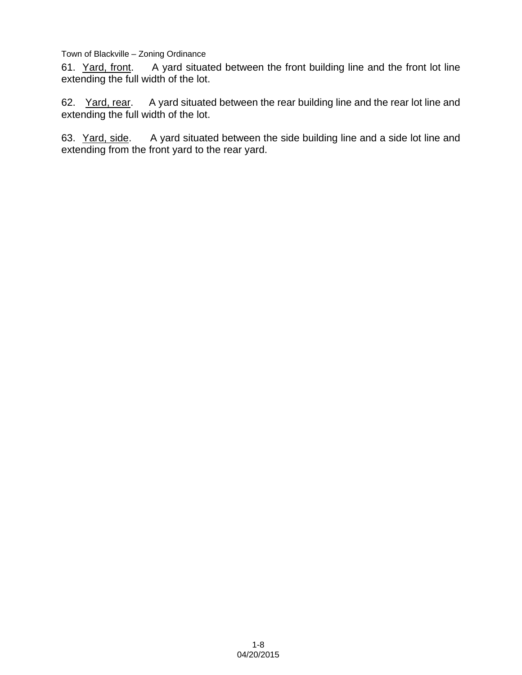61. Yard, front. A yard situated between the front building line and the front lot line extending the full width of the lot.

62. Yard, rear. A yard situated between the rear building line and the rear lot line and extending the full width of the lot.

63. Yard, side. A yard situated between the side building line and a side lot line and extending from the front yard to the rear yard.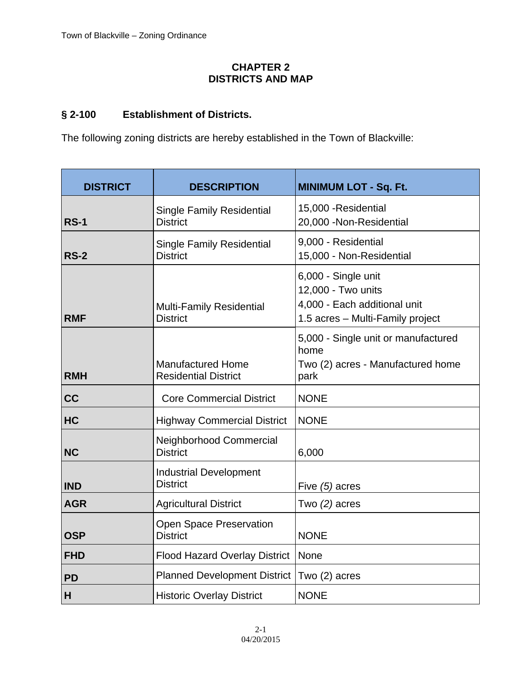#### **CHAPTER 2 DISTRICTS AND MAP**

#### **§ 2-100 Establishment of Districts.**

The following zoning districts are hereby established in the Town of Blackville:

| <b>DISTRICT</b> | <b>DESCRIPTION</b>                                      | <b>MINIMUM LOT - Sq. Ft.</b>                                                                                  |
|-----------------|---------------------------------------------------------|---------------------------------------------------------------------------------------------------------------|
| <b>RS-1</b>     | <b>Single Family Residential</b><br><b>District</b>     | 15,000 - Residential<br>20,000 - Non-Residential                                                              |
| <b>RS-2</b>     | <b>Single Family Residential</b><br><b>District</b>     | 9,000 - Residential<br>15,000 - Non-Residential                                                               |
| <b>RMF</b>      | <b>Multi-Family Residential</b><br><b>District</b>      | 6,000 - Single unit<br>12,000 - Two units<br>4,000 - Each additional unit<br>1.5 acres - Multi-Family project |
| <b>RMH</b>      | <b>Manufactured Home</b><br><b>Residential District</b> | 5,000 - Single unit or manufactured<br>home<br>Two (2) acres - Manufactured home<br>park                      |
| cc              | <b>Core Commercial District</b>                         | <b>NONE</b>                                                                                                   |
| HC              | <b>Highway Commercial District</b>                      | <b>NONE</b>                                                                                                   |
| <b>NC</b>       | Neighborhood Commercial<br><b>District</b>              | 6,000                                                                                                         |
| <b>IND</b>      | <b>Industrial Development</b><br><b>District</b>        | Five (5) acres                                                                                                |
| <b>AGR</b>      | <b>Agricultural District</b>                            | Two $(2)$ acres                                                                                               |
| <b>OSP</b>      | <b>Open Space Preservation</b><br><b>District</b>       | <b>NONE</b>                                                                                                   |
| <b>FHD</b>      | <b>Flood Hazard Overlay District</b>                    | None                                                                                                          |
| <b>PD</b>       | Planned Development District                            | Two (2) acres                                                                                                 |
| H               | <b>Historic Overlay District</b>                        | <b>NONE</b>                                                                                                   |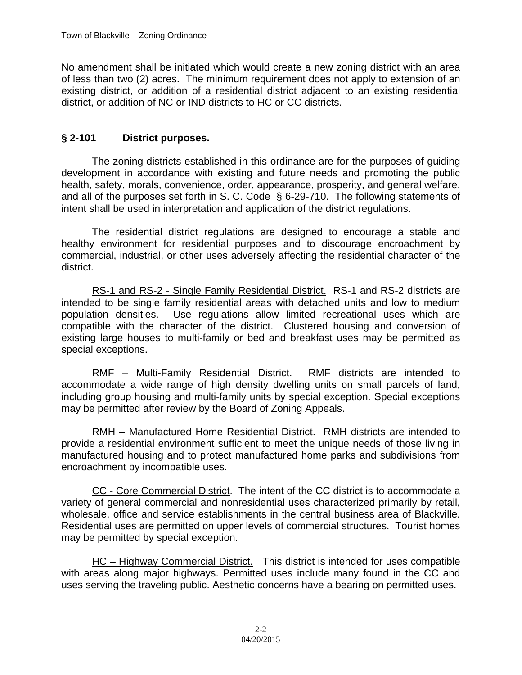No amendment shall be initiated which would create a new zoning district with an area of less than two (2) acres. The minimum requirement does not apply to extension of an existing district, or addition of a residential district adjacent to an existing residential district, or addition of NC or IND districts to HC or CC districts.

#### **§ 2-101 District purposes.**

The zoning districts established in this ordinance are for the purposes of guiding development in accordance with existing and future needs and promoting the public health, safety, morals, convenience, order, appearance, prosperity, and general welfare, and all of the purposes set forth in S. C. Code § 6-29-710. The following statements of intent shall be used in interpretation and application of the district regulations.

The residential district regulations are designed to encourage a stable and healthy environment for residential purposes and to discourage encroachment by commercial, industrial, or other uses adversely affecting the residential character of the district.

RS-1 and RS-2 - Single Family Residential District. RS-1 and RS-2 districts are intended to be single family residential areas with detached units and low to medium population densities. Use regulations allow limited recreational uses which are compatible with the character of the district. Clustered housing and conversion of existing large houses to multi-family or bed and breakfast uses may be permitted as special exceptions.

RMF – Multi-Family Residential District. RMF districts are intended to accommodate a wide range of high density dwelling units on small parcels of land, including group housing and multi-family units by special exception. Special exceptions may be permitted after review by the Board of Zoning Appeals.

RMH – Manufactured Home Residential District. RMH districts are intended to provide a residential environment sufficient to meet the unique needs of those living in manufactured housing and to protect manufactured home parks and subdivisions from encroachment by incompatible uses.

CC - Core Commercial District. The intent of the CC district is to accommodate a variety of general commercial and nonresidential uses characterized primarily by retail, wholesale, office and service establishments in the central business area of Blackville. Residential uses are permitted on upper levels of commercial structures. Tourist homes may be permitted by special exception.

HC – Highway Commercial District. This district is intended for uses compatible with areas along major highways. Permitted uses include many found in the CC and uses serving the traveling public. Aesthetic concerns have a bearing on permitted uses.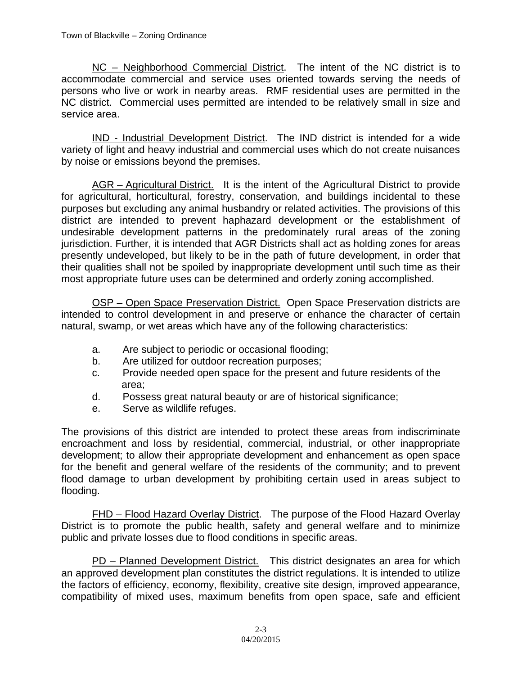NC – Neighborhood Commercial District. The intent of the NC district is to accommodate commercial and service uses oriented towards serving the needs of persons who live or work in nearby areas. RMF residential uses are permitted in the NC district. Commercial uses permitted are intended to be relatively small in size and service area.

IND - Industrial Development District. The IND district is intended for a wide variety of light and heavy industrial and commercial uses which do not create nuisances by noise or emissions beyond the premises.

AGR – Agricultural District. It is the intent of the Agricultural District to provide for agricultural, horticultural, forestry, conservation, and buildings incidental to these purposes but excluding any animal husbandry or related activities. The provisions of this district are intended to prevent haphazard development or the establishment of undesirable development patterns in the predominately rural areas of the zoning jurisdiction. Further, it is intended that AGR Districts shall act as holding zones for areas presently undeveloped, but likely to be in the path of future development, in order that their qualities shall not be spoiled by inappropriate development until such time as their most appropriate future uses can be determined and orderly zoning accomplished.

OSP – Open Space Preservation District. Open Space Preservation districts are intended to control development in and preserve or enhance the character of certain natural, swamp, or wet areas which have any of the following characteristics:

- a. Are subject to periodic or occasional flooding;
- b. Are utilized for outdoor recreation purposes;
- c. Provide needed open space for the present and future residents of the area;
- d. Possess great natural beauty or are of historical significance;
- e. Serve as wildlife refuges.

The provisions of this district are intended to protect these areas from indiscriminate encroachment and loss by residential, commercial, industrial, or other inappropriate development; to allow their appropriate development and enhancement as open space for the benefit and general welfare of the residents of the community; and to prevent flood damage to urban development by prohibiting certain used in areas subject to flooding.

FHD – Flood Hazard Overlay District. The purpose of the Flood Hazard Overlay District is to promote the public health, safety and general welfare and to minimize public and private losses due to flood conditions in specific areas.

PD – Planned Development District. This district designates an area for which an approved development plan constitutes the district regulations. It is intended to utilize the factors of efficiency, economy, flexibility, creative site design, improved appearance, compatibility of mixed uses, maximum benefits from open space, safe and efficient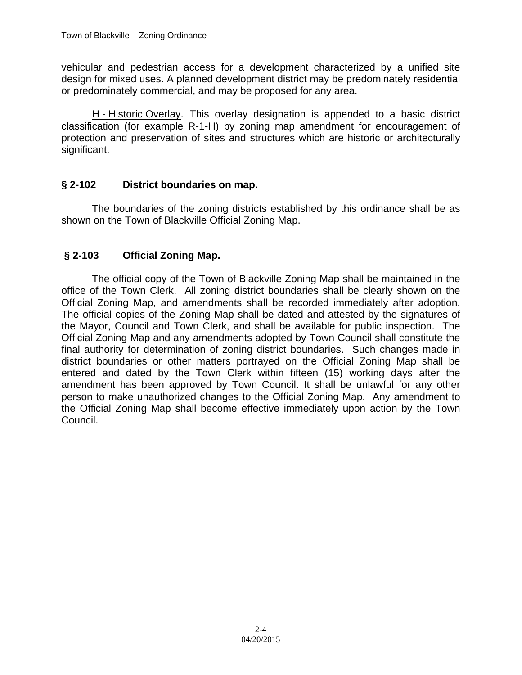vehicular and pedestrian access for a development characterized by a unified site design for mixed uses. A planned development district may be predominately residential or predominately commercial, and may be proposed for any area.

H - Historic Overlay. This overlay designation is appended to a basic district classification (for example R-1-H) by zoning map amendment for encouragement of protection and preservation of sites and structures which are historic or architecturally significant.

#### **§ 2-102 District boundaries on map.**

The boundaries of the zoning districts established by this ordinance shall be as shown on the Town of Blackville Official Zoning Map.

#### **§ 2-103 Official Zoning Map.**

The official copy of the Town of Blackville Zoning Map shall be maintained in the office of the Town Clerk. All zoning district boundaries shall be clearly shown on the Official Zoning Map, and amendments shall be recorded immediately after adoption. The official copies of the Zoning Map shall be dated and attested by the signatures of the Mayor, Council and Town Clerk, and shall be available for public inspection. The Official Zoning Map and any amendments adopted by Town Council shall constitute the final authority for determination of zoning district boundaries. Such changes made in district boundaries or other matters portrayed on the Official Zoning Map shall be entered and dated by the Town Clerk within fifteen (15) working days after the amendment has been approved by Town Council. It shall be unlawful for any other person to make unauthorized changes to the Official Zoning Map. Any amendment to the Official Zoning Map shall become effective immediately upon action by the Town Council.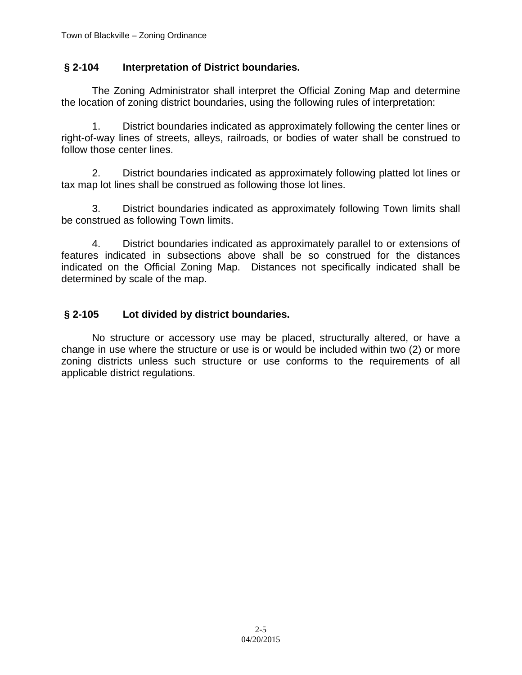#### **§ 2-104 Interpretation of District boundaries.**

The Zoning Administrator shall interpret the Official Zoning Map and determine the location of zoning district boundaries, using the following rules of interpretation:

1. District boundaries indicated as approximately following the center lines or right-of-way lines of streets, alleys, railroads, or bodies of water shall be construed to follow those center lines.

2. District boundaries indicated as approximately following platted lot lines or tax map lot lines shall be construed as following those lot lines.

3. District boundaries indicated as approximately following Town limits shall be construed as following Town limits.

4. District boundaries indicated as approximately parallel to or extensions of features indicated in subsections above shall be so construed for the distances indicated on the Official Zoning Map. Distances not specifically indicated shall be determined by scale of the map.

#### **§ 2-105 Lot divided by district boundaries.**

No structure or accessory use may be placed, structurally altered, or have a change in use where the structure or use is or would be included within two (2) or more zoning districts unless such structure or use conforms to the requirements of all applicable district regulations.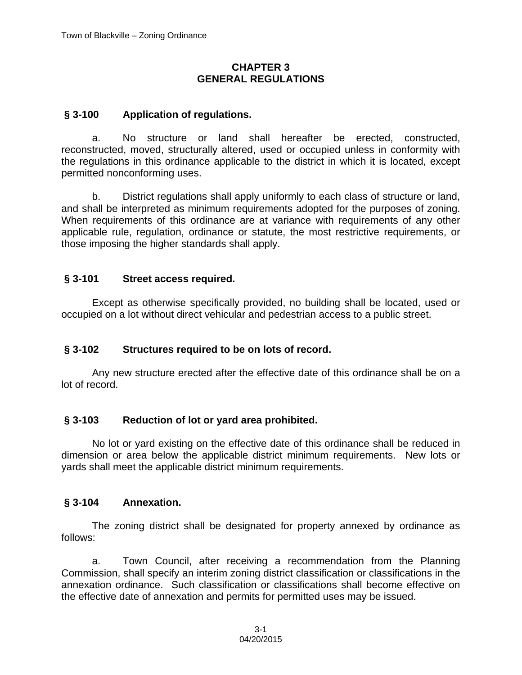#### **CHAPTER 3 GENERAL REGULATIONS**

#### **§ 3-100 Application of regulations.**

a. No structure or land shall hereafter be erected, constructed, reconstructed, moved, structurally altered, used or occupied unless in conformity with the regulations in this ordinance applicable to the district in which it is located, except permitted nonconforming uses.

b. District regulations shall apply uniformly to each class of structure or land, and shall be interpreted as minimum requirements adopted for the purposes of zoning. When requirements of this ordinance are at variance with requirements of any other applicable rule, regulation, ordinance or statute, the most restrictive requirements, or those imposing the higher standards shall apply.

#### **§ 3-101 Street access required.**

Except as otherwise specifically provided, no building shall be located, used or occupied on a lot without direct vehicular and pedestrian access to a public street.

#### **§ 3-102 Structures required to be on lots of record.**

Any new structure erected after the effective date of this ordinance shall be on a lot of record.

#### **§ 3-103 Reduction of lot or yard area prohibited.**

No lot or yard existing on the effective date of this ordinance shall be reduced in dimension or area below the applicable district minimum requirements. New lots or yards shall meet the applicable district minimum requirements.

#### **§ 3-104 Annexation.**

The zoning district shall be designated for property annexed by ordinance as follows:

a. Town Council, after receiving a recommendation from the Planning Commission, shall specify an interim zoning district classification or classifications in the annexation ordinance. Such classification or classifications shall become effective on the effective date of annexation and permits for permitted uses may be issued.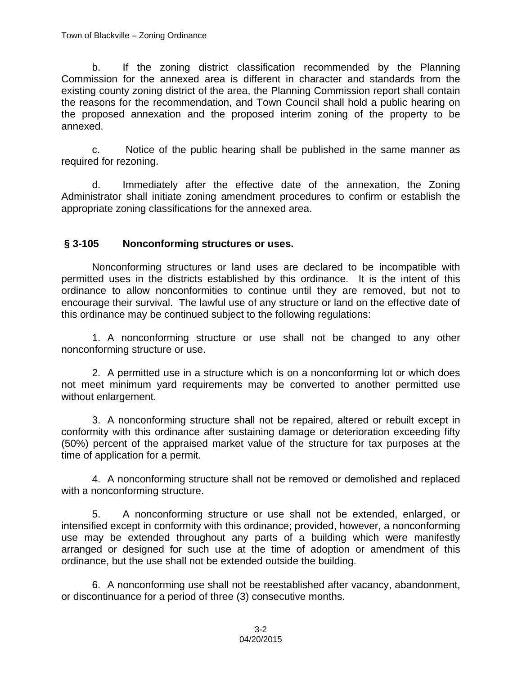b. If the zoning district classification recommended by the Planning Commission for the annexed area is different in character and standards from the existing county zoning district of the area, the Planning Commission report shall contain the reasons for the recommendation, and Town Council shall hold a public hearing on the proposed annexation and the proposed interim zoning of the property to be annexed.

c. Notice of the public hearing shall be published in the same manner as required for rezoning.

d. Immediately after the effective date of the annexation, the Zoning Administrator shall initiate zoning amendment procedures to confirm or establish the appropriate zoning classifications for the annexed area.

#### **§ 3-105 Nonconforming structures or uses.**

Nonconforming structures or land uses are declared to be incompatible with permitted uses in the districts established by this ordinance. It is the intent of this ordinance to allow nonconformities to continue until they are removed, but not to encourage their survival. The lawful use of any structure or land on the effective date of this ordinance may be continued subject to the following regulations:

1. A nonconforming structure or use shall not be changed to any other nonconforming structure or use.

2. A permitted use in a structure which is on a nonconforming lot or which does not meet minimum yard requirements may be converted to another permitted use without enlargement.

3. A nonconforming structure shall not be repaired, altered or rebuilt except in conformity with this ordinance after sustaining damage or deterioration exceeding fifty (50%) percent of the appraised market value of the structure for tax purposes at the time of application for a permit.

4. A nonconforming structure shall not be removed or demolished and replaced with a nonconforming structure.

5. A nonconforming structure or use shall not be extended, enlarged, or intensified except in conformity with this ordinance; provided, however, a nonconforming use may be extended throughout any parts of a building which were manifestly arranged or designed for such use at the time of adoption or amendment of this ordinance, but the use shall not be extended outside the building.

6. A nonconforming use shall not be reestablished after vacancy, abandonment, or discontinuance for a period of three (3) consecutive months.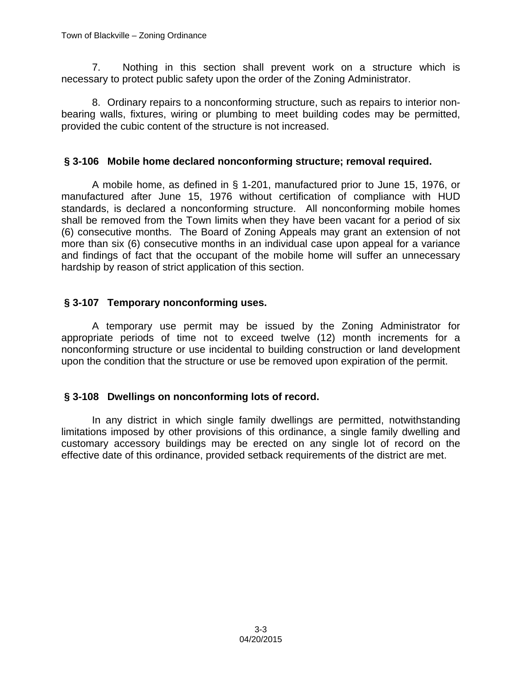7. Nothing in this section shall prevent work on a structure which is necessary to protect public safety upon the order of the Zoning Administrator.

8. Ordinary repairs to a nonconforming structure, such as repairs to interior nonbearing walls, fixtures, wiring or plumbing to meet building codes may be permitted, provided the cubic content of the structure is not increased.

#### **§ 3-106 Mobile home declared nonconforming structure; removal required.**

A mobile home, as defined in § 1-201, manufactured prior to June 15, 1976, or manufactured after June 15, 1976 without certification of compliance with HUD standards, is declared a nonconforming structure. All nonconforming mobile homes shall be removed from the Town limits when they have been vacant for a period of six (6) consecutive months. The Board of Zoning Appeals may grant an extension of not more than six (6) consecutive months in an individual case upon appeal for a variance and findings of fact that the occupant of the mobile home will suffer an unnecessary hardship by reason of strict application of this section.

#### **§ 3-107 Temporary nonconforming uses.**

A temporary use permit may be issued by the Zoning Administrator for appropriate periods of time not to exceed twelve (12) month increments for a nonconforming structure or use incidental to building construction or land development upon the condition that the structure or use be removed upon expiration of the permit.

#### **§ 3-108 Dwellings on nonconforming lots of record.**

In any district in which single family dwellings are permitted, notwithstanding limitations imposed by other provisions of this ordinance, a single family dwelling and customary accessory buildings may be erected on any single lot of record on the effective date of this ordinance, provided setback requirements of the district are met.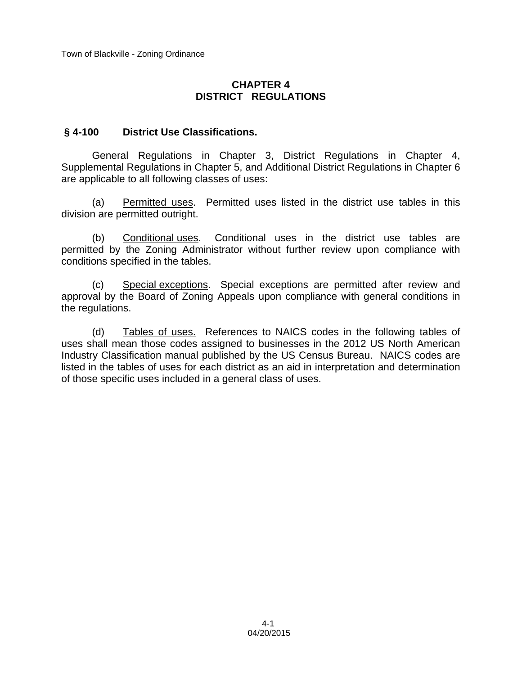#### **CHAPTER 4 DISTRICT REGULATIONS**

#### **§ 4-100 District Use Classifications.**

General Regulations in Chapter 3, District Regulations in Chapter 4, Supplemental Regulations in Chapter 5, and Additional District Regulations in Chapter 6 are applicable to all following classes of uses:

(a) Permitted uses. Permitted uses listed in the district use tables in this division are permitted outright.

(b) Conditional uses. Conditional uses in the district use tables are permitted by the Zoning Administrator without further review upon compliance with conditions specified in the tables.

(c) Special exceptions. Special exceptions are permitted after review and approval by the Board of Zoning Appeals upon compliance with general conditions in the regulations.

(d) Tables of uses. References to NAICS codes in the following tables of uses shall mean those codes assigned to businesses in the 2012 US North American Industry Classification manual published by the US Census Bureau. NAICS codes are listed in the tables of uses for each district as an aid in interpretation and determination of those specific uses included in a general class of uses.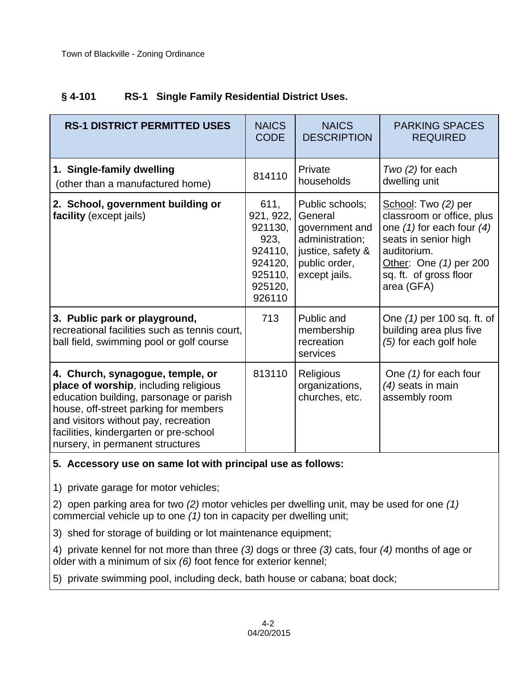| <b>RS-1 DISTRICT PERMITTED USES</b>                                                                                                                                                                                                                                                 | <b>NAICS</b><br><b>CODE</b>                                                                | <b>NAICS</b><br><b>DESCRIPTION</b>                                                                                     | <b>PARKING SPACES</b><br><b>REQUIRED</b>                                                                                                                                                   |
|-------------------------------------------------------------------------------------------------------------------------------------------------------------------------------------------------------------------------------------------------------------------------------------|--------------------------------------------------------------------------------------------|------------------------------------------------------------------------------------------------------------------------|--------------------------------------------------------------------------------------------------------------------------------------------------------------------------------------------|
| 1. Single-family dwelling<br>(other than a manufactured home)                                                                                                                                                                                                                       | 814110                                                                                     | Private<br>households                                                                                                  | $Two(2)$ for each<br>dwelling unit                                                                                                                                                         |
| 2. School, government building or<br>facility (except jails)                                                                                                                                                                                                                        | 611,<br>921, 922,<br>921130,<br>923,<br>924110,<br>924120,<br>925110,<br>925120,<br>926110 | Public schools;<br>General<br>government and<br>administration;<br>justice, safety &<br>public order,<br>except jails. | School: Two (2) per<br>classroom or office, plus<br>one $(1)$ for each four $(4)$<br>seats in senior high<br>auditorium.<br>Other: One (1) per 200<br>sq. ft. of gross floor<br>area (GFA) |
| 3. Public park or playground,<br>recreational facilities such as tennis court,<br>ball field, swimming pool or golf course                                                                                                                                                          | 713                                                                                        | Public and<br>membership<br>recreation<br>services                                                                     | One (1) per 100 sq. ft. of<br>building area plus five<br>(5) for each golf hole                                                                                                            |
| 4. Church, synagogue, temple, or<br>place of worship, including religious<br>education building, parsonage or parish<br>house, off-street parking for members<br>and visitors without pay, recreation<br>facilities, kindergarten or pre-school<br>nursery, in permanent structures | 813110                                                                                     | Religious<br>organizations,<br>churches, etc.                                                                          | One (1) for each four<br>$(4)$ seats in main<br>assembly room                                                                                                                              |

#### **§ 4-101 RS-1 Single Family Residential District Uses.**

#### **5. Accessory use on same lot with principal use as follows:**

1) private garage for motor vehicles;

2) open parking area for two *(2)* motor vehicles per dwelling unit, may be used for one *(1)*  commercial vehicle up to one *(1)* ton in capacity per dwelling unit;

3) shed for storage of building or lot maintenance equipment;

4) private kennel for not more than three *(3)* dogs or three *(3)* cats, four *(4)* months of age or older with a minimum of six *(6)* foot fence for exterior kennel;

5) private swimming pool, including deck, bath house or cabana; boat dock;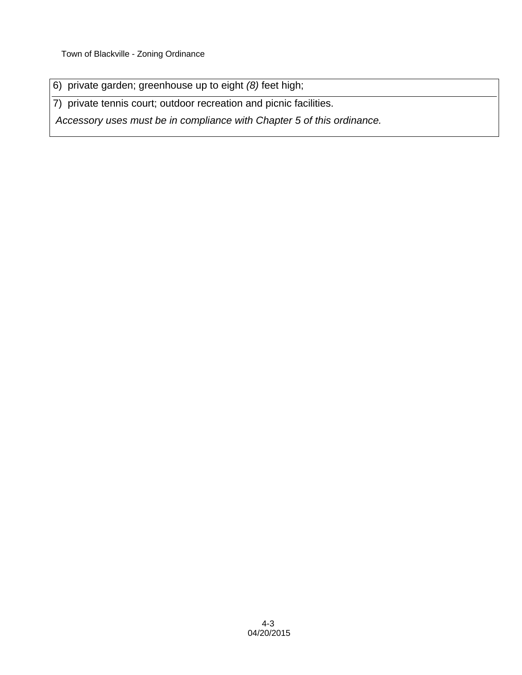6) private garden; greenhouse up to eight *(8)* feet high;

7) private tennis court; outdoor recreation and picnic facilities.

*Accessory uses must be in compliance with Chapter 5 of this ordinance.*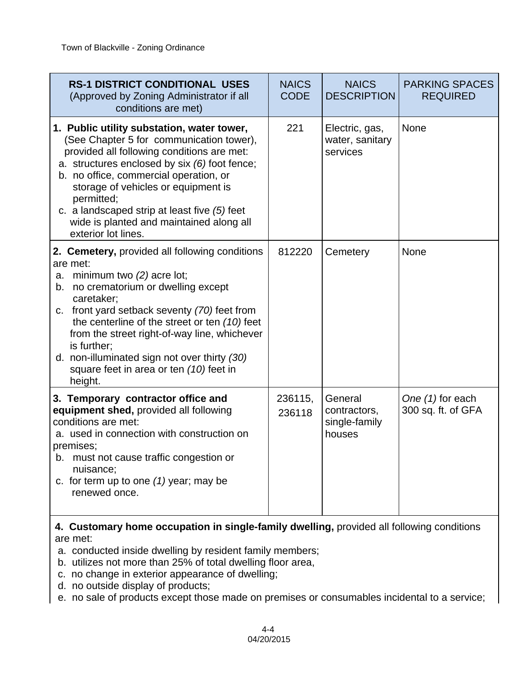| <b>RS-1 DISTRICT CONDITIONAL USES</b><br>(Approved by Zoning Administrator if all<br>conditions are met)                                                                                                                                                                                                                                                                                                                       | <b>NAICS</b><br><b>CODE</b> | <b>NAICS</b><br><b>DESCRIPTION</b>                 | <b>PARKING SPACES</b><br><b>REQUIRED</b> |
|--------------------------------------------------------------------------------------------------------------------------------------------------------------------------------------------------------------------------------------------------------------------------------------------------------------------------------------------------------------------------------------------------------------------------------|-----------------------------|----------------------------------------------------|------------------------------------------|
| 1. Public utility substation, water tower,<br>(See Chapter 5 for communication tower),<br>provided all following conditions are met:<br>a. structures enclosed by six (6) foot fence;<br>b. no office, commercial operation, or<br>storage of vehicles or equipment is<br>permitted;<br>c. a landscaped strip at least five (5) feet<br>wide is planted and maintained along all<br>exterior lot lines.                        | 221                         | Electric, gas,<br>water, sanitary<br>services      | <b>None</b>                              |
| 2. Cemetery, provided all following conditions<br>are met:<br>minimum two $(2)$ acre lot;<br>a.<br>no crematorium or dwelling except<br>b.<br>caretaker;<br>c. front yard setback seventy (70) feet from<br>the centerline of the street or ten (10) feet<br>from the street right-of-way line, whichever<br>is further:<br>d. non-illuminated sign not over thirty (30)<br>square feet in area or ten (10) feet in<br>height. | 812220                      | Cemetery                                           | <b>None</b>                              |
| 3. Temporary contractor office and<br>equipment shed, provided all following<br>conditions are met:<br>a. used in connection with construction on<br>premises;<br>b. must not cause traffic congestion or<br>nuisance;<br>c. for term up to one $(1)$ year; may be<br>renewed once.                                                                                                                                            | 236115,<br>236118           | General<br>contractors,<br>single-family<br>houses | One (1) for each<br>300 sq. ft. of GFA   |

#### **4. Customary home occupation in single-family dwelling,** provided all following conditions are met:

- a. conducted inside dwelling by resident family members;
- b. utilizes not more than 25% of total dwelling floor area,
- c. no change in exterior appearance of dwelling;
- d. no outside display of products;
- e. no sale of products except those made on premises or consumables incidental to a service;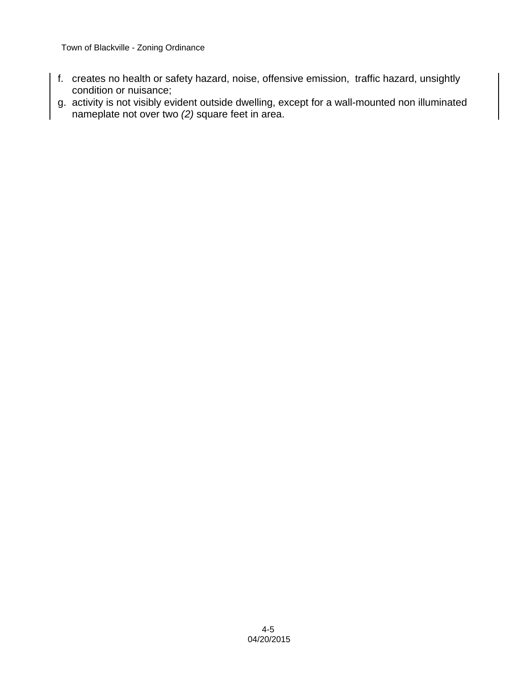- f. creates no health or safety hazard, noise, offensive emission, traffic hazard, unsightly condition or nuisance;
- g. activity is not visibly evident outside dwelling, except for a wall-mounted non illuminated nameplate not over two *(2)* square feet in area.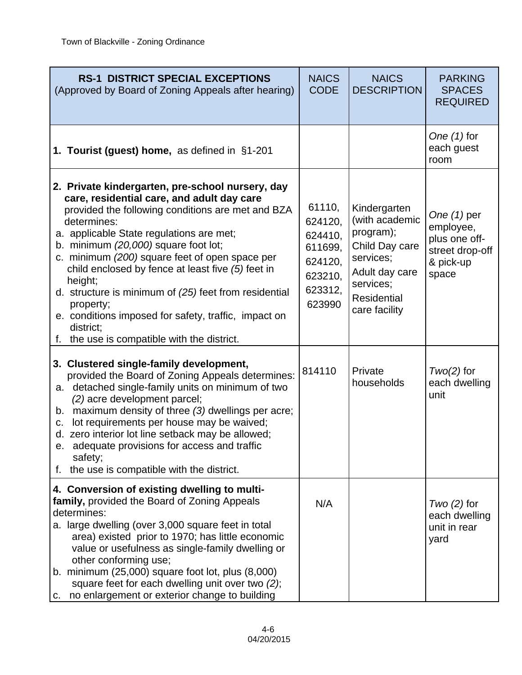| <b>RS-1 DISTRICT SPECIAL EXCEPTIONS</b><br>(Approved by Board of Zoning Appeals after hearing)                                                                                                                                                                                                                                                                                                                                                                                                                                                                     | <b>NAICS</b><br><b>CODE</b>                                                        | <b>NAICS</b><br><b>DESCRIPTION</b>                                                                                                               | <b>PARKING</b><br><b>SPACES</b><br><b>REQUIRED</b>                                   |
|--------------------------------------------------------------------------------------------------------------------------------------------------------------------------------------------------------------------------------------------------------------------------------------------------------------------------------------------------------------------------------------------------------------------------------------------------------------------------------------------------------------------------------------------------------------------|------------------------------------------------------------------------------------|--------------------------------------------------------------------------------------------------------------------------------------------------|--------------------------------------------------------------------------------------|
| 1. Tourist (guest) home, as defined in §1-201                                                                                                                                                                                                                                                                                                                                                                                                                                                                                                                      |                                                                                    |                                                                                                                                                  | One $(1)$ for<br>each guest<br>room                                                  |
| 2. Private kindergarten, pre-school nursery, day<br>care, residential care, and adult day care<br>provided the following conditions are met and BZA<br>determines:<br>a. applicable State regulations are met;<br>b. minimum (20,000) square foot lot;<br>c. minimum (200) square feet of open space per<br>child enclosed by fence at least five (5) feet in<br>height;<br>d. structure is minimum of (25) feet from residential<br>property;<br>e. conditions imposed for safety, traffic, impact on<br>district;<br>f. the use is compatible with the district. | 61110,<br>624120,<br>624410.<br>611699,<br>624120,<br>623210.<br>623312,<br>623990 | Kindergarten<br>(with academic<br>program);<br>Child Day care<br>services;<br>Adult day care<br>services:<br><b>Residential</b><br>care facility | One $(1)$ per<br>employee,<br>plus one off-<br>street drop-off<br>& pick-up<br>space |
| 3. Clustered single-family development,<br>provided the Board of Zoning Appeals determines:<br>detached single-family units on minimum of two<br>а.<br>(2) acre development parcel;<br>maximum density of three (3) dwellings per acre;<br>b.<br>lot requirements per house may be waived;<br>c.<br>d. zero interior lot line setback may be allowed;<br>adequate provisions for access and traffic<br>e<br>safety;<br>f. the use is compatible with the district.                                                                                                 | 814110                                                                             | Private<br>households                                                                                                                            | $Two(2)$ for<br>each dwelling<br>unit                                                |
| 4. Conversion of existing dwelling to multi-<br>family, provided the Board of Zoning Appeals<br>determines:<br>a. large dwelling (over 3,000 square feet in total<br>area) existed prior to 1970; has little economic<br>value or usefulness as single-family dwelling or<br>other conforming use;<br>b. minimum $(25,000)$ square foot lot, plus $(8,000)$<br>square feet for each dwelling unit over two (2);<br>c. no enlargement or exterior change to building                                                                                                | N/A                                                                                |                                                                                                                                                  | $Tw^2(2)$ for<br>each dwelling<br>unit in rear<br>yard                               |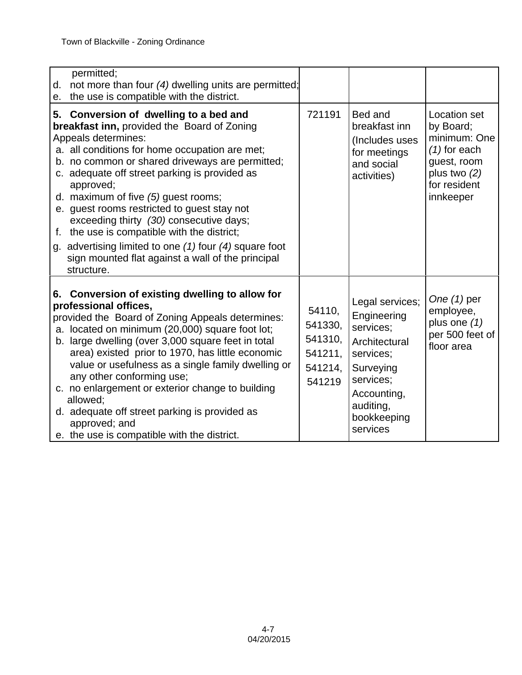| permitted;<br>not more than four (4) dwelling units are permitted;<br>d.<br>the use is compatible with the district.<br>e.                                                                                                                                                                                                                                                                                                                                                                                                                                                                                 |                                                              |                                                                                                                                                            |                                                                                                                           |
|------------------------------------------------------------------------------------------------------------------------------------------------------------------------------------------------------------------------------------------------------------------------------------------------------------------------------------------------------------------------------------------------------------------------------------------------------------------------------------------------------------------------------------------------------------------------------------------------------------|--------------------------------------------------------------|------------------------------------------------------------------------------------------------------------------------------------------------------------|---------------------------------------------------------------------------------------------------------------------------|
| 5. Conversion of dwelling to a bed and<br><b>breakfast inn, provided the Board of Zoning</b><br>Appeals determines:<br>a. all conditions for home occupation are met;<br>b. no common or shared driveways are permitted;<br>c. adequate off street parking is provided as<br>approved;<br>d. maximum of five (5) guest rooms;<br>e. guest rooms restricted to guest stay not<br>exceeding thirty (30) consecutive days;<br>the use is compatible with the district;<br>f.<br>g. advertising limited to one $(1)$ four $(4)$ square foot<br>sign mounted flat against a wall of the principal<br>structure. | 721191                                                       | Bed and<br>breakfast inn<br>(Includes uses<br>for meetings<br>and social<br>activities)                                                                    | Location set<br>by Board;<br>minimum: One<br>$(1)$ for each<br>guest, room<br>plus two $(2)$<br>for resident<br>innkeeper |
| 6. Conversion of existing dwelling to allow for<br>professional offices,<br>provided the Board of Zoning Appeals determines:<br>a. located on minimum (20,000) square foot lot;<br>b. large dwelling (over 3,000 square feet in total<br>area) existed prior to 1970, has little economic<br>value or usefulness as a single family dwelling or<br>any other conforming use;<br>c. no enlargement or exterior change to building<br>allowed;<br>d. adequate off street parking is provided as<br>approved; and<br>e. the use is compatible with the district.                                              | 54110,<br>541330,<br>541310,<br>541211,<br>541214,<br>541219 | Legal services;<br>Engineering<br>services;<br>Architectural<br>services;<br>Surveying<br>services;<br>Accounting,<br>auditing,<br>bookkeeping<br>services | One $(1)$ per<br>employee,<br>plus one $(1)$<br>per 500 feet of<br>floor area                                             |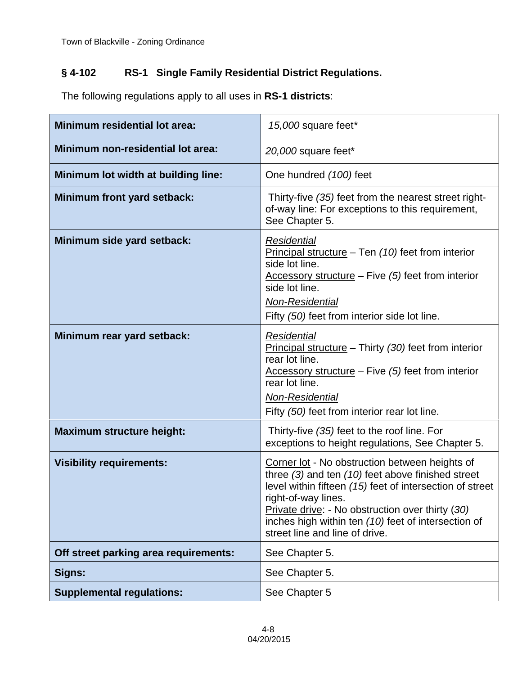#### **§ 4-102 RS-1 Single Family Residential District Regulations.**

The following regulations apply to all uses in **RS-1 districts**:

| <b>Minimum residential lot area:</b>  | 15,000 square feet*                                                                                                                                                                                                                                                                                                                     |  |  |
|---------------------------------------|-----------------------------------------------------------------------------------------------------------------------------------------------------------------------------------------------------------------------------------------------------------------------------------------------------------------------------------------|--|--|
| Minimum non-residential lot area:     | 20,000 square feet*                                                                                                                                                                                                                                                                                                                     |  |  |
| Minimum lot width at building line:   | One hundred (100) feet                                                                                                                                                                                                                                                                                                                  |  |  |
| Minimum front yard setback:           | Thirty-five (35) feet from the nearest street right-<br>of-way line: For exceptions to this requirement,<br>See Chapter 5.                                                                                                                                                                                                              |  |  |
| Minimum side yard setback:            | <b>Residential</b><br>Principal structure - Ten $(10)$ feet from interior<br>side lot line.<br>Accessory structure - Five (5) feet from interior<br>side lot line.<br><b>Non-Residential</b><br>Fifty (50) feet from interior side lot line.                                                                                            |  |  |
| Minimum rear yard setback:            | <b>Residential</b><br>Principal structure – Thirty $(30)$ feet from interior<br>rear lot line.<br>$\frac{\text{Accessory structure}}{\text{Per}(5)}$ feet from interior<br>rear lot line.<br><b>Non-Residential</b><br>Fifty (50) feet from interior rear lot line.                                                                     |  |  |
| <b>Maximum structure height:</b>      | Thirty-five (35) feet to the roof line. For<br>exceptions to height regulations, See Chapter 5.                                                                                                                                                                                                                                         |  |  |
| <b>Visibility requirements:</b>       | Corner lot - No obstruction between heights of<br>three $(3)$ and ten $(10)$ feet above finished street<br>level within fifteen (15) feet of intersection of street<br>right-of-way lines.<br>Private drive: - No obstruction over thirty (30)<br>inches high within ten (10) feet of intersection of<br>street line and line of drive. |  |  |
| Off street parking area requirements: | See Chapter 5.                                                                                                                                                                                                                                                                                                                          |  |  |
| Signs:                                | See Chapter 5.                                                                                                                                                                                                                                                                                                                          |  |  |
| <b>Supplemental regulations:</b>      | See Chapter 5                                                                                                                                                                                                                                                                                                                           |  |  |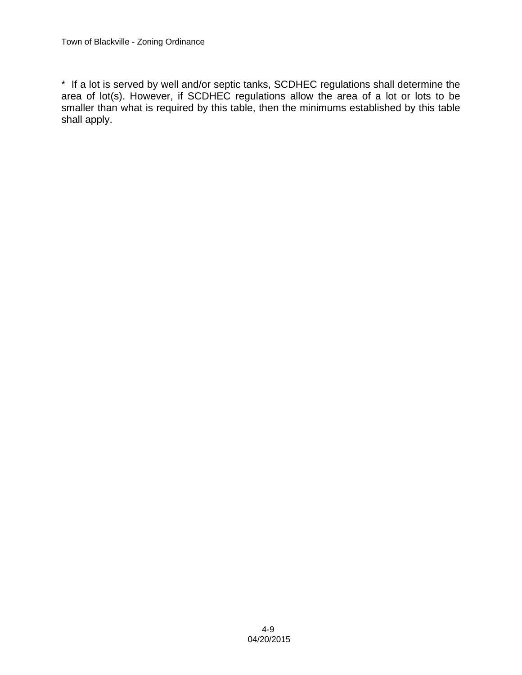\* If a lot is served by well and/or septic tanks, SCDHEC regulations shall determine the area of lot(s). However, if SCDHEC regulations allow the area of a lot or lots to be smaller than what is required by this table, then the minimums established by this table shall apply.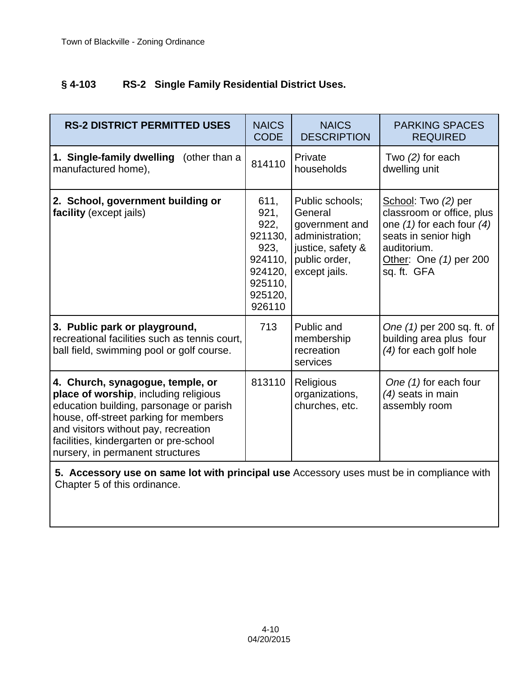#### **§ 4-103 RS-2 Single Family Residential District Uses.**

| <b>RS-2 DISTRICT PERMITTED USES</b>                                                                                                                                                                                                                                                 | <b>NAICS</b><br><b>CODE</b>                                                                   | <b>NAICS</b><br><b>DESCRIPTION</b>                                                                                     | <b>PARKING SPACES</b><br><b>REQUIRED</b>                                                                                                                          |
|-------------------------------------------------------------------------------------------------------------------------------------------------------------------------------------------------------------------------------------------------------------------------------------|-----------------------------------------------------------------------------------------------|------------------------------------------------------------------------------------------------------------------------|-------------------------------------------------------------------------------------------------------------------------------------------------------------------|
| 1. Single-family dwelling (other than a<br>manufactured home),                                                                                                                                                                                                                      | 814110                                                                                        | Private<br>households                                                                                                  | Two $(2)$ for each<br>dwelling unit                                                                                                                               |
| 2. School, government building or<br>facility (except jails)                                                                                                                                                                                                                        | 611,<br>921,<br>922,<br>921130.<br>923,<br>924110,<br>924120.<br>925110.<br>925120,<br>926110 | Public schools;<br>General<br>government and<br>administration;<br>justice, safety &<br>public order,<br>except jails. | School: Two (2) per<br>classroom or office, plus<br>one $(1)$ for each four $(4)$<br>seats in senior high<br>auditorium.<br>Other: One (1) per 200<br>sq. ft. GFA |
| 3. Public park or playground,<br>recreational facilities such as tennis court,<br>ball field, swimming pool or golf course.                                                                                                                                                         | 713                                                                                           | Public and<br>membership<br>recreation<br>services                                                                     | One (1) per 200 sq. ft. of<br>building area plus four<br>(4) for each golf hole                                                                                   |
| 4. Church, synagogue, temple, or<br>place of worship, including religious<br>education building, parsonage or parish<br>house, off-street parking for members<br>and visitors without pay, recreation<br>facilities, kindergarten or pre-school<br>nursery, in permanent structures | 813110                                                                                        | Religious<br>organizations,<br>churches, etc.                                                                          | One (1) for each four<br>$(4)$ seats in main<br>assembly room                                                                                                     |

**5. Accessory use on same lot with principal use** Accessory uses must be in compliance with Chapter 5 of this ordinance.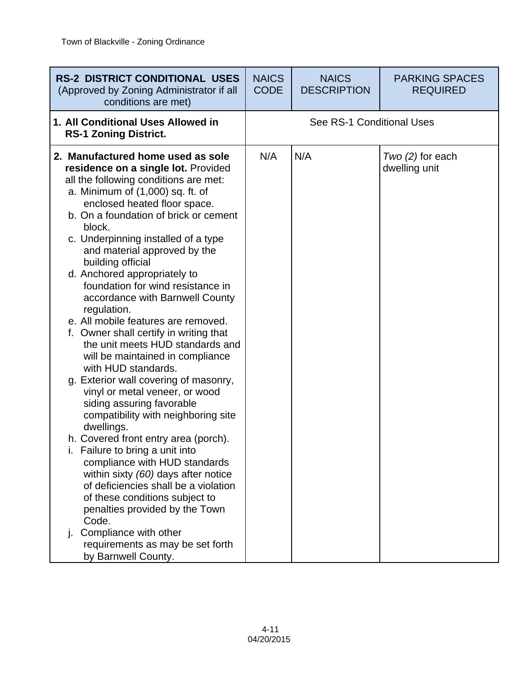| <b>RS-2 DISTRICT CONDITIONAL USES</b><br>(Approved by Zoning Administrator if all<br>conditions are met)                                                                                                                                                                                                                                                                                                                                                                                                                                                                                                                                                                                                                                                                                                                                                                                                                                                                                                                                                                                                                                                             | <b>NAICS</b><br><b>CODE</b> | <b>NAICS</b><br><b>DESCRIPTION</b> | <b>PARKING SPACES</b><br><b>REQUIRED</b> |
|----------------------------------------------------------------------------------------------------------------------------------------------------------------------------------------------------------------------------------------------------------------------------------------------------------------------------------------------------------------------------------------------------------------------------------------------------------------------------------------------------------------------------------------------------------------------------------------------------------------------------------------------------------------------------------------------------------------------------------------------------------------------------------------------------------------------------------------------------------------------------------------------------------------------------------------------------------------------------------------------------------------------------------------------------------------------------------------------------------------------------------------------------------------------|-----------------------------|------------------------------------|------------------------------------------|
| 1. All Conditional Uses Allowed in<br><b>RS-1 Zoning District.</b>                                                                                                                                                                                                                                                                                                                                                                                                                                                                                                                                                                                                                                                                                                                                                                                                                                                                                                                                                                                                                                                                                                   |                             | See RS-1 Conditional Uses          |                                          |
| 2. Manufactured home used as sole<br>residence on a single lot. Provided<br>all the following conditions are met:<br>a. Minimum of (1,000) sq. ft. of<br>enclosed heated floor space.<br>b. On a foundation of brick or cement<br>block.<br>c. Underpinning installed of a type<br>and material approved by the<br>building official<br>d. Anchored appropriately to<br>foundation for wind resistance in<br>accordance with Barnwell County<br>regulation.<br>e. All mobile features are removed.<br>f. Owner shall certify in writing that<br>the unit meets HUD standards and<br>will be maintained in compliance<br>with HUD standards.<br>g. Exterior wall covering of masonry,<br>vinyl or metal veneer, or wood<br>siding assuring favorable<br>compatibility with neighboring site<br>dwellings.<br>h. Covered front entry area (porch).<br>i. Failure to bring a unit into<br>compliance with HUD standards<br>within sixty (60) days after notice<br>of deficiencies shall be a violation<br>of these conditions subject to<br>penalties provided by the Town<br>Code.<br>Compliance with other<br>requirements as may be set forth<br>by Barnwell County. | N/A                         | N/A                                | $Two(2)$ for each<br>dwelling unit       |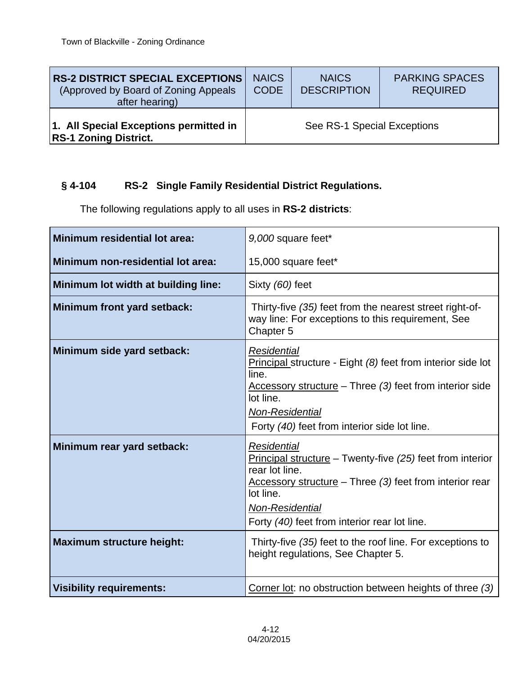| <b>RS-2 DISTRICT SPECIAL EXCEPTIONS</b><br>(Approved by Board of Zoning Appeals)<br>after hearing) | <b>NAICS</b><br><b>CODE</b> | <b>NAICS</b><br><b>DESCRIPTION</b> | <b>PARKING SPACES</b><br><b>REQUIRED</b> |
|----------------------------------------------------------------------------------------------------|-----------------------------|------------------------------------|------------------------------------------|
| 1. All Special Exceptions permitted in<br><b>RS-1 Zoning District.</b>                             | See RS-1 Special Exceptions |                                    |                                          |

#### **§ 4-104 RS-2 Single Family Residential District Regulations.**

| <b>Minimum residential lot area:</b> | 9,000 square feet*                                                                                                                                                                                                                                                               |  |  |
|--------------------------------------|----------------------------------------------------------------------------------------------------------------------------------------------------------------------------------------------------------------------------------------------------------------------------------|--|--|
| Minimum non-residential lot area:    | 15,000 square feet*                                                                                                                                                                                                                                                              |  |  |
| Minimum lot width at building line:  | Sixty (60) feet                                                                                                                                                                                                                                                                  |  |  |
| Minimum front yard setback:          | Thirty-five (35) feet from the nearest street right-of-<br>way line: For exceptions to this requirement, See<br>Chapter 5                                                                                                                                                        |  |  |
| Minimum side yard setback:           | <b>Residential</b><br>Principal structure - Eight (8) feet from interior side lot<br>line.<br>$\frac{\text{Accessory structure}}{\text{Area}} - \text{Three (3)}$ feet from interior side<br>lot line.<br><b>Non-Residential</b><br>Forty (40) feet from interior side lot line. |  |  |
| Minimum rear yard setback:           | <b>Residential</b><br>Principal structure - Twenty-five (25) feet from interior<br>rear lot line.<br>Accessory structure - Three (3) feet from interior rear<br>lot line.<br><b>Non-Residential</b><br>Forty (40) feet from interior rear lot line.                              |  |  |
| <b>Maximum structure height:</b>     | Thirty-five (35) feet to the roof line. For exceptions to<br>height regulations, See Chapter 5.                                                                                                                                                                                  |  |  |
| <b>Visibility requirements:</b>      | Corner lot: no obstruction between heights of three (3)                                                                                                                                                                                                                          |  |  |

The following regulations apply to all uses in **RS-2 districts**: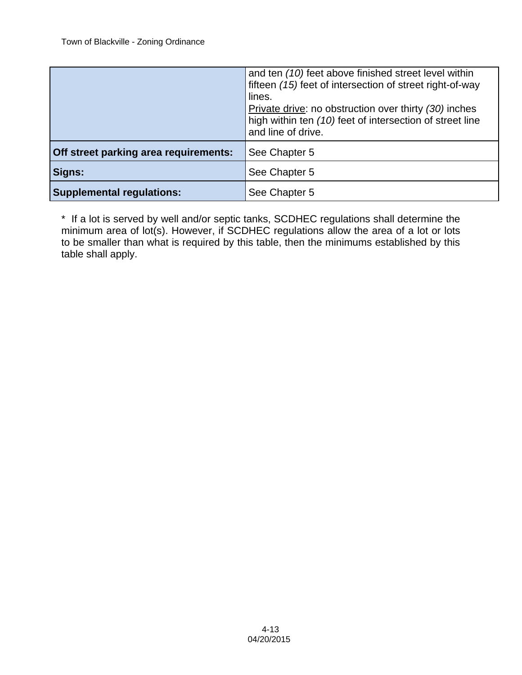|                                       | and ten (10) feet above finished street level within<br>fifteen (15) feet of intersection of street right-of-way<br>lines.<br>Private drive: no obstruction over thirty (30) inches<br>high within ten (10) feet of intersection of street line<br>and line of drive. |
|---------------------------------------|-----------------------------------------------------------------------------------------------------------------------------------------------------------------------------------------------------------------------------------------------------------------------|
| Off street parking area requirements: | See Chapter 5                                                                                                                                                                                                                                                         |
| Signs:                                | See Chapter 5                                                                                                                                                                                                                                                         |
| <b>Supplemental regulations:</b>      | See Chapter 5                                                                                                                                                                                                                                                         |

\* If a lot is served by well and/or septic tanks, SCDHEC regulations shall determine the minimum area of lot(s). However, if SCDHEC regulations allow the area of a lot or lots to be smaller than what is required by this table, then the minimums established by this table shall apply.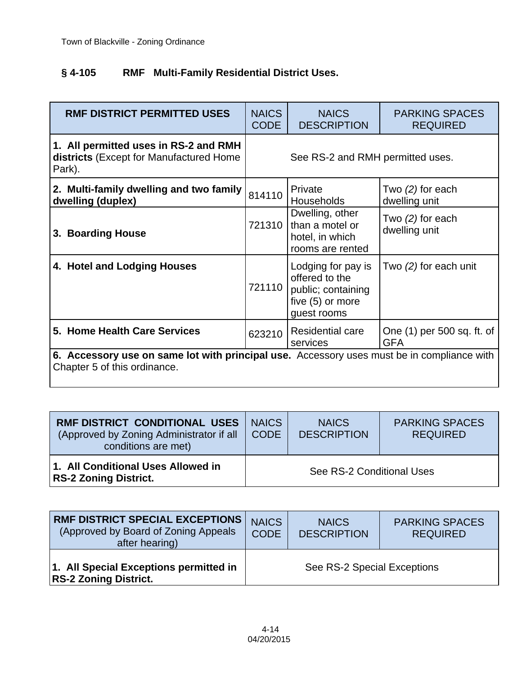### **§ 4-105 RMF Multi-Family Residential District Uses.**

| <b>RMF DISTRICT PERMITTED USES</b>                                                                                         | <b>NAICS</b><br><b>CODE</b>      | <b>NAICS</b><br><b>DESCRIPTION</b>                                                            | <b>PARKING SPACES</b><br><b>REQUIRED</b> |
|----------------------------------------------------------------------------------------------------------------------------|----------------------------------|-----------------------------------------------------------------------------------------------|------------------------------------------|
| 1. All permitted uses in RS-2 and RMH<br>districts (Except for Manufactured Home<br>Park).                                 | See RS-2 and RMH permitted uses. |                                                                                               |                                          |
| 2. Multi-family dwelling and two family<br>dwelling (duplex)                                                               | 814110                           | Private<br><b>Households</b>                                                                  | Two $(2)$ for each<br>dwelling unit      |
| 3. Boarding House                                                                                                          | 721310                           | Dwelling, other<br>than a motel or<br>hotel, in which<br>rooms are rented                     | Two $(2)$ for each<br>dwelling unit      |
| 4. Hotel and Lodging Houses                                                                                                | 721110                           | Lodging for pay is<br>offered to the<br>public; containing<br>five (5) or more<br>guest rooms | Two (2) for each unit                    |
| 5. Home Health Care Services                                                                                               | 623210                           | <b>Residential care</b><br>services                                                           | One (1) per 500 sq. ft. of<br><b>GFA</b> |
| 6. Accessory use on same lot with principal use. Accessory uses must be in compliance with<br>Chapter 5 of this ordinance. |                                  |                                                                                               |                                          |

| <b>RMF DISTRICT CONDITIONAL USES</b><br>(Approved by Zoning Administrator if all<br>conditions are met) | <b>NAICS</b><br><b>CODE</b> | <b>NAICS</b><br><b>DESCRIPTION</b> | <b>PARKING SPACES</b><br><b>REQUIRED</b> |
|---------------------------------------------------------------------------------------------------------|-----------------------------|------------------------------------|------------------------------------------|
| 1. All Conditional Uses Allowed in<br><b>RS-2 Zoning District.</b>                                      | See RS-2 Conditional Uses   |                                    |                                          |

| <b>RMF DISTRICT SPECIAL EXCEPTIONS</b><br>(Approved by Board of Zoning Appeals)<br>after hearing) | <b>NAICS</b><br><b>CODE</b> | <b>NAICS</b><br><b>DESCRIPTION</b> | <b>PARKING SPACES</b><br><b>REQUIRED</b> |
|---------------------------------------------------------------------------------------------------|-----------------------------|------------------------------------|------------------------------------------|
| 1. All Special Exceptions permitted in<br><b>RS-2 Zoning District.</b>                            |                             | See RS-2 Special Exceptions        |                                          |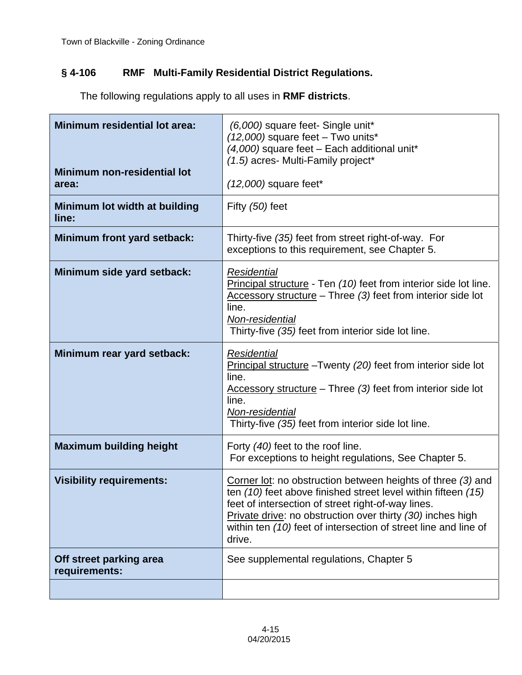#### **§ 4-106 RMF Multi-Family Residential District Regulations.**

The following regulations apply to all uses in **RMF districts**.

| <b>Minimum residential lot area:</b><br><b>Minimum non-residential lot</b> | (6,000) square feet- Single unit*<br>$(12,000)$ square feet - Two units*<br>$(4,000)$ square feet - Each additional unit*<br>(1.5) acres- Multi-Family project*                                                                                                                                                               |
|----------------------------------------------------------------------------|-------------------------------------------------------------------------------------------------------------------------------------------------------------------------------------------------------------------------------------------------------------------------------------------------------------------------------|
| area:                                                                      | $(12,000)$ square feet*                                                                                                                                                                                                                                                                                                       |
| Minimum lot width at building<br>line:                                     | Fifty (50) feet                                                                                                                                                                                                                                                                                                               |
| Minimum front yard setback:                                                | Thirty-five (35) feet from street right-of-way. For<br>exceptions to this requirement, see Chapter 5.                                                                                                                                                                                                                         |
| Minimum side yard setback:                                                 | <b>Residential</b><br>Principal structure - Ten (10) feet from interior side lot line.<br>$\frac{\text{Accessory structure}}{\text{Area}} - \text{Three (3)}$ feet from interior side lot<br>line.<br>Non-residential<br>Thirty-five (35) feet from interior side lot line.                                                   |
| Minimum rear yard setback:                                                 | <b>Residential</b><br>Principal structure - Twenty (20) feet from interior side lot<br>line.<br>$\frac{\text{Accessory structure}}{\text{Area}} - \text{Three (3) feet from interior side lot}$<br>line.<br>Non-residential<br>Thirty-five (35) feet from interior side lot line.                                             |
| <b>Maximum building height</b>                                             | Forty (40) feet to the roof line.<br>For exceptions to height regulations, See Chapter 5.                                                                                                                                                                                                                                     |
| <b>Visibility requirements:</b>                                            | Corner lot: no obstruction between heights of three (3) and<br>ten (10) feet above finished street level within fifteen (15)<br>feet of intersection of street right-of-way lines.<br>Private drive: no obstruction over thirty (30) inches high<br>within ten (10) feet of intersection of street line and line of<br>drive. |
| Off street parking area<br>requirements:                                   | See supplemental regulations, Chapter 5                                                                                                                                                                                                                                                                                       |
|                                                                            |                                                                                                                                                                                                                                                                                                                               |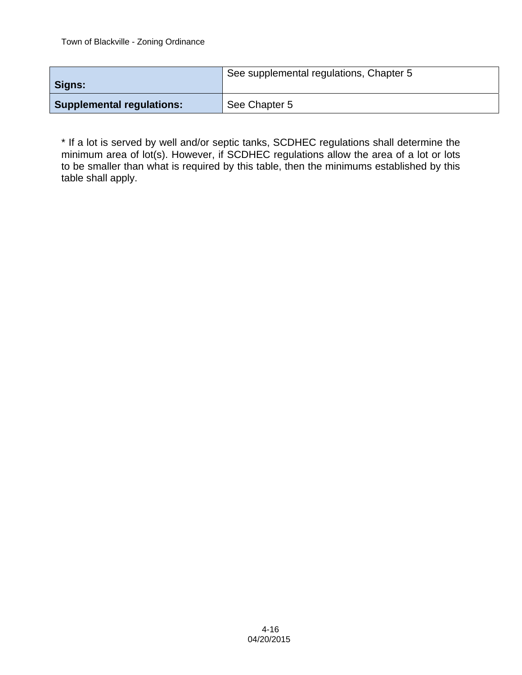| Signs:                           | See supplemental regulations, Chapter 5 |
|----------------------------------|-----------------------------------------|
| <b>Supplemental regulations:</b> | See Chapter 5                           |

\* If a lot is served by well and/or septic tanks, SCDHEC regulations shall determine the minimum area of lot(s). However, if SCDHEC regulations allow the area of a lot or lots to be smaller than what is required by this table, then the minimums established by this table shall apply.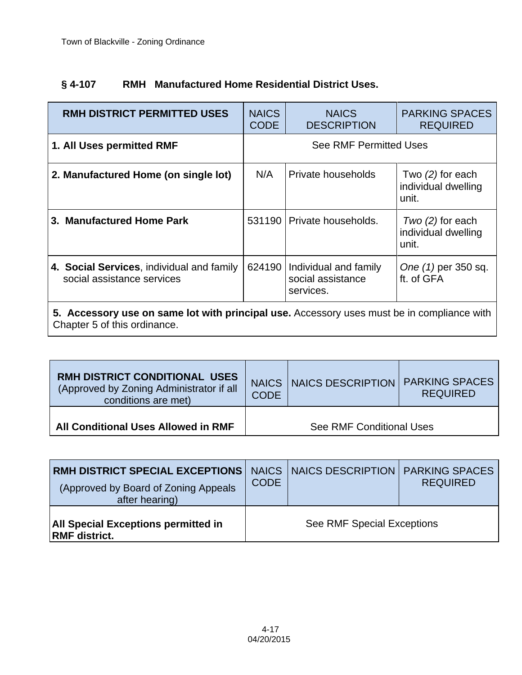## **§ 4-107 RMH Manufactured Home Residential District Uses.**

| <b>RMH DISTRICT PERMITTED USES</b>                                                                                         | <b>NAICS</b><br><b>CODE</b> | <b>NAICS</b><br><b>DESCRIPTION</b>                      | <b>PARKING SPACES</b><br><b>REQUIRED</b>           |
|----------------------------------------------------------------------------------------------------------------------------|-----------------------------|---------------------------------------------------------|----------------------------------------------------|
| 1. All Uses permitted RMF                                                                                                  |                             | <b>See RMF Permitted Uses</b>                           |                                                    |
| 2. Manufactured Home (on single lot)                                                                                       | N/A                         | Private households                                      | Two $(2)$ for each<br>individual dwelling<br>unit. |
| 3. Manufactured Home Park                                                                                                  | 531190                      | Private households.                                     | $Two(2)$ for each<br>individual dwelling<br>unit.  |
| 4. Social Services, individual and family<br>social assistance services                                                    | 624190                      | Individual and family<br>social assistance<br>services. | One (1) per 350 sq.<br>ft. of GFA                  |
| 5. Accessory use on same lot with principal use. Accessory uses must be in compliance with<br>Chapter 5 of this ordinance. |                             |                                                         |                                                    |

| RMH DISTRICT CONDITIONAL USES<br>(Approved by Zoning Administrator if all<br>conditions are met) | <b>CODE</b> | NAICS NAICS DESCRIPTION  | <b>PARKING SPACES</b><br><b>REQUIRED</b> |
|--------------------------------------------------------------------------------------------------|-------------|--------------------------|------------------------------------------|
| All Conditional Uses Allowed in RMF                                                              |             | See RMF Conditional Uses |                                          |

| <b>RMH DISTRICT SPECIAL EXCEPTIONS   NAICS   NAICS DESCRIPTION   PARKING SPACES</b><br>(Approved by Board of Zoning Appeals)<br>after hearing) | <b>CODE</b> |                            | <b>REQUIRED</b> |
|------------------------------------------------------------------------------------------------------------------------------------------------|-------------|----------------------------|-----------------|
| <b>All Special Exceptions permitted in</b><br><b>RMF</b> district.                                                                             |             | See RMF Special Exceptions |                 |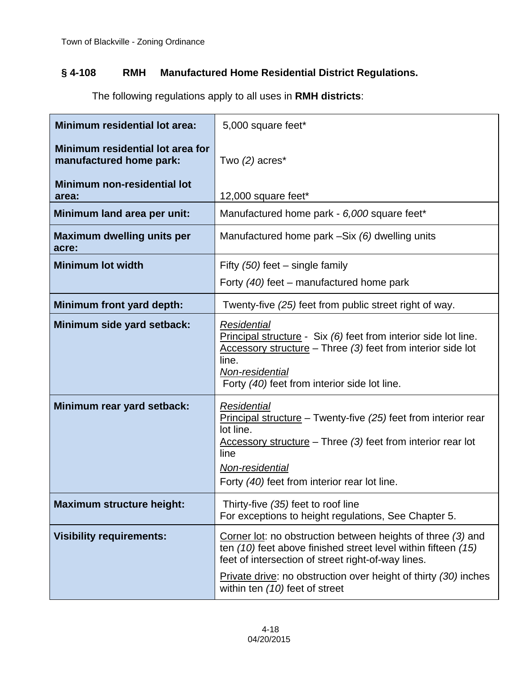## **§ 4-108 RMH Manufactured Home Residential District Regulations.**

The following regulations apply to all uses in **RMH districts**:

| <b>Minimum residential lot area:</b>                        | 5,000 square feet*                                                                                                                                                                                                                                                                        |
|-------------------------------------------------------------|-------------------------------------------------------------------------------------------------------------------------------------------------------------------------------------------------------------------------------------------------------------------------------------------|
| Minimum residential lot area for<br>manufactured home park: | Two $(2)$ acres <sup>*</sup>                                                                                                                                                                                                                                                              |
| <b>Minimum non-residential lot</b><br>area:                 | 12,000 square feet*                                                                                                                                                                                                                                                                       |
| Minimum land area per unit:                                 | Manufactured home park - 6,000 square feet*                                                                                                                                                                                                                                               |
| <b>Maximum dwelling units per</b><br>acre:                  | Manufactured home park -Six (6) dwelling units                                                                                                                                                                                                                                            |
| <b>Minimum lot width</b>                                    | Fifty $(50)$ feet – single family<br>Forty $(40)$ feet – manufactured home park                                                                                                                                                                                                           |
| Minimum front yard depth:                                   | Twenty-five (25) feet from public street right of way.                                                                                                                                                                                                                                    |
| Minimum side yard setback:                                  | Residential<br>Principal structure - Six (6) feet from interior side lot line.<br>$\frac{\text{Accessory structure}}{\text{Average}} - \text{Three (3)}$ feet from interior side lot<br>line.<br>Non-residential<br>Forty (40) feet from interior side lot line.                          |
| Minimum rear yard setback:                                  | Residential<br>Principal structure – Twenty-five $(25)$ feet from interior rear<br>lot line.<br>$\frac{\text{Accessory structure}}{\text{P}}$ – Three (3) feet from interior rear lot<br>line<br>Non-residential<br>Forty (40) feet from interior rear lot line.                          |
| <b>Maximum structure height:</b>                            | Thirty-five (35) feet to roof line<br>For exceptions to height regulations, See Chapter 5.                                                                                                                                                                                                |
| <b>Visibility requirements:</b>                             | Corner lot: no obstruction between heights of three (3) and<br>ten (10) feet above finished street level within fifteen (15)<br>feet of intersection of street right-of-way lines.<br>Private drive: no obstruction over height of thirty $(30)$ inches<br>within ten (10) feet of street |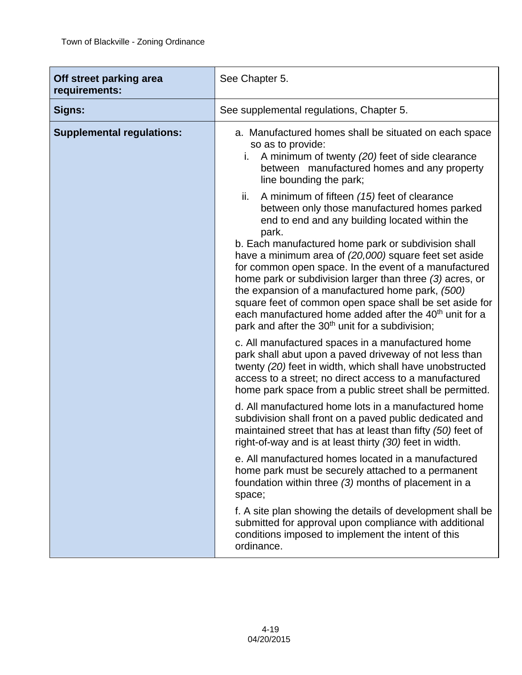| Off street parking area<br>requirements: | See Chapter 5.                                                                                                                                                                                                                                                                                                                                                                                                                                                                                                                                                                                                                                         |  |  |
|------------------------------------------|--------------------------------------------------------------------------------------------------------------------------------------------------------------------------------------------------------------------------------------------------------------------------------------------------------------------------------------------------------------------------------------------------------------------------------------------------------------------------------------------------------------------------------------------------------------------------------------------------------------------------------------------------------|--|--|
| Signs:                                   | See supplemental regulations, Chapter 5.                                                                                                                                                                                                                                                                                                                                                                                                                                                                                                                                                                                                               |  |  |
| <b>Supplemental regulations:</b>         | a. Manufactured homes shall be situated on each space<br>so as to provide:<br>A minimum of twenty (20) feet of side clearance<br>i.<br>between manufactured homes and any property<br>line bounding the park;                                                                                                                                                                                                                                                                                                                                                                                                                                          |  |  |
|                                          | ii.<br>A minimum of fifteen (15) feet of clearance<br>between only those manufactured homes parked<br>end to end and any building located within the<br>park.<br>b. Each manufactured home park or subdivision shall<br>have a minimum area of (20,000) square feet set aside<br>for common open space. In the event of a manufactured<br>home park or subdivision larger than three (3) acres, or<br>the expansion of a manufactured home park, (500)<br>square feet of common open space shall be set aside for<br>each manufactured home added after the 40 <sup>th</sup> unit for a<br>park and after the 30 <sup>th</sup> unit for a subdivision; |  |  |
|                                          | c. All manufactured spaces in a manufactured home<br>park shall abut upon a paved driveway of not less than<br>twenty (20) feet in width, which shall have unobstructed<br>access to a street; no direct access to a manufactured<br>home park space from a public street shall be permitted.<br>d. All manufactured home lots in a manufactured home<br>subdivision shall front on a paved public dedicated and<br>maintained street that has at least than fifty (50) feet of                                                                                                                                                                        |  |  |
|                                          | right-of-way and is at least thirty (30) feet in width.<br>e. All manufactured homes located in a manufactured<br>home park must be securely attached to a permanent<br>foundation within three (3) months of placement in a<br>space;<br>f. A site plan showing the details of development shall be                                                                                                                                                                                                                                                                                                                                                   |  |  |
|                                          | submitted for approval upon compliance with additional<br>conditions imposed to implement the intent of this<br>ordinance.                                                                                                                                                                                                                                                                                                                                                                                                                                                                                                                             |  |  |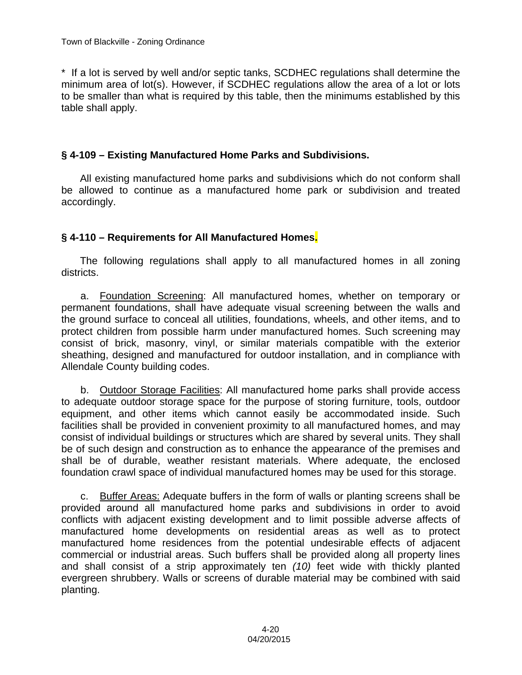\* If a lot is served by well and/or septic tanks, SCDHEC regulations shall determine the minimum area of lot(s). However, if SCDHEC regulations allow the area of a lot or lots to be smaller than what is required by this table, then the minimums established by this table shall apply.

#### **§ 4-109 – Existing Manufactured Home Parks and Subdivisions.**

All existing manufactured home parks and subdivisions which do not conform shall be allowed to continue as a manufactured home park or subdivision and treated accordingly.

#### **§ 4-110 – Requirements for All Manufactured Homes.**

The following regulations shall apply to all manufactured homes in all zoning districts.

a. Foundation Screening: All manufactured homes, whether on temporary or permanent foundations, shall have adequate visual screening between the walls and the ground surface to conceal all utilities, foundations, wheels, and other items, and to protect children from possible harm under manufactured homes. Such screening may consist of brick, masonry, vinyl, or similar materials compatible with the exterior sheathing, designed and manufactured for outdoor installation, and in compliance with Allendale County building codes.

b. Outdoor Storage Facilities: All manufactured home parks shall provide access to adequate outdoor storage space for the purpose of storing furniture, tools, outdoor equipment, and other items which cannot easily be accommodated inside. Such facilities shall be provided in convenient proximity to all manufactured homes, and may consist of individual buildings or structures which are shared by several units. They shall be of such design and construction as to enhance the appearance of the premises and shall be of durable, weather resistant materials. Where adequate, the enclosed foundation crawl space of individual manufactured homes may be used for this storage.

c. Buffer Areas: Adequate buffers in the form of walls or planting screens shall be provided around all manufactured home parks and subdivisions in order to avoid conflicts with adjacent existing development and to limit possible adverse affects of manufactured home developments on residential areas as well as to protect manufactured home residences from the potential undesirable effects of adjacent commercial or industrial areas. Such buffers shall be provided along all property lines and shall consist of a strip approximately ten *(10)* feet wide with thickly planted evergreen shrubbery. Walls or screens of durable material may be combined with said planting.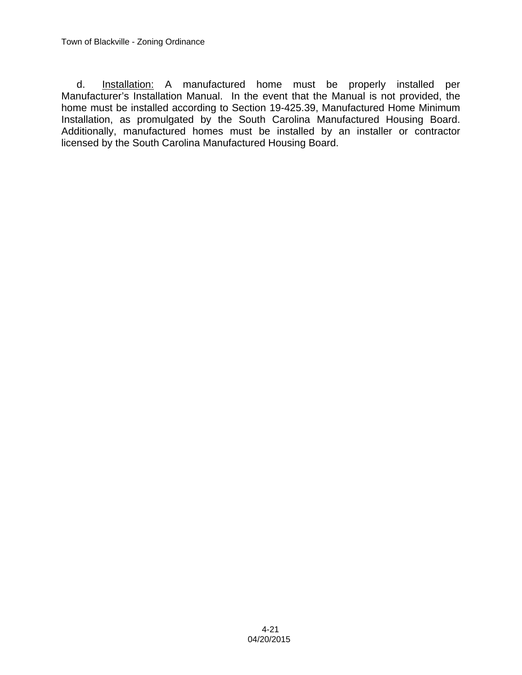d. Installation: A manufactured home must be properly installed per Manufacturer's Installation Manual. In the event that the Manual is not provided, the home must be installed according to Section 19-425.39, Manufactured Home Minimum Installation, as promulgated by the South Carolina Manufactured Housing Board. Additionally, manufactured homes must be installed by an installer or contractor licensed by the South Carolina Manufactured Housing Board.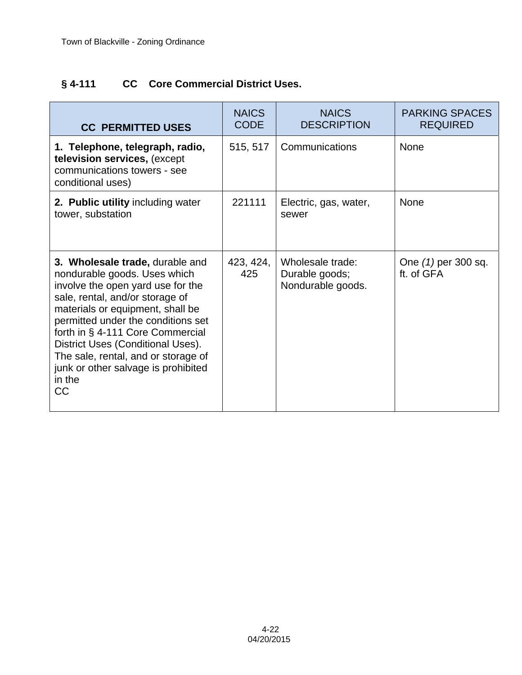## **§ 4-111 CC Core Commercial District Uses.**

| <b>CC PERMITTED USES</b>                                                                                                                                                                                                                                                                                                                                                                        | <b>NAICS</b><br><b>CODE</b> | <b>NAICS</b><br><b>DESCRIPTION</b>                      | <b>PARKING SPACES</b><br><b>REQUIRED</b> |
|-------------------------------------------------------------------------------------------------------------------------------------------------------------------------------------------------------------------------------------------------------------------------------------------------------------------------------------------------------------------------------------------------|-----------------------------|---------------------------------------------------------|------------------------------------------|
| 1. Telephone, telegraph, radio,<br>television services, (except<br>communications towers - see<br>conditional uses)                                                                                                                                                                                                                                                                             | 515, 517                    | Communications                                          | <b>None</b>                              |
| 2. Public utility including water<br>tower, substation                                                                                                                                                                                                                                                                                                                                          | 221111                      | Electric, gas, water,<br>sewer                          | <b>None</b>                              |
| 3. Wholesale trade, durable and<br>nondurable goods. Uses which<br>involve the open yard use for the<br>sale, rental, and/or storage of<br>materials or equipment, shall be<br>permitted under the conditions set<br>forth in § 4-111 Core Commercial<br>District Uses (Conditional Uses).<br>The sale, rental, and or storage of<br>junk or other salvage is prohibited<br>in the<br><b>CC</b> | 423, 424,<br>425            | Wholesale trade:<br>Durable goods;<br>Nondurable goods. | One (1) per 300 sq.<br>ft. of GFA        |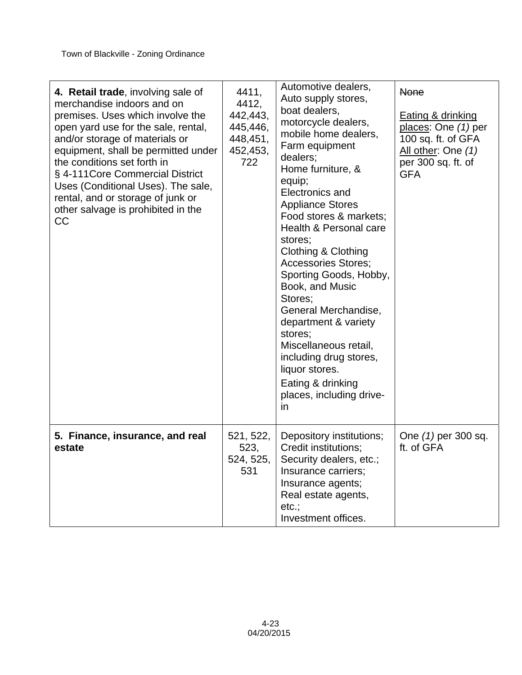| 4. Retail trade, involving sale of<br>merchandise indoors and on<br>premises. Uses which involve the<br>open yard use for the sale, rental,<br>and/or storage of materials or<br>equipment, shall be permitted under<br>the conditions set forth in<br>§ 4-111 Core Commercial District<br>Uses (Conditional Uses). The sale,<br>rental, and or storage of junk or<br>other salvage is prohibited in the<br>CC | 4411,<br>4412,<br>442,443,<br>445,446,<br>448,451,<br>452,453,<br>722 | Automotive dealers,<br>Auto supply stores,<br>boat dealers,<br>motorcycle dealers,<br>mobile home dealers,<br>Farm equipment<br>dealers;<br>Home furniture, &<br>equip;<br>Electronics and<br><b>Appliance Stores</b><br>Food stores & markets;<br>Health & Personal care<br>stores;<br>Clothing & Clothing<br><b>Accessories Stores;</b><br>Sporting Goods, Hobby,<br>Book, and Music<br>Stores;<br>General Merchandise,<br>department & variety<br>stores;<br>Miscellaneous retail,<br>including drug stores,<br>liquor stores.<br>Eating & drinking<br>places, including drive-<br>in | <b>None</b><br><b>Eating &amp; drinking</b><br>places: One (1) per<br>100 sq. ft. of GFA<br>All other: One (1)<br>per 300 sq. ft. of<br><b>GFA</b> |
|----------------------------------------------------------------------------------------------------------------------------------------------------------------------------------------------------------------------------------------------------------------------------------------------------------------------------------------------------------------------------------------------------------------|-----------------------------------------------------------------------|------------------------------------------------------------------------------------------------------------------------------------------------------------------------------------------------------------------------------------------------------------------------------------------------------------------------------------------------------------------------------------------------------------------------------------------------------------------------------------------------------------------------------------------------------------------------------------------|----------------------------------------------------------------------------------------------------------------------------------------------------|
| 5. Finance, insurance, and real<br>estate                                                                                                                                                                                                                                                                                                                                                                      | 521, 522,<br>523,<br>524, 525,<br>531                                 | Depository institutions;<br>Credit institutions;<br>Security dealers, etc.;<br>Insurance carriers;<br>Insurance agents;<br>Real estate agents,<br>etc.;<br>Investment offices.                                                                                                                                                                                                                                                                                                                                                                                                           | One (1) per 300 sq.<br>ft. of GFA                                                                                                                  |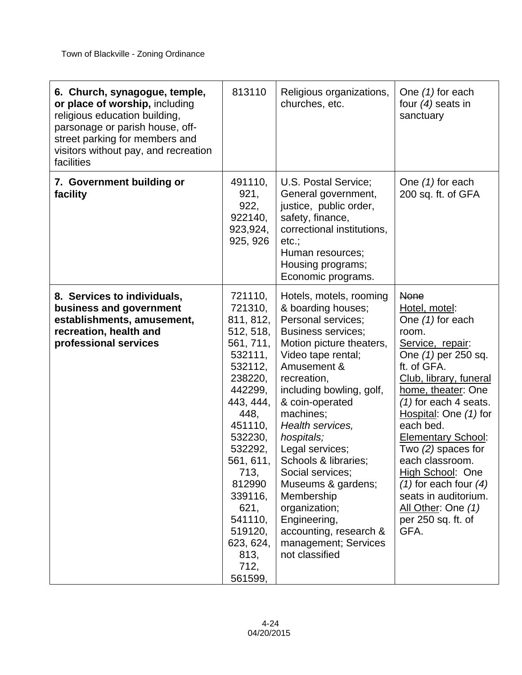| 6. Church, synagogue, temple,<br>or place of worship, including<br>religious education building,<br>parsonage or parish house, off-<br>street parking for members and<br>visitors without pay, and recreation<br>facilities | 813110                                                                                                                                                                                                                                                                      | Religious organizations,<br>churches, etc.                                                                                                                                                                                                                                                                                                                                                                                                                                             | One (1) for each<br>four $(4)$ seats in<br>sanctuary                                                                                                                                                                                                                                                                                                                                                                                        |
|-----------------------------------------------------------------------------------------------------------------------------------------------------------------------------------------------------------------------------|-----------------------------------------------------------------------------------------------------------------------------------------------------------------------------------------------------------------------------------------------------------------------------|----------------------------------------------------------------------------------------------------------------------------------------------------------------------------------------------------------------------------------------------------------------------------------------------------------------------------------------------------------------------------------------------------------------------------------------------------------------------------------------|---------------------------------------------------------------------------------------------------------------------------------------------------------------------------------------------------------------------------------------------------------------------------------------------------------------------------------------------------------------------------------------------------------------------------------------------|
| 7. Government building or<br>facility                                                                                                                                                                                       | 491110,<br>921,<br>922,<br>922140,<br>923,924,<br>925, 926                                                                                                                                                                                                                  | U.S. Postal Service;<br>General government,<br>justice, public order,<br>safety, finance,<br>correctional institutions,<br>etc.;<br>Human resources;<br>Housing programs;<br>Economic programs.                                                                                                                                                                                                                                                                                        | One $(1)$ for each<br>200 sq. ft. of GFA                                                                                                                                                                                                                                                                                                                                                                                                    |
| 8. Services to individuals,<br>business and government<br>establishments, amusement,<br>recreation, health and<br>professional services                                                                                     | 721110,<br>721310,<br>811, 812,<br>512, 518,<br>561, 711,<br>532111,<br>532112,<br>238220,<br>442299,<br>443, 444,<br>448,<br>451110,<br>532230,<br>532292,<br>561, 611,<br>713,<br>812990<br>339116,<br>621,<br>541110,<br>519120,<br>623, 624,<br>813,<br>712,<br>561599, | Hotels, motels, rooming<br>& boarding houses;<br>Personal services;<br><b>Business services;</b><br>Motion picture theaters,<br>Video tape rental;<br>Amusement &<br>recreation,<br>including bowling, golf,<br>& coin-operated<br>machines;<br>Health services,<br>hospitals;<br>Legal services;<br>Schools & libraries;<br>Social services;<br>Museums & gardens;<br>Membership<br>organization;<br>Engineering,<br>accounting, research &<br>management; Services<br>not classified | <b>None</b><br>Hotel, motel:<br>One $(1)$ for each<br>room.<br>Service, repair:<br>One (1) per 250 sq.<br>ft. of GFA.<br>Club, library, funeral<br>home, theater: One<br>$(1)$ for each 4 seats.<br>Hospital: One (1) for<br>each bed.<br><b>Elementary School:</b><br>Two $(2)$ spaces for<br>each classroom.<br>High School: One<br>$(1)$ for each four $(4)$<br>seats in auditorium.<br>All Other: One (1)<br>per 250 sq. ft. of<br>GFA. |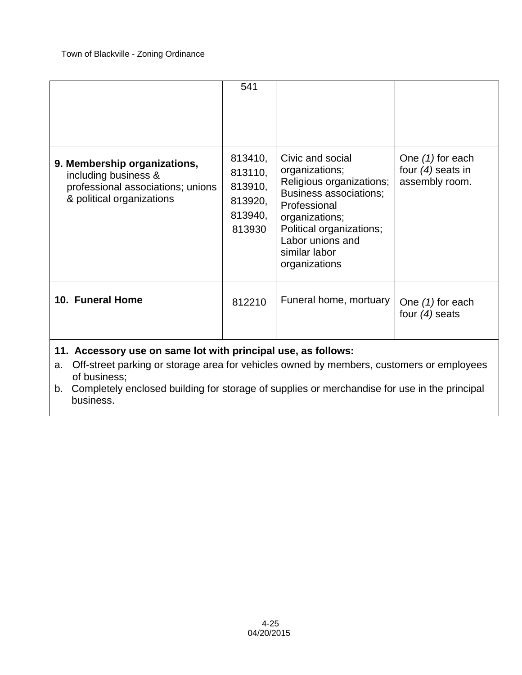| 9. Membership organizations,<br>including business &<br>professional associations; unions<br>& political organizations | 541<br>813410,<br>813110,<br>813910,<br>813920,<br>813940,<br>813930 | Civic and social<br>organizations;<br>Religious organizations;<br><b>Business associations;</b><br>Professional<br>organizations;<br>Political organizations;<br>Labor unions and<br>similar labor<br>organizations | One $(1)$ for each<br>four $(4)$ seats in<br>assembly room. |
|------------------------------------------------------------------------------------------------------------------------|----------------------------------------------------------------------|---------------------------------------------------------------------------------------------------------------------------------------------------------------------------------------------------------------------|-------------------------------------------------------------|
| 10. Funeral Home                                                                                                       | 812210                                                               | Funeral home, mortuary                                                                                                                                                                                              | One $(1)$ for each<br>four $(4)$ seats                      |
|                                                                                                                        |                                                                      |                                                                                                                                                                                                                     |                                                             |

**11. Accessory use on same lot with principal use, as follows:** 

a. Off-street parking or storage area for vehicles owned by members, customers or employees of business;

b. Completely enclosed building for storage of supplies or merchandise for use in the principal business.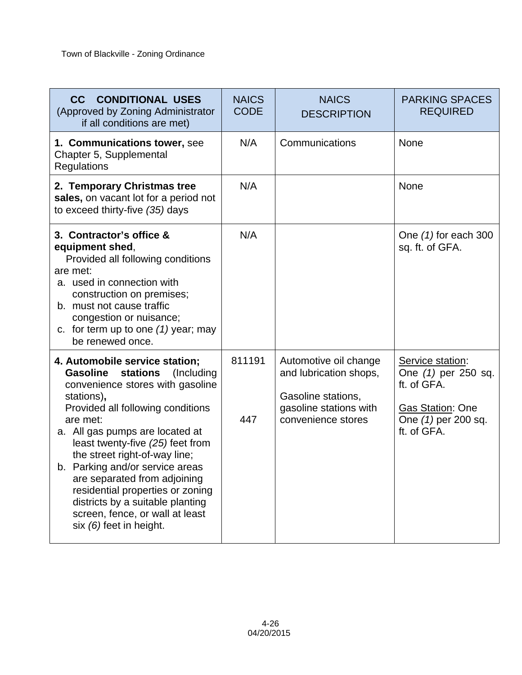| <b>CONDITIONAL USES</b><br>cc<br>(Approved by Zoning Administrator<br>if all conditions are met)                                                                                                                                                                                                                                                                                                                                                                                                       | <b>NAICS</b><br><b>CODE</b> | <b>NAICS</b><br><b>DESCRIPTION</b>                                                                                    | <b>PARKING SPACES</b><br><b>REQUIRED</b>                                                                                |
|--------------------------------------------------------------------------------------------------------------------------------------------------------------------------------------------------------------------------------------------------------------------------------------------------------------------------------------------------------------------------------------------------------------------------------------------------------------------------------------------------------|-----------------------------|-----------------------------------------------------------------------------------------------------------------------|-------------------------------------------------------------------------------------------------------------------------|
| 1. Communications tower, see<br>Chapter 5, Supplemental<br><b>Regulations</b>                                                                                                                                                                                                                                                                                                                                                                                                                          | N/A                         | Communications                                                                                                        | <b>None</b>                                                                                                             |
| 2. Temporary Christmas tree<br>sales, on vacant lot for a period not<br>to exceed thirty-five (35) days                                                                                                                                                                                                                                                                                                                                                                                                | N/A                         |                                                                                                                       | <b>None</b>                                                                                                             |
| 3. Contractor's office &<br>equipment shed,<br>Provided all following conditions<br>are met:<br>a. used in connection with<br>construction on premises;<br>b. must not cause traffic<br>congestion or nuisance;<br>c. for term up to one $(1)$ year; may<br>be renewed once.                                                                                                                                                                                                                           | N/A                         |                                                                                                                       | One (1) for each 300<br>sq. ft. of GFA.                                                                                 |
| 4. Automobile service station;<br><b>stations</b><br>(Including<br><b>Gasoline</b><br>convenience stores with gasoline<br>stations),<br>Provided all following conditions<br>are met:<br>a. All gas pumps are located at<br>least twenty-five (25) feet from<br>the street right-of-way line;<br>b. Parking and/or service areas<br>are separated from adjoining<br>residential properties or zoning<br>districts by a suitable planting<br>screen, fence, or wall at least<br>six (6) feet in height. | 811191<br>447               | Automotive oil change<br>and lubrication shops,<br>Gasoline stations,<br>gasoline stations with<br>convenience stores | Service station:<br>One (1) per 250 sq.<br>ft. of GFA.<br><b>Gas Station: One</b><br>One (1) per 200 sq.<br>ft. of GFA. |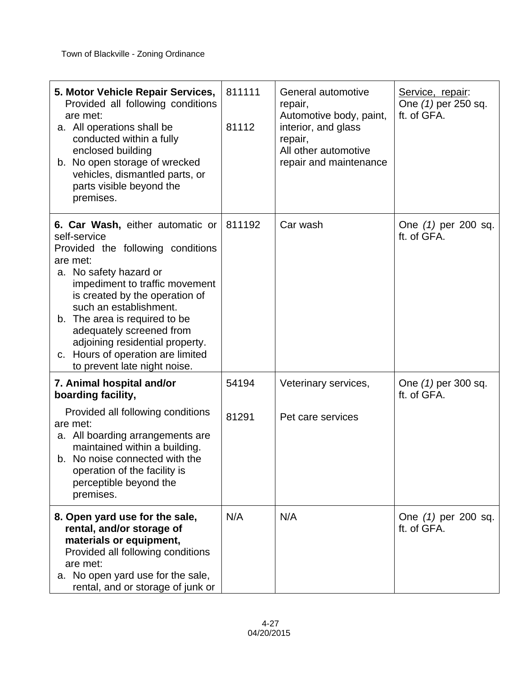| 5. Motor Vehicle Repair Services,<br>Provided all following conditions<br>are met:<br>a. All operations shall be<br>conducted within a fully<br>enclosed building<br>b. No open storage of wrecked<br>vehicles, dismantled parts, or<br>parts visible beyond the<br>premises.                                                                                                                  | 811111<br>81112 | General automotive<br>repair,<br>Automotive body, paint,<br>interior, and glass<br>repair,<br>All other automotive<br>repair and maintenance | Service, repair:<br>One (1) per 250 sq.<br>ft. of GFA. |
|------------------------------------------------------------------------------------------------------------------------------------------------------------------------------------------------------------------------------------------------------------------------------------------------------------------------------------------------------------------------------------------------|-----------------|----------------------------------------------------------------------------------------------------------------------------------------------|--------------------------------------------------------|
| 6. Car Wash, either automatic or<br>self-service<br>Provided the following conditions<br>are met:<br>a. No safety hazard or<br>impediment to traffic movement<br>is created by the operation of<br>such an establishment.<br>b. The area is required to be<br>adequately screened from<br>adjoining residential property.<br>c. Hours of operation are limited<br>to prevent late night noise. | 811192          | Car wash                                                                                                                                     | One (1) per 200 sq.<br>ft. of GFA.                     |
| 7. Animal hospital and/or<br>boarding facility,                                                                                                                                                                                                                                                                                                                                                | 54194           | Veterinary services,                                                                                                                         | One (1) per 300 sq.<br>ft. of GFA.                     |
| Provided all following conditions<br>are met:<br>a. All boarding arrangements are<br>maintained within a building.<br>b. No noise connected with the<br>operation of the facility is<br>perceptible beyond the<br>premises.                                                                                                                                                                    | 81291           | Pet care services                                                                                                                            |                                                        |
| 8. Open yard use for the sale,<br>rental, and/or storage of<br>materials or equipment,<br>Provided all following conditions<br>are met:<br>a. No open yard use for the sale,<br>rental, and or storage of junk or                                                                                                                                                                              | N/A             | N/A                                                                                                                                          | One (1) per 200 sq.<br>ft. of GFA.                     |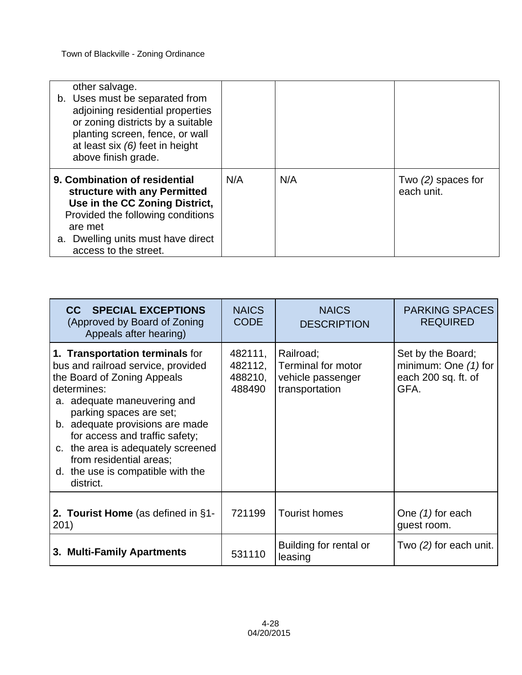| other salvage.<br>b. Uses must be separated from<br>adjoining residential properties<br>or zoning districts by a suitable<br>planting screen, fence, or wall<br>at least six $(6)$ feet in height<br>above finish grade. |     |     |                                    |
|--------------------------------------------------------------------------------------------------------------------------------------------------------------------------------------------------------------------------|-----|-----|------------------------------------|
| 9. Combination of residential<br>structure with any Permitted<br>Use in the CC Zoning District,<br>Provided the following conditions<br>are met<br>a. Dwelling units must have direct<br>access to the street.           | N/A | N/A | Two $(2)$ spaces for<br>each unit. |

| <b>CC SPECIAL EXCEPTIONS</b><br>(Approved by Board of Zoning<br>Appeals after hearing)                                                                                                                                                                                                                                                                                | <b>NAICS</b><br><b>CODE</b>             | <b>NAICS</b><br><b>DESCRIPTION</b>                                            | <b>PARKING SPACES</b><br><b>REQUIRED</b>                                   |
|-----------------------------------------------------------------------------------------------------------------------------------------------------------------------------------------------------------------------------------------------------------------------------------------------------------------------------------------------------------------------|-----------------------------------------|-------------------------------------------------------------------------------|----------------------------------------------------------------------------|
| 1. Transportation terminals for<br>bus and railroad service, provided<br>the Board of Zoning Appeals<br>determines:<br>a. adequate maneuvering and<br>parking spaces are set;<br>b. adequate provisions are made<br>for access and traffic safety;<br>c. the area is adequately screened<br>from residential areas;<br>d. the use is compatible with the<br>district. | 482111,<br>482112,<br>488210,<br>488490 | Railroad;<br><b>Terminal for motor</b><br>vehicle passenger<br>transportation | Set by the Board;<br>minimum: One $(1)$ for<br>each 200 sq. ft. of<br>GFA. |
| 2. Tourist Home (as defined in §1-<br>201)                                                                                                                                                                                                                                                                                                                            | 721199                                  | <b>Tourist homes</b>                                                          | One (1) for each<br>guest room.                                            |
| 3. Multi-Family Apartments                                                                                                                                                                                                                                                                                                                                            | 531110                                  | Building for rental or<br>leasing                                             | Two (2) for each unit.                                                     |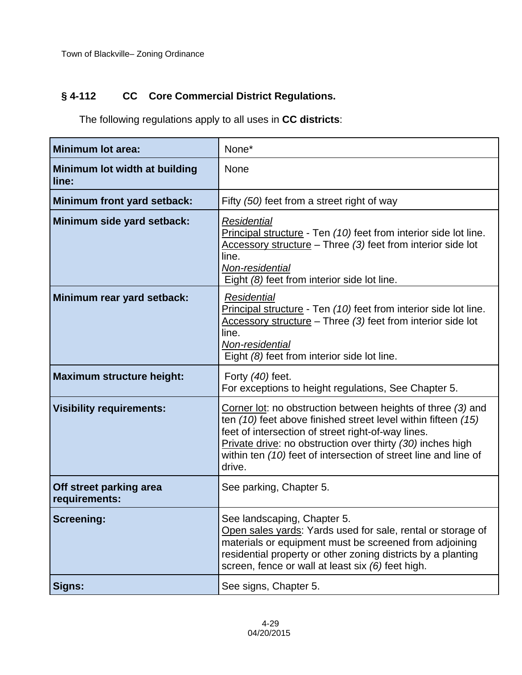## **§ 4-112 CC Core Commercial District Regulations.**

The following regulations apply to all uses in **CC districts**:

| <b>Minimum lot area:</b>                 | None*                                                                                                                                                                                                                                                                                                                         |
|------------------------------------------|-------------------------------------------------------------------------------------------------------------------------------------------------------------------------------------------------------------------------------------------------------------------------------------------------------------------------------|
| Minimum lot width at building<br>line:   | None                                                                                                                                                                                                                                                                                                                          |
| Minimum front yard setback:              | Fifty (50) feet from a street right of way                                                                                                                                                                                                                                                                                    |
| Minimum side yard setback:               | Residential<br>Principal structure - Ten (10) feet from interior side lot line.<br>Accessory structure - Three (3) feet from interior side lot<br>line.<br>Non-residential<br>Eight (8) feet from interior side lot line.                                                                                                     |
| Minimum rear yard setback:               | Residential<br>Principal structure - Ten (10) feet from interior side lot line.<br>Accessory structure - Three (3) feet from interior side lot<br>line.<br>Non-residential<br>Eight (8) feet from interior side lot line.                                                                                                     |
| <b>Maximum structure height:</b>         | Forty (40) feet.<br>For exceptions to height regulations, See Chapter 5.                                                                                                                                                                                                                                                      |
| <b>Visibility requirements:</b>          | Corner lot: no obstruction between heights of three (3) and<br>ten (10) feet above finished street level within fifteen (15)<br>feet of intersection of street right-of-way lines.<br>Private drive: no obstruction over thirty (30) inches high<br>within ten (10) feet of intersection of street line and line of<br>drive. |
| Off street parking area<br>requirements: | See parking, Chapter 5.                                                                                                                                                                                                                                                                                                       |
| <b>Screening:</b>                        | See landscaping, Chapter 5.<br>Open sales yards: Yards used for sale, rental or storage of<br>materials or equipment must be screened from adjoining<br>residential property or other zoning districts by a planting<br>screen, fence or wall at least six (6) feet high.                                                     |
| Signs:                                   | See signs, Chapter 5.                                                                                                                                                                                                                                                                                                         |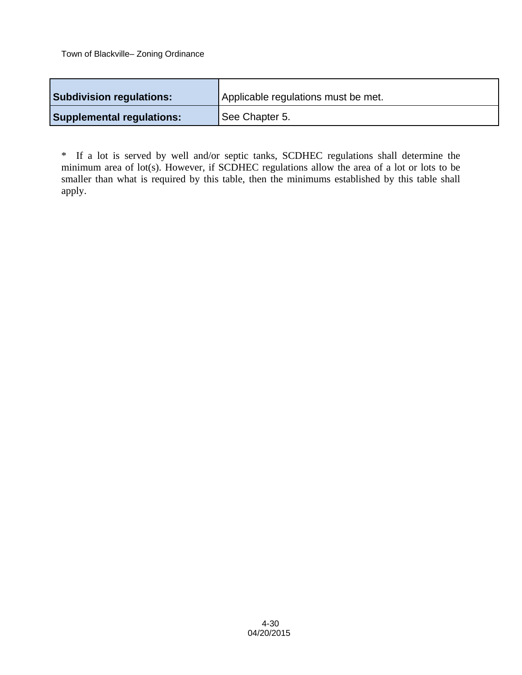| <b>Subdivision regulations:</b>  | Applicable regulations must be met. |  |
|----------------------------------|-------------------------------------|--|
| <b>Supplemental regulations:</b> | See Chapter 5.                      |  |

\* If a lot is served by well and/or septic tanks, SCDHEC regulations shall determine the minimum area of lot(s). However, if SCDHEC regulations allow the area of a lot or lots to be smaller than what is required by this table, then the minimums established by this table shall apply.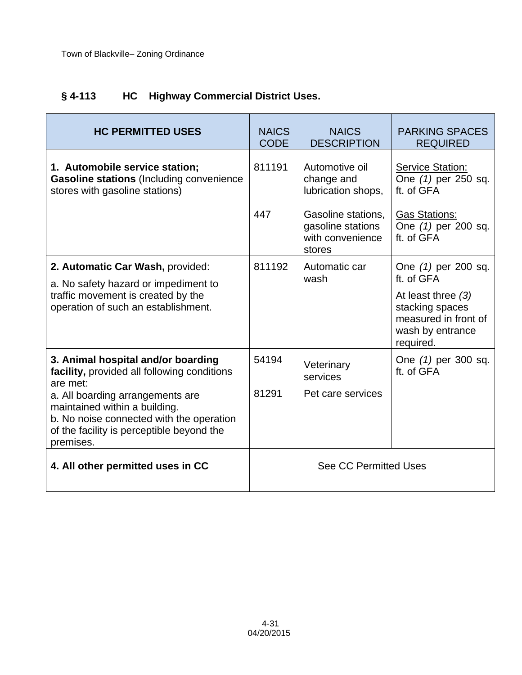## **§ 4-113 HC Highway Commercial District Uses.**

| <b>HC PERMITTED USES</b>                                                                                                                                                | <b>NAICS</b><br><b>CODE</b> | <b>NAICS</b><br><b>DESCRIPTION</b>                                    | <b>PARKING SPACES</b><br><b>REQUIRED</b>                                                         |
|-------------------------------------------------------------------------------------------------------------------------------------------------------------------------|-----------------------------|-----------------------------------------------------------------------|--------------------------------------------------------------------------------------------------|
| 1. Automobile service station;<br><b>Gasoline stations (Including convenience</b><br>stores with gasoline stations)                                                     | 811191                      | Automotive oil<br>change and<br>lubrication shops,                    | <b>Service Station:</b><br>One (1) per 250 sq.<br>ft. of GFA                                     |
|                                                                                                                                                                         | 447                         | Gasoline stations,<br>gasoline stations<br>with convenience<br>stores | <b>Gas Stations:</b><br>One (1) per 200 sq.<br>ft. of GFA                                        |
| 2. Automatic Car Wash, provided:<br>a. No safety hazard or impediment to                                                                                                | 811192                      | Automatic car<br>wash                                                 | One (1) per 200 sq.<br>ft. of GFA                                                                |
| traffic movement is created by the<br>operation of such an establishment.                                                                                               |                             |                                                                       | At least three $(3)$<br>stacking spaces<br>measured in front of<br>wash by entrance<br>required. |
| 3. Animal hospital and/or boarding<br>facility, provided all following conditions<br>are met:                                                                           | 54194                       | Veterinary<br>services                                                | One (1) per 300 sq.<br>ft. of GFA                                                                |
| a. All boarding arrangements are<br>maintained within a building.<br>b. No noise connected with the operation<br>of the facility is perceptible beyond the<br>premises. | 81291                       | Pet care services                                                     |                                                                                                  |
| 4. All other permitted uses in CC                                                                                                                                       |                             | <b>See CC Permitted Uses</b>                                          |                                                                                                  |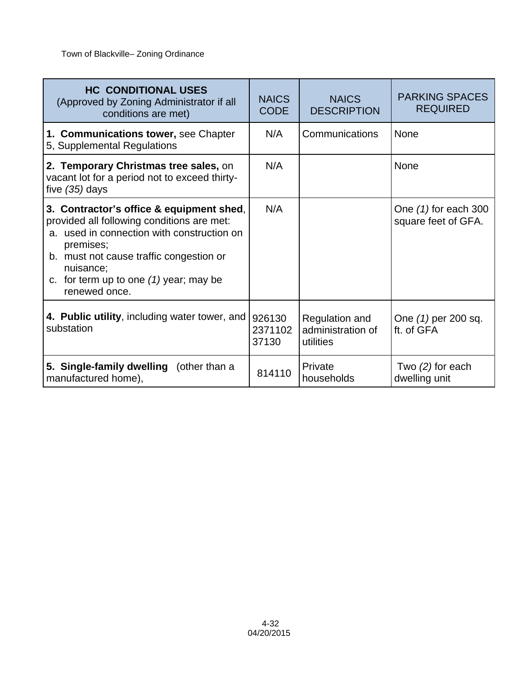| <b>HC CONDITIONAL USES</b><br>(Approved by Zoning Administrator if all<br>conditions are met)                                                                                                                                                                          | <b>NAICS</b><br><b>CODE</b> | <b>NAICS</b><br><b>DESCRIPTION</b>               | <b>PARKING SPACES</b><br><b>REQUIRED</b>    |
|------------------------------------------------------------------------------------------------------------------------------------------------------------------------------------------------------------------------------------------------------------------------|-----------------------------|--------------------------------------------------|---------------------------------------------|
| 1. Communications tower, see Chapter<br>5, Supplemental Regulations                                                                                                                                                                                                    | N/A                         | Communications                                   | None                                        |
| 2. Temporary Christmas tree sales, on<br>vacant lot for a period not to exceed thirty-<br>five $(35)$ days                                                                                                                                                             | N/A                         |                                                  | None                                        |
| 3. Contractor's office & equipment shed,<br>provided all following conditions are met:<br>a. used in connection with construction on<br>premises;<br>b. must not cause traffic congestion or<br>nuisance;<br>c. for term up to one $(1)$ year; may be<br>renewed once. | N/A                         |                                                  | One (1) for each 300<br>square feet of GFA. |
| 4. Public utility, including water tower, and<br>substation                                                                                                                                                                                                            | 926130<br>2371102<br>37130  | Regulation and<br>administration of<br>utilities | One (1) per 200 sq.<br>ft. of GFA           |
| 5. Single-family dwelling (other than a<br>manufactured home),                                                                                                                                                                                                         | 814110                      | Private<br>households                            | Two $(2)$ for each<br>dwelling unit         |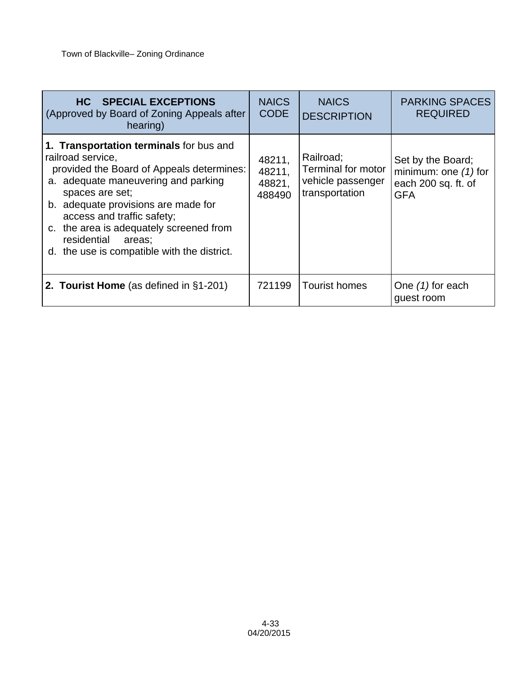| <b>SPECIAL EXCEPTIONS</b><br>HC.<br>(Approved by Board of Zoning Appeals after<br>hearing)                                                                                                                                                                                                                                                                  | <b>NAICS</b><br><b>CODE</b>          | <b>NAICS</b><br><b>DESCRIPTION</b>                                            | <b>PARKING SPACES</b><br><b>REQUIRED</b>                                         |
|-------------------------------------------------------------------------------------------------------------------------------------------------------------------------------------------------------------------------------------------------------------------------------------------------------------------------------------------------------------|--------------------------------------|-------------------------------------------------------------------------------|----------------------------------------------------------------------------------|
| 1. Transportation terminals for bus and<br>railroad service,<br>provided the Board of Appeals determines:<br>a. adequate maneuvering and parking<br>spaces are set;<br>b. adequate provisions are made for<br>access and traffic safety;<br>c. the area is adequately screened from<br>residential<br>areas;<br>d. the use is compatible with the district. | 48211,<br>48211,<br>48821,<br>488490 | Railroad;<br><b>Terminal for motor</b><br>vehicle passenger<br>transportation | Set by the Board;<br>minimum: one $(1)$ for<br>each 200 sq. ft. of<br><b>GFA</b> |
| 2. Tourist Home (as defined in §1-201)                                                                                                                                                                                                                                                                                                                      | 721199                               | <b>Tourist homes</b>                                                          | One $(1)$ for each<br>guest room                                                 |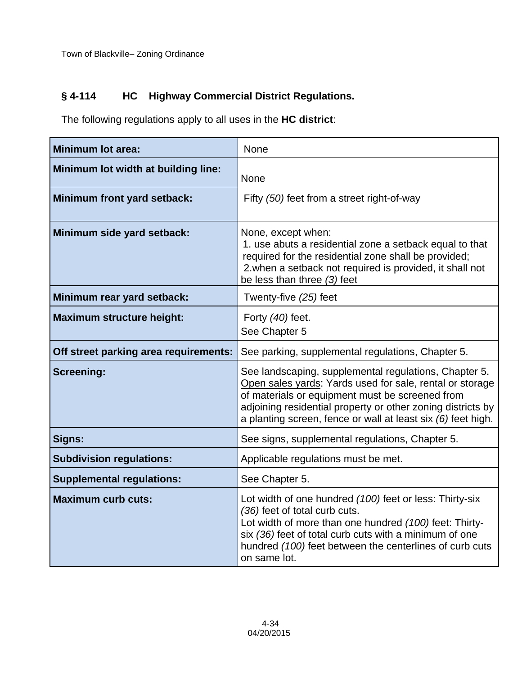## **§ 4-114 HC Highway Commercial District Regulations.**

The following regulations apply to all uses in the **HC district**:

| <b>Minimum lot area:</b>              | <b>None</b>                                                                                                                                                                                                                                                                                         |
|---------------------------------------|-----------------------------------------------------------------------------------------------------------------------------------------------------------------------------------------------------------------------------------------------------------------------------------------------------|
| Minimum lot width at building line:   | None                                                                                                                                                                                                                                                                                                |
| Minimum front yard setback:           | Fifty (50) feet from a street right-of-way                                                                                                                                                                                                                                                          |
| Minimum side yard setback:            | None, except when:<br>1. use abuts a residential zone a setback equal to that<br>required for the residential zone shall be provided;<br>2. when a setback not required is provided, it shall not<br>be less than three $(3)$ feet                                                                  |
| Minimum rear yard setback:            | Twenty-five (25) feet                                                                                                                                                                                                                                                                               |
| <b>Maximum structure height:</b>      | Forty (40) feet.<br>See Chapter 5                                                                                                                                                                                                                                                                   |
| Off street parking area requirements: | See parking, supplemental regulations, Chapter 5.                                                                                                                                                                                                                                                   |
| <b>Screening:</b>                     | See landscaping, supplemental regulations, Chapter 5.<br>Open sales yards: Yards used for sale, rental or storage<br>of materials or equipment must be screened from<br>adjoining residential property or other zoning districts by<br>a planting screen, fence or wall at least six (6) feet high. |
| Signs:                                | See signs, supplemental regulations, Chapter 5.                                                                                                                                                                                                                                                     |
| <b>Subdivision regulations:</b>       | Applicable regulations must be met.                                                                                                                                                                                                                                                                 |
| <b>Supplemental regulations:</b>      | See Chapter 5.                                                                                                                                                                                                                                                                                      |
| <b>Maximum curb cuts:</b>             | Lot width of one hundred (100) feet or less: Thirty-six<br>(36) feet of total curb cuts.<br>Lot width of more than one hundred (100) feet: Thirty-<br>six (36) feet of total curb cuts with a minimum of one<br>hundred (100) feet between the centerlines of curb cuts<br>on same lot.             |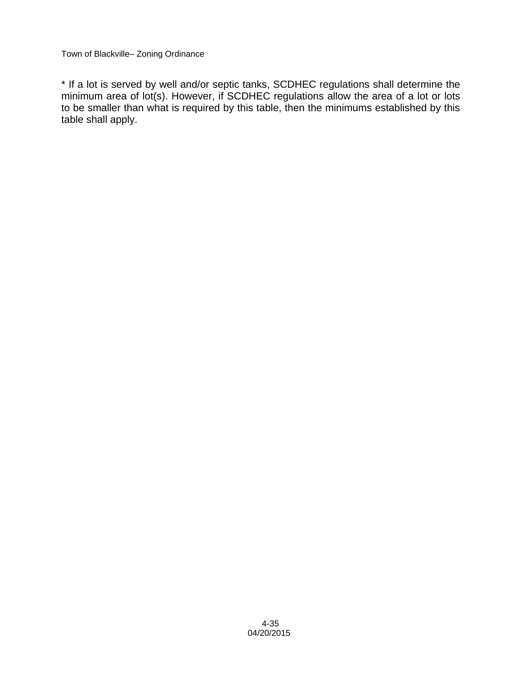\* If a lot is served by well and/or septic tanks, SCDHEC regulations shall determine the minimum area of lot(s). However, if SCDHEC regulations allow the area of a lot or lots to be smaller than what is required by this table, then the minimums established by this table shall apply.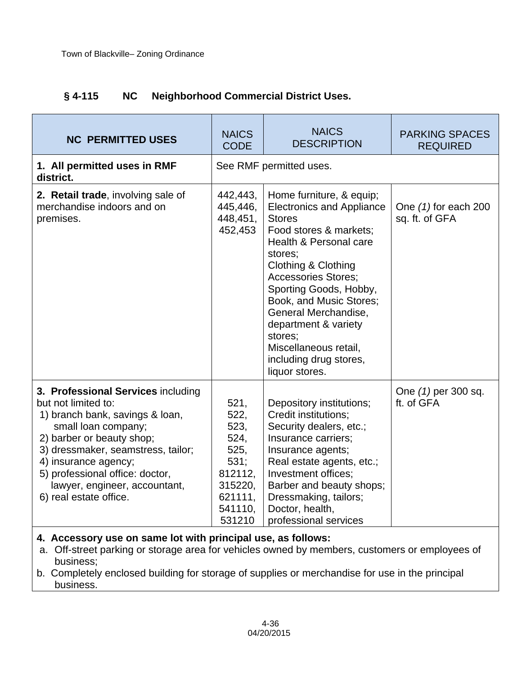| <b>NC PERMITTED USES</b>                                                                                                                                                                                                                                                                                     | <b>NAICS</b><br><b>CODE</b>                                                                        | <b>NAICS</b><br><b>DESCRIPTION</b>                                                                                                                                                                                                                                                                                                                                                     | <b>PARKING SPACES</b><br><b>REQUIRED</b> |
|--------------------------------------------------------------------------------------------------------------------------------------------------------------------------------------------------------------------------------------------------------------------------------------------------------------|----------------------------------------------------------------------------------------------------|----------------------------------------------------------------------------------------------------------------------------------------------------------------------------------------------------------------------------------------------------------------------------------------------------------------------------------------------------------------------------------------|------------------------------------------|
| 1. All permitted uses in RMF<br>district.                                                                                                                                                                                                                                                                    |                                                                                                    | See RMF permitted uses.                                                                                                                                                                                                                                                                                                                                                                |                                          |
| 2. Retail trade, involving sale of<br>merchandise indoors and on<br>premises.                                                                                                                                                                                                                                | 442,443,<br>445,446,<br>448,451,<br>452,453                                                        | Home furniture, & equip;<br><b>Electronics and Appliance</b><br><b>Stores</b><br>Food stores & markets;<br>Health & Personal care<br>stores;<br>Clothing & Clothing<br><b>Accessories Stores;</b><br>Sporting Goods, Hobby,<br>Book, and Music Stores;<br>General Merchandise,<br>department & variety<br>stores:<br>Miscellaneous retail,<br>including drug stores,<br>liquor stores. | One $(1)$ for each 200<br>sq. ft. of GFA |
| 3. Professional Services including<br>but not limited to:<br>1) branch bank, savings & loan,<br>small loan company;<br>2) barber or beauty shop;<br>3) dressmaker, seamstress, tailor;<br>4) insurance agency;<br>5) professional office: doctor,<br>lawyer, engineer, accountant,<br>6) real estate office. | 521,<br>522,<br>523,<br>524,<br>525,<br>531;<br>812112,<br>315220,<br>621111,<br>541110,<br>531210 | Depository institutions;<br>Credit institutions;<br>Security dealers, etc.;<br>Insurance carriers;<br>Insurance agents;<br>Real estate agents, etc.;<br>Investment offices;<br>Barber and beauty shops;<br>Dressmaking, tailors;<br>Doctor, health,<br>professional services                                                                                                           | One (1) per 300 sq.<br>ft. of GFA        |

### **§ 4-115 NC Neighborhood Commercial District Uses.**

**4. Accessory use on same lot with principal use, as follows:**

- a. Off-street parking or storage area for vehicles owned by members, customers or employees of business;
- b. Completely enclosed building for storage of supplies or merchandise for use in the principal business.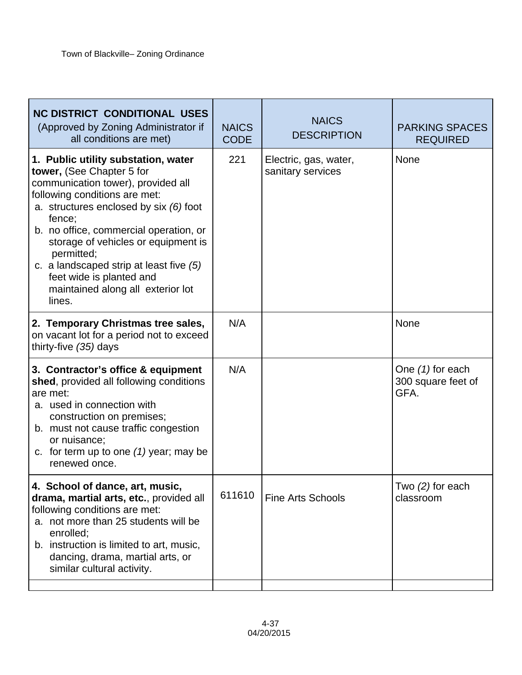| <b>NC DISTRICT CONDITIONAL USES</b><br>(Approved by Zoning Administrator if<br>all conditions are met)                                                                                                                                                                                                                                                                                                               | <b>NAICS</b><br><b>CODE</b> | <b>NAICS</b><br><b>DESCRIPTION</b>         | <b>PARKING SPACES</b><br><b>REQUIRED</b>         |
|----------------------------------------------------------------------------------------------------------------------------------------------------------------------------------------------------------------------------------------------------------------------------------------------------------------------------------------------------------------------------------------------------------------------|-----------------------------|--------------------------------------------|--------------------------------------------------|
| 1. Public utility substation, water<br>tower, (See Chapter 5 for<br>communication tower), provided all<br>following conditions are met:<br>a. structures enclosed by six $(6)$ foot<br>fence;<br>b. no office, commercial operation, or<br>storage of vehicles or equipment is<br>permitted;<br>c. a landscaped strip at least five $(5)$<br>feet wide is planted and<br>maintained along all exterior lot<br>lines. | 221                         | Electric, gas, water,<br>sanitary services | <b>None</b>                                      |
| 2. Temporary Christmas tree sales,<br>on vacant lot for a period not to exceed<br>thirty-five (35) days                                                                                                                                                                                                                                                                                                              | N/A                         |                                            | None                                             |
| 3. Contractor's office & equipment<br>shed, provided all following conditions<br>are met:<br>a. used in connection with<br>construction on premises;<br>b. must not cause traffic congestion<br>or nuisance;<br>c. for term up to one $(1)$ year; may be<br>renewed once.                                                                                                                                            | N/A                         |                                            | One $(1)$ for each<br>300 square feet of<br>GFA. |
| 4. School of dance, art, music,<br>drama, martial arts, etc., provided all<br>following conditions are met:<br>a. not more than 25 students will be<br>enrolled;<br>b. instruction is limited to art, music,<br>dancing, drama, martial arts, or<br>similar cultural activity.                                                                                                                                       | 611610                      | <b>Fine Arts Schools</b>                   | Two $(2)$ for each<br>classroom                  |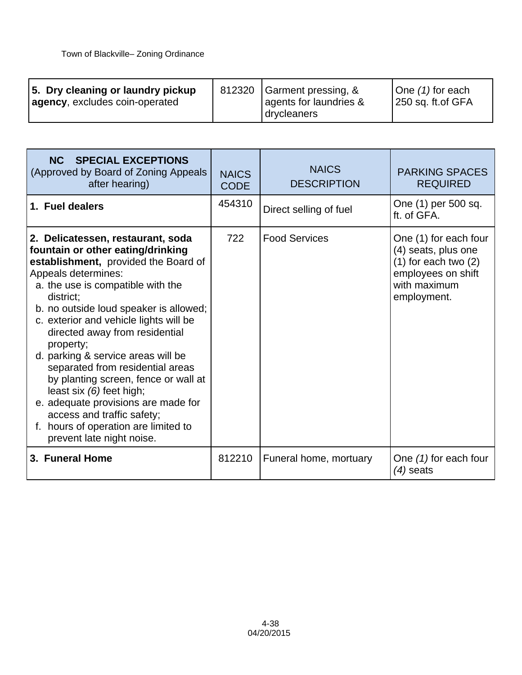| 5. Dry cleaning or laundry pickup<br>agency, excludes coin-operated | 812320 | Garment pressing, &<br>agents for laundries &<br>  drycleaners | One $(1)$ for each<br>$ 250$ sq. ft.of GFA |
|---------------------------------------------------------------------|--------|----------------------------------------------------------------|--------------------------------------------|

| <b>SPECIAL EXCEPTIONS</b><br>NC.<br>(Approved by Board of Zoning Appeals<br>after hearing)                                                                                                                                                                                                                                                                                                                                                                                                                                                                                                                         | <b>NAICS</b><br><b>CODE</b> | <b>NAICS</b><br><b>DESCRIPTION</b> | <b>PARKING SPACES</b><br><b>REQUIRED</b>                                                                                      |
|--------------------------------------------------------------------------------------------------------------------------------------------------------------------------------------------------------------------------------------------------------------------------------------------------------------------------------------------------------------------------------------------------------------------------------------------------------------------------------------------------------------------------------------------------------------------------------------------------------------------|-----------------------------|------------------------------------|-------------------------------------------------------------------------------------------------------------------------------|
| 1. Fuel dealers                                                                                                                                                                                                                                                                                                                                                                                                                                                                                                                                                                                                    | 454310                      | Direct selling of fuel             | One (1) per 500 sq.<br>ft. of GFA.                                                                                            |
| 2. Delicatessen, restaurant, soda<br>fountain or other eating/drinking<br>establishment, provided the Board of<br>Appeals determines:<br>a. the use is compatible with the<br>district;<br>b. no outside loud speaker is allowed;<br>c. exterior and vehicle lights will be<br>directed away from residential<br>property;<br>d. parking & service areas will be<br>separated from residential areas<br>by planting screen, fence or wall at<br>least six (6) feet high;<br>e. adequate provisions are made for<br>access and traffic safety;<br>f. hours of operation are limited to<br>prevent late night noise. | 722                         | <b>Food Services</b>               | One (1) for each four<br>(4) seats, plus one<br>$(1)$ for each two $(2)$<br>employees on shift<br>with maximum<br>employment. |
| 3. Funeral Home                                                                                                                                                                                                                                                                                                                                                                                                                                                                                                                                                                                                    | 812210                      | Funeral home, mortuary             | One (1) for each four<br>$(4)$ seats                                                                                          |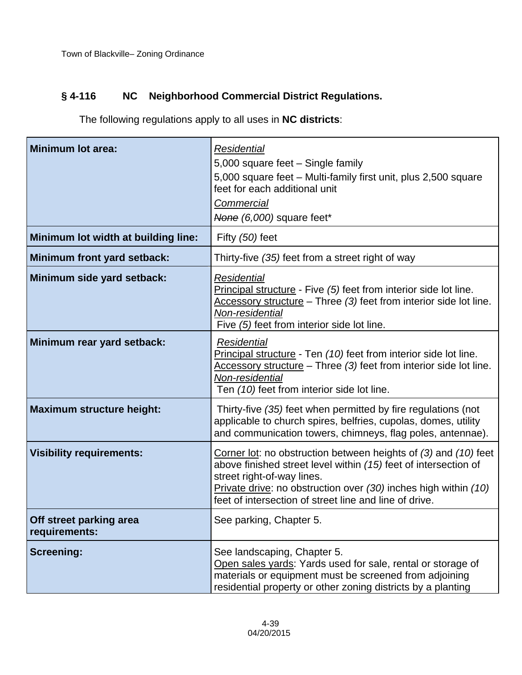## **§ 4-116 NC Neighborhood Commercial District Regulations.**

The following regulations apply to all uses in **NC districts**:

| <b>Minimum lot area:</b>                 | <b>Residential</b><br>5,000 square feet - Single family<br>5,000 square feet - Multi-family first unit, plus 2,500 square<br>feet for each additional unit<br>Commercial<br>None (6,000) square feet*                                                                                             |  |  |  |
|------------------------------------------|---------------------------------------------------------------------------------------------------------------------------------------------------------------------------------------------------------------------------------------------------------------------------------------------------|--|--|--|
| Minimum lot width at building line:      | Fifty (50) feet                                                                                                                                                                                                                                                                                   |  |  |  |
| Minimum front yard setback:              | Thirty-five (35) feet from a street right of way                                                                                                                                                                                                                                                  |  |  |  |
| Minimum side yard setback:               | Residential<br>Principal structure - Five (5) feet from interior side lot line.<br>Accessory structure - Three (3) feet from interior side lot line.<br>Non-residential<br>Five (5) feet from interior side lot line.                                                                             |  |  |  |
| Minimum rear yard setback:               | Residential<br>Principal structure - Ten (10) feet from interior side lot line.<br>Accessory structure - Three (3) feet from interior side lot line.<br>Non-residential<br>Ten (10) feet from interior side lot line.                                                                             |  |  |  |
| <b>Maximum structure height:</b>         | Thirty-five (35) feet when permitted by fire regulations (not<br>applicable to church spires, belfries, cupolas, domes, utility<br>and communication towers, chimneys, flag poles, antennae).                                                                                                     |  |  |  |
| <b>Visibility requirements:</b>          | Corner lot: no obstruction between heights of (3) and (10) feet<br>above finished street level within (15) feet of intersection of<br>street right-of-way lines.<br>Private drive: no obstruction over $(30)$ inches high within $(10)$<br>feet of intersection of street line and line of drive. |  |  |  |
| Off street parking area<br>requirements: | See parking, Chapter 5.                                                                                                                                                                                                                                                                           |  |  |  |
| <b>Screening:</b>                        | See landscaping, Chapter 5.<br>Open sales yards: Yards used for sale, rental or storage of<br>materials or equipment must be screened from adjoining<br>residential property or other zoning districts by a planting                                                                              |  |  |  |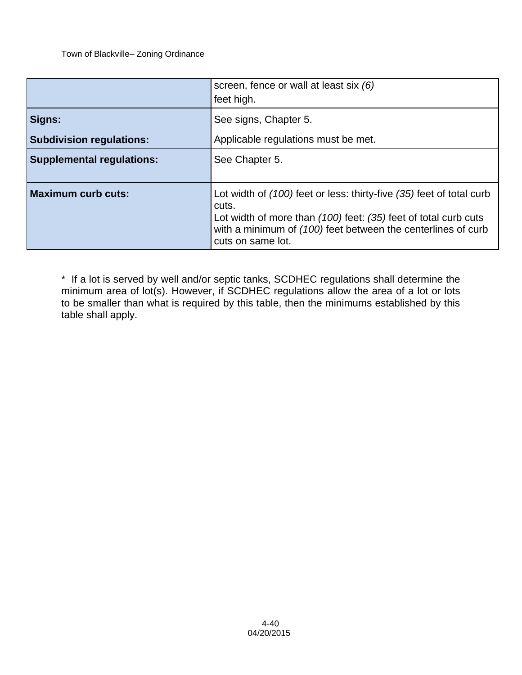|                                  | screen, fence or wall at least six (6)<br>feet high.                                                                                                                                                                                  |  |  |  |
|----------------------------------|---------------------------------------------------------------------------------------------------------------------------------------------------------------------------------------------------------------------------------------|--|--|--|
| Signs:                           | See signs, Chapter 5.                                                                                                                                                                                                                 |  |  |  |
| <b>Subdivision regulations:</b>  | Applicable regulations must be met.                                                                                                                                                                                                   |  |  |  |
| <b>Supplemental regulations:</b> | See Chapter 5.                                                                                                                                                                                                                        |  |  |  |
| <b>Maximum curb cuts:</b>        | Lot width of (100) feet or less: thirty-five (35) feet of total curb<br>cuts.<br>Lot width of more than (100) feet: (35) feet of total curb cuts<br>with a minimum of (100) feet between the centerlines of curb<br>cuts on same lot. |  |  |  |

\* If a lot is served by well and/or septic tanks, SCDHEC regulations shall determine the minimum area of lot(s). However, if SCDHEC regulations allow the area of a lot or lots to be smaller than what is required by this table, then the minimums established by this table shall apply.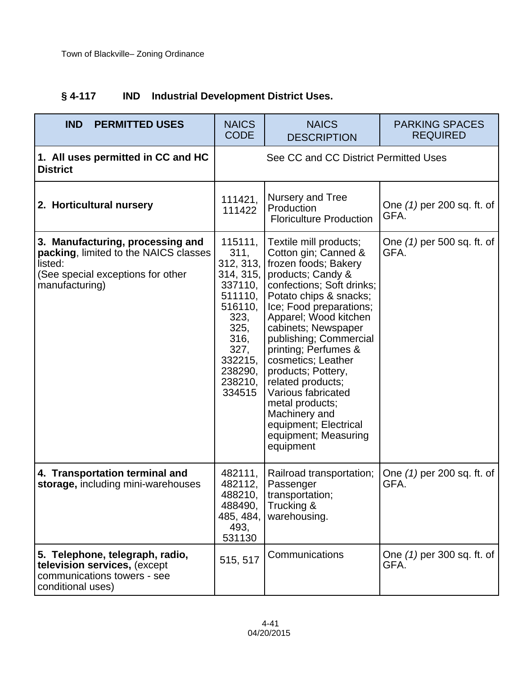| <b>IND</b><br><b>PERMITTED USES</b>                                                                                                         | <b>NAICS</b><br><b>CODE</b>                                                                                                                           | <b>NAICS</b><br><b>DESCRIPTION</b>                                                                                                                                                                                                                                                                                                                                                                                                                                       | <b>PARKING SPACES</b><br><b>REQUIRED</b> |
|---------------------------------------------------------------------------------------------------------------------------------------------|-------------------------------------------------------------------------------------------------------------------------------------------------------|--------------------------------------------------------------------------------------------------------------------------------------------------------------------------------------------------------------------------------------------------------------------------------------------------------------------------------------------------------------------------------------------------------------------------------------------------------------------------|------------------------------------------|
| 1. All uses permitted in CC and HC<br><b>District</b>                                                                                       |                                                                                                                                                       | See CC and CC District Permitted Uses                                                                                                                                                                                                                                                                                                                                                                                                                                    |                                          |
| 2. Horticultural nursery                                                                                                                    | 111421,<br>111422                                                                                                                                     | Nursery and Tree<br>Production<br><b>Floriculture Production</b>                                                                                                                                                                                                                                                                                                                                                                                                         | One (1) per 200 sq. ft. of<br>GFA.       |
| 3. Manufacturing, processing and<br>packing, limited to the NAICS classes<br>listed:<br>(See special exceptions for other<br>manufacturing) | 115111,<br>311,<br>312, 313,<br>314, 315,<br>337110,<br>511110,<br>516110,<br>323,<br>325,<br>316,<br>327,<br>332215,<br>238290,<br>238210,<br>334515 | Textile mill products;<br>Cotton gin; Canned &<br>frozen foods; Bakery<br>products; Candy &<br>confections; Soft drinks;<br>Potato chips & snacks;<br>Ice; Food preparations;<br>Apparel; Wood kitchen<br>cabinets; Newspaper<br>publishing; Commercial<br>printing; Perfumes &<br>cosmetics; Leather<br>products; Pottery,<br>related products;<br>Various fabricated<br>metal products;<br>Machinery and<br>equipment; Electrical<br>equipment; Measuring<br>equipment | One (1) per 500 sq. ft. of<br>GFA.       |
| 4. Transportation terminal and<br>storage, including mini-warehouses                                                                        | 482111,<br>482112,<br>488210,<br>488490,<br>485, 484,<br>493,<br>531130                                                                               | Railroad transportation;<br>Passenger<br>transportation;<br>Trucking &<br>warehousing.                                                                                                                                                                                                                                                                                                                                                                                   | One (1) per 200 sq. ft. of<br>GFA.       |
| 5. Telephone, telegraph, radio,<br>television services, (except<br>communications towers - see<br>conditional uses)                         | 515, 517                                                                                                                                              | Communications                                                                                                                                                                                                                                                                                                                                                                                                                                                           | One (1) per 300 sq. ft. of<br>GFA.       |

## **§ 4-117 IND Industrial Development District Uses.**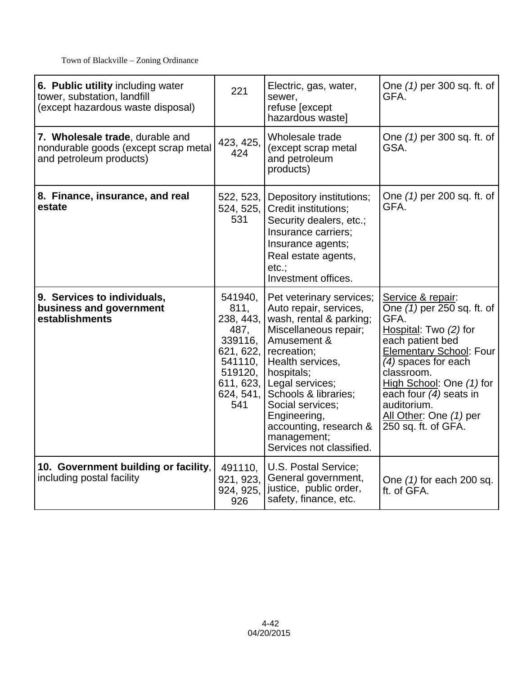| 6. Public utility including water<br>tower, substation, landfill<br>(except hazardous waste disposal) | 221                                                                                                                 | Electric, gas, water,<br>sewer,<br>refuse [except<br>hazardous waste]                                                                                                                                                                                                                                                      | One (1) per 300 sq. ft. of<br>GFA.                                                                                                                                                                                                                                                                             |
|-------------------------------------------------------------------------------------------------------|---------------------------------------------------------------------------------------------------------------------|----------------------------------------------------------------------------------------------------------------------------------------------------------------------------------------------------------------------------------------------------------------------------------------------------------------------------|----------------------------------------------------------------------------------------------------------------------------------------------------------------------------------------------------------------------------------------------------------------------------------------------------------------|
| 7. Wholesale trade, durable and<br>nondurable goods (except scrap metal<br>and petroleum products)    | 423, 425,<br>424                                                                                                    | Wholesale trade<br>(except scrap metal<br>and petroleum<br>products)                                                                                                                                                                                                                                                       | One (1) per 300 sq. ft. of<br>GSA.                                                                                                                                                                                                                                                                             |
| 8. Finance, insurance, and real<br>estate                                                             | 522, 523,<br>524, 525,<br>531                                                                                       | Depository institutions;<br>Credit institutions;<br>Security dealers, etc.;<br>Insurance carriers;<br>Insurance agents;<br>Real estate agents,<br>etc.:<br>Investment offices.                                                                                                                                             | One (1) per 200 sq. ft. of<br>GFA.                                                                                                                                                                                                                                                                             |
| 9. Services to individuals,<br>business and government<br>establishments                              | 541940,<br>811,<br>238, 443,<br>487,<br>339116,<br>621, 622,<br>541110,<br>519120,<br>611, 623,<br>624, 541,<br>541 | Pet veterinary services;<br>Auto repair, services,<br>wash, rental & parking;<br>Miscellaneous repair;<br>Amusement &<br>recreation;<br>Health services,<br>hospitals;<br>Legal services;<br>Schools & libraries;<br>Social services;<br>Engineering,<br>accounting, research &<br>management;<br>Services not classified. | Service & repair:<br>One (1) per 250 sq. ft. of<br>GFA.<br>Hospital: Two (2) for<br>each patient bed<br><b>Elementary School: Four</b><br>$\overline{(4)}$ spaces for each<br>classroom.<br>High School: One (1) for<br>each four (4) seats in<br>auditorium.<br>All Other: One (1) per<br>250 sq. ft. of GFA. |
| 10. Government building or facility,<br>including postal facility                                     | 491110,<br>921, 923,<br>924, 925,<br>926                                                                            | U.S. Postal Service;<br>General government,<br>justice, public order,<br>safety, finance, etc.                                                                                                                                                                                                                             | One $(1)$ for each 200 sq.<br>ft. of GFA.                                                                                                                                                                                                                                                                      |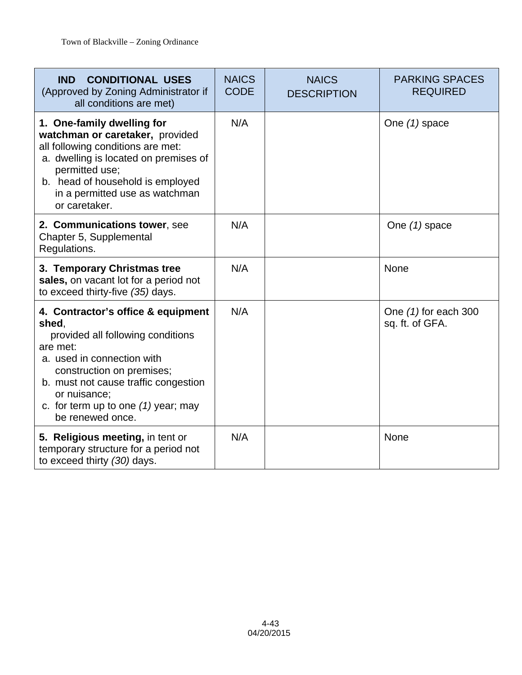| <b>IND</b><br><b>CONDITIONAL USES</b><br>(Approved by Zoning Administrator if<br>all conditions are met)                                                                                                                                                                     | <b>NAICS</b><br><b>CODE</b> | <b>NAICS</b><br><b>DESCRIPTION</b> | <b>PARKING SPACES</b><br><b>REQUIRED</b> |
|------------------------------------------------------------------------------------------------------------------------------------------------------------------------------------------------------------------------------------------------------------------------------|-----------------------------|------------------------------------|------------------------------------------|
| 1. One-family dwelling for<br>watchman or caretaker, provided<br>all following conditions are met:<br>a. dwelling is located on premises of<br>permitted use;<br>b. head of household is employed<br>in a permitted use as watchman<br>or caretaker.                         | N/A                         |                                    | One (1) space                            |
| 2. Communications tower, see<br>Chapter 5, Supplemental<br>Regulations.                                                                                                                                                                                                      | N/A                         |                                    | One (1) space                            |
| 3. Temporary Christmas tree<br>sales, on vacant lot for a period not<br>to exceed thirty-five (35) days.                                                                                                                                                                     | N/A                         |                                    | <b>None</b>                              |
| 4. Contractor's office & equipment<br>shed,<br>provided all following conditions<br>are met:<br>a. used in connection with<br>construction on premises;<br>b. must not cause traffic congestion<br>or nuisance;<br>c. for term up to one $(1)$ year; may<br>be renewed once. | N/A                         |                                    | One (1) for each 300<br>sq. ft. of GFA.  |
| 5. Religious meeting, in tent or<br>temporary structure for a period not<br>to exceed thirty (30) days.                                                                                                                                                                      | N/A                         |                                    | <b>None</b>                              |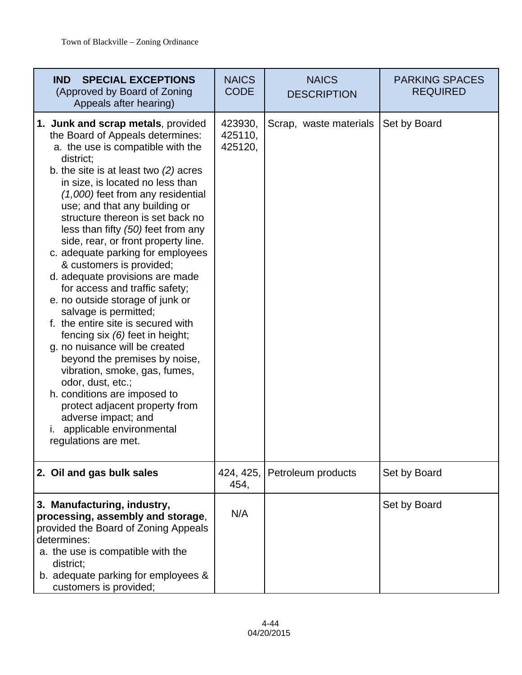| <b>IND</b><br><b>SPECIAL EXCEPTIONS</b><br>(Approved by Board of Zoning<br>Appeals after hearing)                                                                                                                                                                                                                                                                                                                                                                                                                                                                                                                                                                                                                                                                                                                                                                                                                                                        | <b>NAICS</b><br><b>CODE</b>   | <b>NAICS</b><br><b>DESCRIPTION</b> | <b>PARKING SPACES</b><br><b>REQUIRED</b> |
|----------------------------------------------------------------------------------------------------------------------------------------------------------------------------------------------------------------------------------------------------------------------------------------------------------------------------------------------------------------------------------------------------------------------------------------------------------------------------------------------------------------------------------------------------------------------------------------------------------------------------------------------------------------------------------------------------------------------------------------------------------------------------------------------------------------------------------------------------------------------------------------------------------------------------------------------------------|-------------------------------|------------------------------------|------------------------------------------|
| 1. Junk and scrap metals, provided<br>the Board of Appeals determines:<br>a. the use is compatible with the<br>district;<br>b. the site is at least two $(2)$ acres<br>in size, is located no less than<br>$(1,000)$ feet from any residential<br>use; and that any building or<br>structure thereon is set back no<br>less than fifty (50) feet from any<br>side, rear, or front property line.<br>c. adequate parking for employees<br>& customers is provided;<br>d. adequate provisions are made<br>for access and traffic safety;<br>e. no outside storage of junk or<br>salvage is permitted;<br>f. the entire site is secured with<br>fencing six (6) feet in height;<br>g. no nuisance will be created<br>beyond the premises by noise,<br>vibration, smoke, gas, fumes,<br>odor, dust, etc.;<br>h. conditions are imposed to<br>protect adjacent property from<br>adverse impact; and<br>applicable environmental<br>L.<br>regulations are met. | 423930,<br>425110,<br>425120, | Scrap, waste materials             | Set by Board                             |
| 2. Oil and gas bulk sales                                                                                                                                                                                                                                                                                                                                                                                                                                                                                                                                                                                                                                                                                                                                                                                                                                                                                                                                | 424, 425.<br>454,             | Petroleum products                 | Set by Board                             |
| 3. Manufacturing, industry,<br>processing, assembly and storage,<br>provided the Board of Zoning Appeals<br>determines:<br>a. the use is compatible with the<br>district;<br>b. adequate parking for employees &<br>customers is provided;                                                                                                                                                                                                                                                                                                                                                                                                                                                                                                                                                                                                                                                                                                               | N/A                           |                                    | Set by Board                             |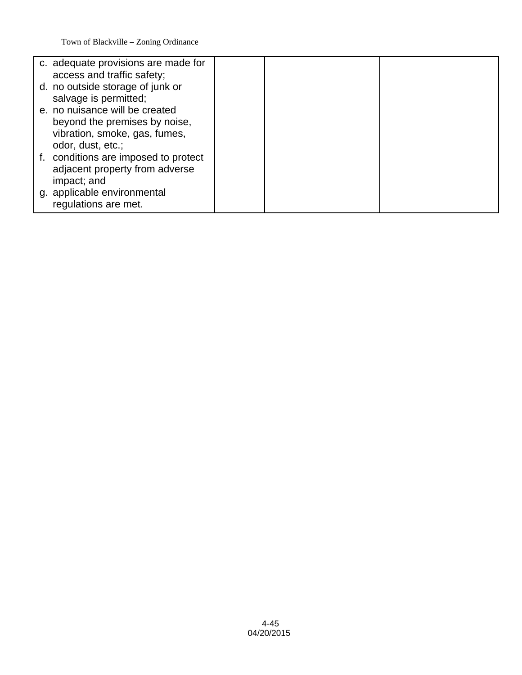| c. adequate provisions are made for  |  |  |
|--------------------------------------|--|--|
| access and traffic safety;           |  |  |
| d. no outside storage of junk or     |  |  |
| salvage is permitted;                |  |  |
| e. no nuisance will be created       |  |  |
| beyond the premises by noise,        |  |  |
| vibration, smoke, gas, fumes,        |  |  |
| odor, dust, etc.;                    |  |  |
| f. conditions are imposed to protect |  |  |
| adjacent property from adverse       |  |  |
| impact; and                          |  |  |
| g. applicable environmental          |  |  |
| regulations are met.                 |  |  |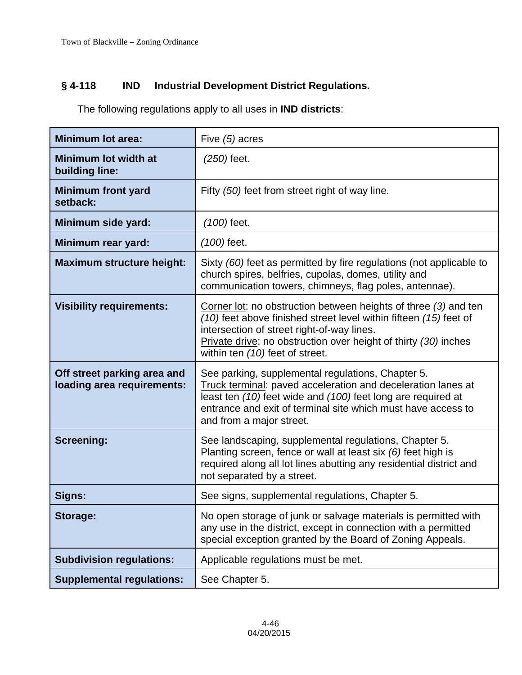## **§ 4-118 IND Industrial Development District Regulations.**

The following regulations apply to all uses in **IND districts**:

| <b>Minimum lot area:</b>                                  | Five (5) acres                                                                                                                                                                                                                                                                           |
|-----------------------------------------------------------|------------------------------------------------------------------------------------------------------------------------------------------------------------------------------------------------------------------------------------------------------------------------------------------|
| Minimum lot width at<br>building line:                    | $(250)$ feet.                                                                                                                                                                                                                                                                            |
| <b>Minimum front yard</b><br>setback:                     | Fifty (50) feet from street right of way line.                                                                                                                                                                                                                                           |
| Minimum side yard:                                        | (100) feet.                                                                                                                                                                                                                                                                              |
| Minimum rear yard:                                        | $(100)$ feet.                                                                                                                                                                                                                                                                            |
| <b>Maximum structure height:</b>                          | Sixty (60) feet as permitted by fire regulations (not applicable to<br>church spires, belfries, cupolas, domes, utility and<br>communication towers, chimneys, flag poles, antennae).                                                                                                    |
| <b>Visibility requirements:</b>                           | Corner lot: no obstruction between heights of three (3) and ten<br>(10) feet above finished street level within fifteen (15) feet of<br>intersection of street right-of-way lines.<br>Private drive: no obstruction over height of thirty (30) inches<br>within ten (10) feet of street. |
| Off street parking area and<br>loading area requirements: | See parking, supplemental regulations, Chapter 5.<br>Truck terminal: paved acceleration and deceleration lanes at<br>least ten (10) feet wide and (100) feet long are required at<br>entrance and exit of terminal site which must have access to<br>and from a major street.            |
| <b>Screening:</b>                                         | See landscaping, supplemental regulations, Chapter 5.<br>Planting screen, fence or wall at least six (6) feet high is<br>required along all lot lines abutting any residential district and<br>not separated by a street.                                                                |
| Signs:                                                    | See signs, supplemental regulations, Chapter 5.                                                                                                                                                                                                                                          |
| <b>Storage:</b>                                           | No open storage of junk or salvage materials is permitted with<br>any use in the district, except in connection with a permitted<br>special exception granted by the Board of Zoning Appeals.                                                                                            |
| <b>Subdivision regulations:</b>                           | Applicable regulations must be met.                                                                                                                                                                                                                                                      |
| <b>Supplemental regulations:</b>                          | See Chapter 5.                                                                                                                                                                                                                                                                           |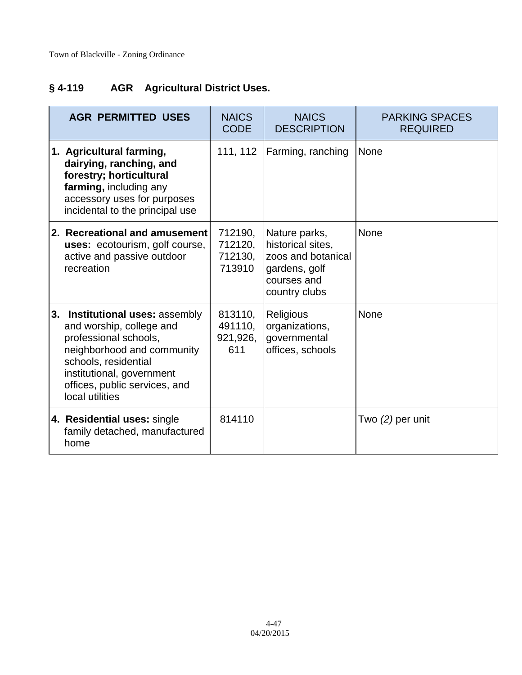# **§ 4-119 AGR Agricultural District Uses.**

| <b>AGR PERMITTED USES</b>                                                                                                                                                                                                   | <b>NAICS</b><br><b>CODE</b>             | <b>NAICS</b><br><b>DESCRIPTION</b>                                                                        | <b>PARKING SPACES</b><br><b>REQUIRED</b> |
|-----------------------------------------------------------------------------------------------------------------------------------------------------------------------------------------------------------------------------|-----------------------------------------|-----------------------------------------------------------------------------------------------------------|------------------------------------------|
| 1. Agricultural farming,<br>dairying, ranching, and<br>forestry; horticultural<br>farming, including any<br>accessory uses for purposes<br>incidental to the principal use                                                  | 111, 112                                | Farming, ranching                                                                                         | None                                     |
| 2. Recreational and amusement<br><b>uses:</b> ecotourism, golf course,<br>active and passive outdoor<br>recreation                                                                                                          | 712190,<br>712120,<br>712130,<br>713910 | Nature parks,<br>historical sites,<br>zoos and botanical<br>gardens, golf<br>courses and<br>country clubs | None                                     |
| 3. Institutional uses: assembly<br>and worship, college and<br>professional schools,<br>neighborhood and community<br>schools, residential<br>institutional, government<br>offices, public services, and<br>local utilities | 813110,<br>491110,<br>921,926,<br>611   | Religious<br>organizations,<br>governmental<br>offices, schools                                           | None                                     |
| 4. Residential uses: single<br>family detached, manufactured<br>home                                                                                                                                                        | 814110                                  |                                                                                                           | Two (2) per unit                         |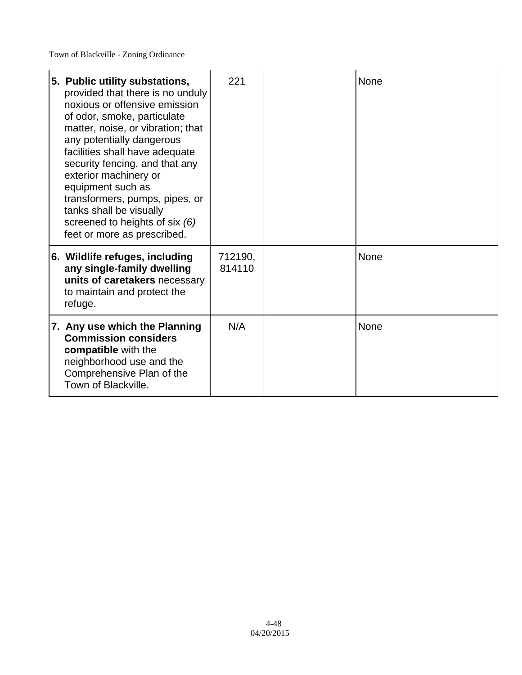| 5. Public utility substations,<br>provided that there is no unduly<br>noxious or offensive emission<br>of odor, smoke, particulate<br>matter, noise, or vibration; that<br>any potentially dangerous<br>facilities shall have adequate<br>security fencing, and that any<br>exterior machinery or<br>equipment such as<br>transformers, pumps, pipes, or<br>tanks shall be visually<br>screened to heights of six (6)<br>feet or more as prescribed. | 221               | None |
|------------------------------------------------------------------------------------------------------------------------------------------------------------------------------------------------------------------------------------------------------------------------------------------------------------------------------------------------------------------------------------------------------------------------------------------------------|-------------------|------|
| 6. Wildlife refuges, including<br>any single-family dwelling<br>units of caretakers necessary<br>to maintain and protect the<br>refuge.                                                                                                                                                                                                                                                                                                              | 712190,<br>814110 | None |
| 7. Any use which the Planning<br><b>Commission considers</b><br>compatible with the<br>neighborhood use and the<br>Comprehensive Plan of the<br>Town of Blackville.                                                                                                                                                                                                                                                                                  | N/A               | None |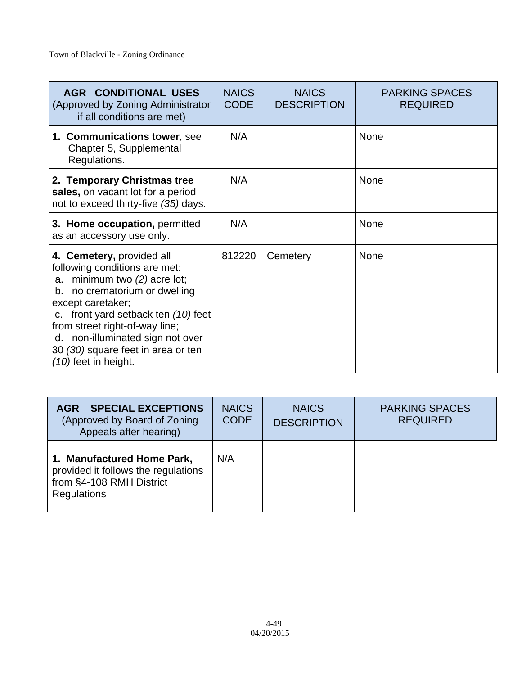| <b>AGR CONDITIONAL USES</b><br>(Approved by Zoning Administrator<br>if all conditions are met)                                                                                                                                                                                                                                   | <b>NAICS</b><br><b>CODE</b> | <b>NAICS</b><br><b>DESCRIPTION</b> | <b>PARKING SPACES</b><br><b>REQUIRED</b> |
|----------------------------------------------------------------------------------------------------------------------------------------------------------------------------------------------------------------------------------------------------------------------------------------------------------------------------------|-----------------------------|------------------------------------|------------------------------------------|
| 1. Communications tower, see<br>Chapter 5, Supplemental<br>Regulations.                                                                                                                                                                                                                                                          | N/A                         |                                    | <b>None</b>                              |
| 2. Temporary Christmas tree<br>sales, on vacant lot for a period<br>not to exceed thirty-five (35) days.                                                                                                                                                                                                                         | N/A                         |                                    | None                                     |
| 3. Home occupation, permitted<br>as an accessory use only.                                                                                                                                                                                                                                                                       | N/A                         |                                    | <b>None</b>                              |
| 4. Cemetery, provided all<br>following conditions are met:<br>a. minimum two $(2)$ acre lot;<br>b. no crematorium or dwelling<br>except caretaker;<br>front yard setback ten (10) feet<br>C.<br>from street right-of-way line;<br>d. non-illuminated sign not over<br>30 (30) square feet in area or ten<br>(10) feet in height. | 812220                      | Cemetery                           | None                                     |

| <b>SPECIAL EXCEPTIONS</b><br>AGR<br>(Approved by Board of Zoning)<br>Appeals after hearing)                         | <b>NAICS</b><br><b>CODE</b> | <b>NAICS</b><br><b>DESCRIPTION</b> | <b>PARKING SPACES</b><br><b>REQUIRED</b> |
|---------------------------------------------------------------------------------------------------------------------|-----------------------------|------------------------------------|------------------------------------------|
| 1. Manufactured Home Park,<br>provided it follows the regulations<br>from §4-108 RMH District<br><b>Regulations</b> | N/A                         |                                    |                                          |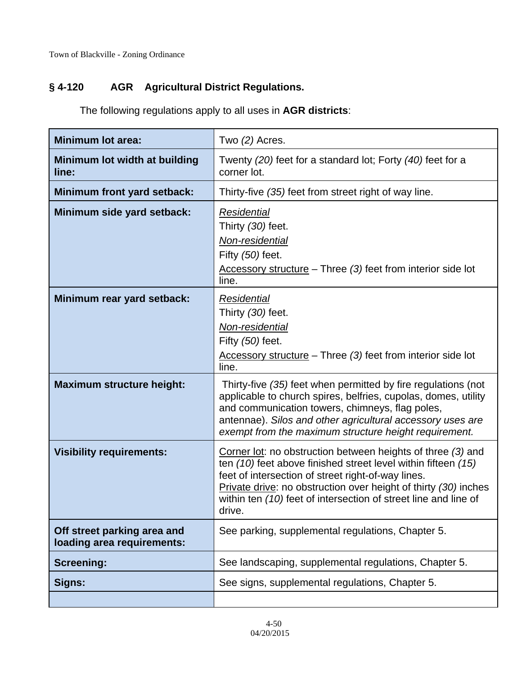## **§ 4-120 AGR Agricultural District Regulations.**

The following regulations apply to all uses in **AGR districts**:

| <b>Minimum lot area:</b>                                  | Two $(2)$ Acres.                                                                                                                                                                                                                                                                                                                   |
|-----------------------------------------------------------|------------------------------------------------------------------------------------------------------------------------------------------------------------------------------------------------------------------------------------------------------------------------------------------------------------------------------------|
| Minimum lot width at building<br>line:                    | Twenty (20) feet for a standard lot; Forty (40) feet for a<br>corner lot.                                                                                                                                                                                                                                                          |
| Minimum front yard setback:                               | Thirty-five (35) feet from street right of way line.                                                                                                                                                                                                                                                                               |
| Minimum side yard setback:                                | Residential<br>Thirty (30) feet.<br>Non-residential<br>Fifty (50) feet.<br>$\frac{\text{Accessory structure}}{\text{Average}} - \text{Three (3)}$ feet from interior side lot<br>line.                                                                                                                                             |
| Minimum rear yard setback:                                | Residential<br>Thirty (30) feet.<br>Non-residential<br>Fifty (50) feet.<br>Accessory structure $-$ Three (3) feet from interior side lot<br>line.                                                                                                                                                                                  |
| <b>Maximum structure height:</b>                          | Thirty-five (35) feet when permitted by fire regulations (not<br>applicable to church spires, belfries, cupolas, domes, utility<br>and communication towers, chimneys, flag poles,<br>antennae). Silos and other agricultural accessory uses are<br>exempt from the maximum structure height requirement.                          |
| <b>Visibility requirements:</b>                           | Corner lot: no obstruction between heights of three (3) and<br>ten (10) feet above finished street level within fifteen (15)<br>feet of intersection of street right-of-way lines.<br>Private drive: no obstruction over height of thirty (30) inches<br>within ten (10) feet of intersection of street line and line of<br>drive. |
| Off street parking area and<br>loading area requirements: | See parking, supplemental regulations, Chapter 5.                                                                                                                                                                                                                                                                                  |
| <b>Screening:</b>                                         | See landscaping, supplemental regulations, Chapter 5.                                                                                                                                                                                                                                                                              |
| Signs:                                                    | See signs, supplemental regulations, Chapter 5.                                                                                                                                                                                                                                                                                    |
|                                                           |                                                                                                                                                                                                                                                                                                                                    |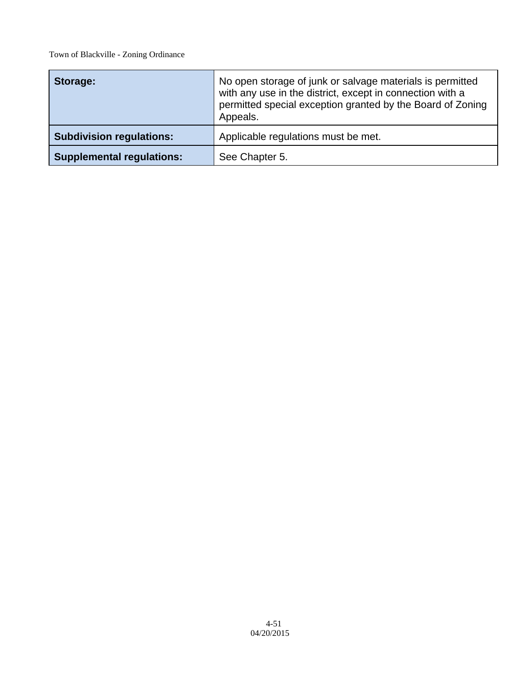| Storage:                         | No open storage of junk or salvage materials is permitted<br>with any use in the district, except in connection with a<br>permitted special exception granted by the Board of Zoning<br>Appeals. |
|----------------------------------|--------------------------------------------------------------------------------------------------------------------------------------------------------------------------------------------------|
| <b>Subdivision regulations:</b>  | Applicable regulations must be met.                                                                                                                                                              |
| <b>Supplemental regulations:</b> | See Chapter 5.                                                                                                                                                                                   |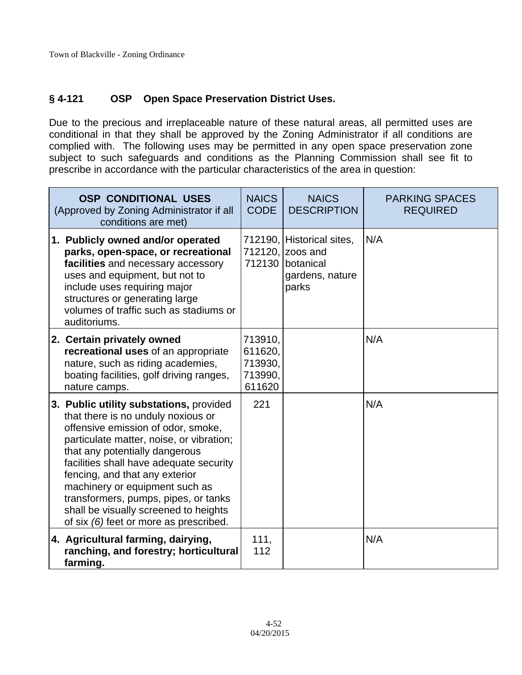# **§ 4-121 OSP Open Space Preservation District Uses.**

Due to the precious and irreplaceable nature of these natural areas, all permitted uses are conditional in that they shall be approved by the Zoning Administrator if all conditions are complied with. The following uses may be permitted in any open space preservation zone subject to such safeguards and conditions as the Planning Commission shall see fit to prescribe in accordance with the particular characteristics of the area in question:

| <b>OSP CONDITIONAL USES</b><br>(Approved by Zoning Administrator if all<br>conditions are met)                                                                                                                                                                                                                                                                                                                                              | <b>NAICS</b><br><b>CODE</b>                        | <b>NAICS</b><br><b>DESCRIPTION</b>                                             | <b>PARKING SPACES</b><br><b>REQUIRED</b> |
|---------------------------------------------------------------------------------------------------------------------------------------------------------------------------------------------------------------------------------------------------------------------------------------------------------------------------------------------------------------------------------------------------------------------------------------------|----------------------------------------------------|--------------------------------------------------------------------------------|------------------------------------------|
| 1. Publicly owned and/or operated<br>parks, open-space, or recreational<br>facilities and necessary accessory<br>uses and equipment, but not to<br>include uses requiring major<br>structures or generating large<br>volumes of traffic such as stadiums or<br>auditoriums.                                                                                                                                                                 | 712120.<br>712130                                  | 712190, Historical sites,<br>zoos and<br>botanical<br>gardens, nature<br>parks | N/A                                      |
| 2. Certain privately owned<br>recreational uses of an appropriate<br>nature, such as riding academies,<br>boating facilities, golf driving ranges,<br>nature camps.                                                                                                                                                                                                                                                                         | 713910,<br>611620,<br>713930,<br>713990,<br>611620 |                                                                                | N/A                                      |
| 3. Public utility substations, provided<br>that there is no unduly noxious or<br>offensive emission of odor, smoke,<br>particulate matter, noise, or vibration;<br>that any potentially dangerous<br>facilities shall have adequate security<br>fencing, and that any exterior<br>machinery or equipment such as<br>transformers, pumps, pipes, or tanks<br>shall be visually screened to heights<br>of six (6) feet or more as prescribed. | 221                                                |                                                                                | N/A                                      |
| 4. Agricultural farming, dairying,<br>ranching, and forestry; horticultural<br>farming.                                                                                                                                                                                                                                                                                                                                                     | 111,<br>112                                        |                                                                                | N/A                                      |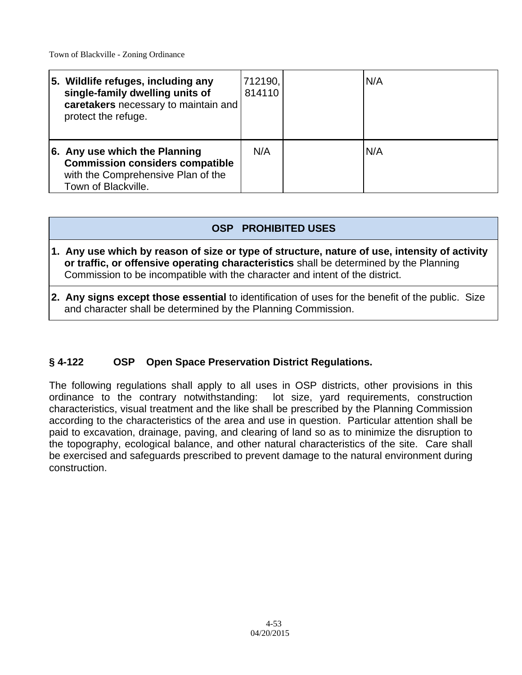Town of Blackville - Zoning Ordinance

| 5. Wildlife refuges, including any<br>single-family dwelling units of<br>caretakers necessary to maintain and<br>protect the refuge. | 712190,<br>814110 | N/A |
|--------------------------------------------------------------------------------------------------------------------------------------|-------------------|-----|
| 6. Any use which the Planning<br><b>Commission considers compatible</b><br>with the Comprehensive Plan of the<br>Town of Blackville. | N/A               | N/A |

# **OSP PROHIBITED USES**

- **1. Any use which by reason of size or type of structure, nature of use, intensity of activity or traffic, or offensive operating characteristics** shall be determined by the Planning Commission to be incompatible with the character and intent of the district.
- **2. Any signs except those essential** to identification of uses for the benefit of the public. Size and character shall be determined by the Planning Commission.

# **§ 4-122 OSP Open Space Preservation District Regulations.**

The following regulations shall apply to all uses in OSP districts, other provisions in this ordinance to the contrary notwithstanding: lot size, yard requirements, construction characteristics, visual treatment and the like shall be prescribed by the Planning Commission according to the characteristics of the area and use in question. Particular attention shall be paid to excavation, drainage, paving, and clearing of land so as to minimize the disruption to the topography, ecological balance, and other natural characteristics of the site. Care shall be exercised and safeguards prescribed to prevent damage to the natural environment during construction.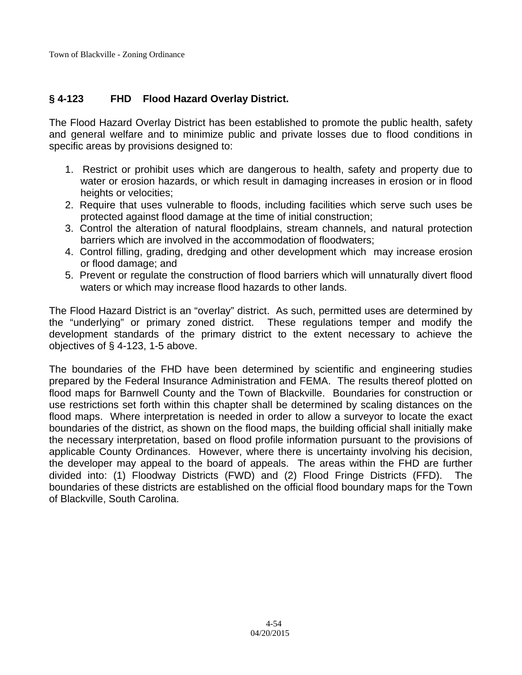# **§ 4-123 FHD Flood Hazard Overlay District.**

The Flood Hazard Overlay District has been established to promote the public health, safety and general welfare and to minimize public and private losses due to flood conditions in specific areas by provisions designed to:

- 1. Restrict or prohibit uses which are dangerous to health, safety and property due to water or erosion hazards, or which result in damaging increases in erosion or in flood heights or velocities;
- 2. Require that uses vulnerable to floods, including facilities which serve such uses be protected against flood damage at the time of initial construction;
- 3. Control the alteration of natural floodplains, stream channels, and natural protection barriers which are involved in the accommodation of floodwaters;
- 4. Control filling, grading, dredging and other development which may increase erosion or flood damage; and
- 5. Prevent or regulate the construction of flood barriers which will unnaturally divert flood waters or which may increase flood hazards to other lands.

The Flood Hazard District is an "overlay" district. As such, permitted uses are determined by the "underlying" or primary zoned district. These regulations temper and modify the development standards of the primary district to the extent necessary to achieve the objectives of § 4-123, 1-5 above.

The boundaries of the FHD have been determined by scientific and engineering studies prepared by the Federal Insurance Administration and FEMA. The results thereof plotted on flood maps for Barnwell County and the Town of Blackville. Boundaries for construction or use restrictions set forth within this chapter shall be determined by scaling distances on the flood maps. Where interpretation is needed in order to allow a surveyor to locate the exact boundaries of the district, as shown on the flood maps, the building official shall initially make the necessary interpretation, based on flood profile information pursuant to the provisions of applicable County Ordinances. However, where there is uncertainty involving his decision, the developer may appeal to the board of appeals. The areas within the FHD are further divided into: (1) Floodway Districts (FWD) and (2) Flood Fringe Districts (FFD). The boundaries of these districts are established on the official flood boundary maps for the Town of Blackville, South Carolina.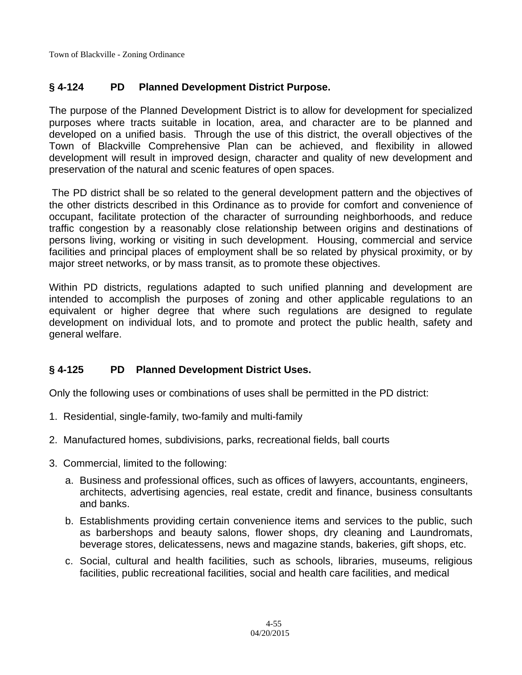Town of Blackville - Zoning Ordinance

## **§ 4-124 PD Planned Development District Purpose.**

The purpose of the Planned Development District is to allow for development for specialized purposes where tracts suitable in location, area, and character are to be planned and developed on a unified basis. Through the use of this district, the overall objectives of the Town of Blackville Comprehensive Plan can be achieved, and flexibility in allowed development will result in improved design, character and quality of new development and preservation of the natural and scenic features of open spaces.

 The PD district shall be so related to the general development pattern and the objectives of the other districts described in this Ordinance as to provide for comfort and convenience of occupant, facilitate protection of the character of surrounding neighborhoods, and reduce traffic congestion by a reasonably close relationship between origins and destinations of persons living, working or visiting in such development. Housing, commercial and service facilities and principal places of employment shall be so related by physical proximity, or by major street networks, or by mass transit, as to promote these objectives.

Within PD districts, regulations adapted to such unified planning and development are intended to accomplish the purposes of zoning and other applicable regulations to an equivalent or higher degree that where such regulations are designed to regulate development on individual lots, and to promote and protect the public health, safety and general welfare.

## **§ 4-125 PD Planned Development District Uses.**

Only the following uses or combinations of uses shall be permitted in the PD district:

- 1. Residential, single-family, two-family and multi-family
- 2. Manufactured homes, subdivisions, parks, recreational fields, ball courts
- 3. Commercial, limited to the following:
	- a. Business and professional offices, such as offices of lawyers, accountants, engineers, architects, advertising agencies, real estate, credit and finance, business consultants and banks.
	- b. Establishments providing certain convenience items and services to the public, such as barbershops and beauty salons, flower shops, dry cleaning and Laundromats, beverage stores, delicatessens, news and magazine stands, bakeries, gift shops, etc.
	- c. Social, cultural and health facilities, such as schools, libraries, museums, religious facilities, public recreational facilities, social and health care facilities, and medical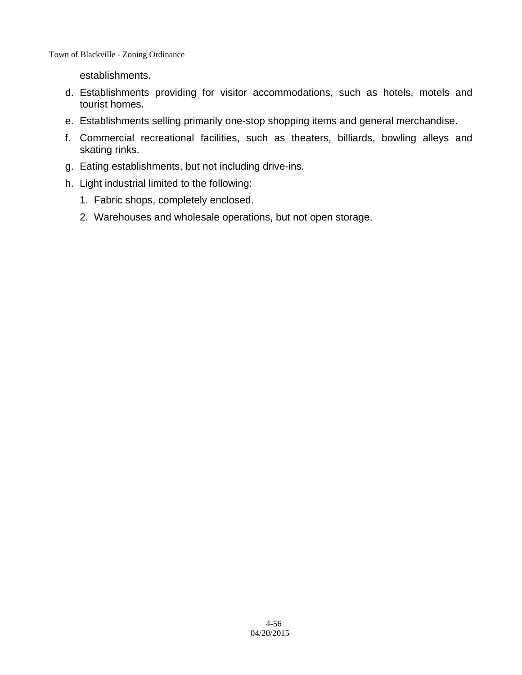Town of Blackville - Zoning Ordinance

establishments.

- d. Establishments providing for visitor accommodations, such as hotels, motels and tourist homes.
- e. Establishments selling primarily one-stop shopping items and general merchandise.
- f. Commercial recreational facilities, such as theaters, billiards, bowling alleys and skating rinks.
- g. Eating establishments, but not including drive-ins.
- h. Light industrial limited to the following:
	- 1. Fabric shops, completely enclosed.
	- 2. Warehouses and wholesale operations, but not open storage.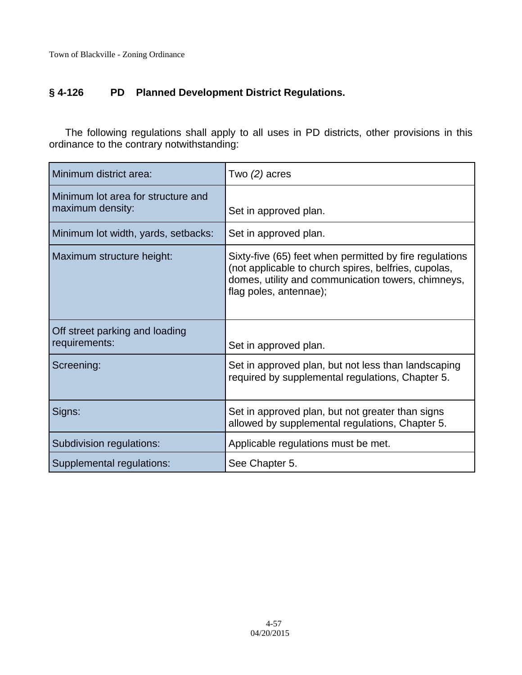# **§ 4-126 PD Planned Development District Regulations.**

The following regulations shall apply to all uses in PD districts, other provisions in this ordinance to the contrary notwithstanding:

| Minimum district area:                                 | Two $(2)$ acres                                                                                                                                                                                 |
|--------------------------------------------------------|-------------------------------------------------------------------------------------------------------------------------------------------------------------------------------------------------|
| Minimum lot area for structure and<br>maximum density: | Set in approved plan.                                                                                                                                                                           |
| Minimum lot width, yards, setbacks:                    | Set in approved plan.                                                                                                                                                                           |
| Maximum structure height:                              | Sixty-five (65) feet when permitted by fire regulations<br>(not applicable to church spires, belfries, cupolas,<br>domes, utility and communication towers, chimneys,<br>flag poles, antennae); |
| Off street parking and loading<br>requirements:        | Set in approved plan.                                                                                                                                                                           |
| Screening:                                             | Set in approved plan, but not less than landscaping<br>required by supplemental regulations, Chapter 5.                                                                                         |
| Signs:                                                 | Set in approved plan, but not greater than signs<br>allowed by supplemental regulations, Chapter 5.                                                                                             |
| Subdivision regulations:                               | Applicable regulations must be met.                                                                                                                                                             |
| Supplemental regulations:                              | See Chapter 5.                                                                                                                                                                                  |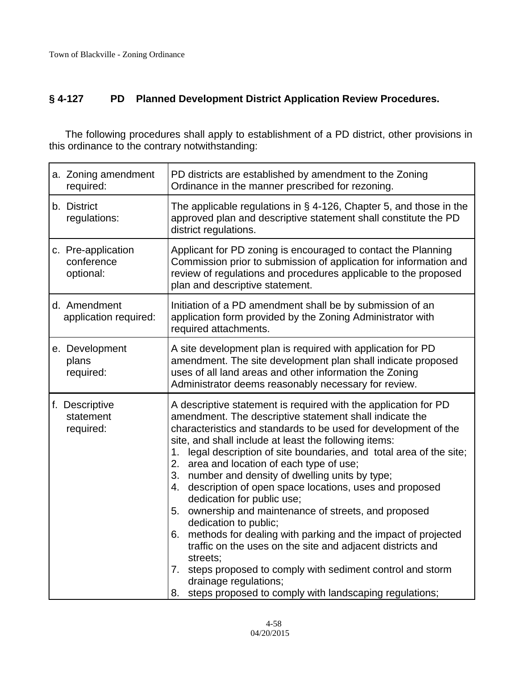# **§ 4-127 PD Planned Development District Application Review Procedures.**

The following procedures shall apply to establishment of a PD district, other provisions in this ordinance to the contrary notwithstanding:

| a. Zoning amendment<br>required:              | PD districts are established by amendment to the Zoning<br>Ordinance in the manner prescribed for rezoning.                                                                                                                                                                                                                                                                                                                                                                                                                                                                                                                                                                                                                                                                                                                                                                                                                         |
|-----------------------------------------------|-------------------------------------------------------------------------------------------------------------------------------------------------------------------------------------------------------------------------------------------------------------------------------------------------------------------------------------------------------------------------------------------------------------------------------------------------------------------------------------------------------------------------------------------------------------------------------------------------------------------------------------------------------------------------------------------------------------------------------------------------------------------------------------------------------------------------------------------------------------------------------------------------------------------------------------|
| b. District<br>regulations:                   | The applicable regulations in $\S$ 4-126, Chapter 5, and those in the<br>approved plan and descriptive statement shall constitute the PD<br>district regulations.                                                                                                                                                                                                                                                                                                                                                                                                                                                                                                                                                                                                                                                                                                                                                                   |
| c. Pre-application<br>conference<br>optional: | Applicant for PD zoning is encouraged to contact the Planning<br>Commission prior to submission of application for information and<br>review of regulations and procedures applicable to the proposed<br>plan and descriptive statement.                                                                                                                                                                                                                                                                                                                                                                                                                                                                                                                                                                                                                                                                                            |
| d. Amendment<br>application required:         | Initiation of a PD amendment shall be by submission of an<br>application form provided by the Zoning Administrator with<br>required attachments.                                                                                                                                                                                                                                                                                                                                                                                                                                                                                                                                                                                                                                                                                                                                                                                    |
| e. Development<br>plans<br>required:          | A site development plan is required with application for PD<br>amendment. The site development plan shall indicate proposed<br>uses of all land areas and other information the Zoning<br>Administrator deems reasonably necessary for review.                                                                                                                                                                                                                                                                                                                                                                                                                                                                                                                                                                                                                                                                                      |
| f. Descriptive<br>statement<br>required:      | A descriptive statement is required with the application for PD<br>amendment. The descriptive statement shall indicate the<br>characteristics and standards to be used for development of the<br>site, and shall include at least the following items:<br>legal description of site boundaries, and total area of the site;<br>1.<br>2.<br>area and location of each type of use;<br>3.<br>number and density of dwelling units by type;<br>description of open space locations, uses and proposed<br>4.<br>dedication for public use;<br>ownership and maintenance of streets, and proposed<br>5.<br>dedication to public;<br>methods for dealing with parking and the impact of projected<br>6.<br>traffic on the uses on the site and adjacent districts and<br>streets;<br>7. steps proposed to comply with sediment control and storm<br>drainage regulations;<br>steps proposed to comply with landscaping regulations;<br>8. |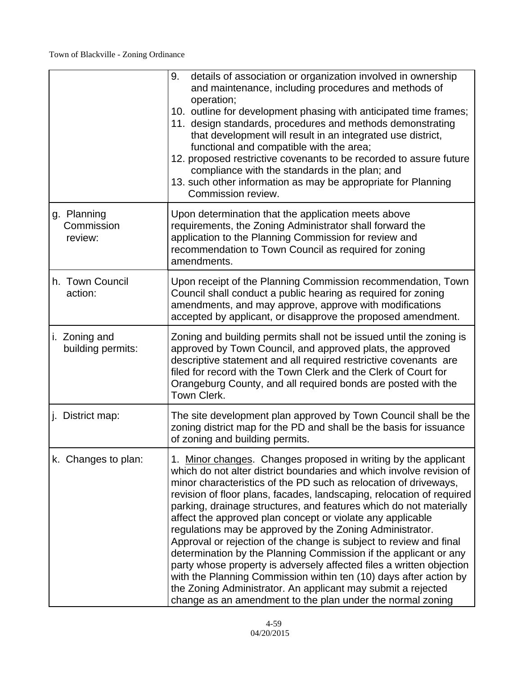|                                      | details of association or organization involved in ownership<br>9.<br>and maintenance, including procedures and methods of<br>operation;<br>10. outline for development phasing with anticipated time frames;<br>11. design standards, procedures and methods demonstrating<br>that development will result in an integrated use district,<br>functional and compatible with the area;<br>12. proposed restrictive covenants to be recorded to assure future<br>compliance with the standards in the plan; and<br>13. such other information as may be appropriate for Planning<br>Commission review.                                                                                                                                                                                                                                                                                                    |
|--------------------------------------|----------------------------------------------------------------------------------------------------------------------------------------------------------------------------------------------------------------------------------------------------------------------------------------------------------------------------------------------------------------------------------------------------------------------------------------------------------------------------------------------------------------------------------------------------------------------------------------------------------------------------------------------------------------------------------------------------------------------------------------------------------------------------------------------------------------------------------------------------------------------------------------------------------|
| g. Planning<br>Commission<br>review: | Upon determination that the application meets above<br>requirements, the Zoning Administrator shall forward the<br>application to the Planning Commission for review and<br>recommendation to Town Council as required for zoning<br>amendments.                                                                                                                                                                                                                                                                                                                                                                                                                                                                                                                                                                                                                                                         |
| h. Town Council<br>action:           | Upon receipt of the Planning Commission recommendation, Town<br>Council shall conduct a public hearing as required for zoning<br>amendments, and may approve, approve with modifications<br>accepted by applicant, or disapprove the proposed amendment.                                                                                                                                                                                                                                                                                                                                                                                                                                                                                                                                                                                                                                                 |
| i. Zoning and<br>building permits:   | Zoning and building permits shall not be issued until the zoning is<br>approved by Town Council, and approved plats, the approved<br>descriptive statement and all required restrictive covenants are<br>filed for record with the Town Clerk and the Clerk of Court for<br>Orangeburg County, and all required bonds are posted with the<br>Town Clerk.                                                                                                                                                                                                                                                                                                                                                                                                                                                                                                                                                 |
| j. District map:                     | The site development plan approved by Town Council shall be the<br>zoning district map for the PD and shall be the basis for issuance<br>of zoning and building permits.                                                                                                                                                                                                                                                                                                                                                                                                                                                                                                                                                                                                                                                                                                                                 |
| k. Changes to plan:                  | 1. Minor changes. Changes proposed in writing by the applicant<br>which do not alter district boundaries and which involve revision of<br>minor characteristics of the PD such as relocation of driveways,<br>revision of floor plans, facades, landscaping, relocation of required<br>parking, drainage structures, and features which do not materially<br>affect the approved plan concept or violate any applicable<br>regulations may be approved by the Zoning Administrator.<br>Approval or rejection of the change is subject to review and final<br>determination by the Planning Commission if the applicant or any<br>party whose property is adversely affected files a written objection<br>with the Planning Commission within ten (10) days after action by<br>the Zoning Administrator. An applicant may submit a rejected<br>change as an amendment to the plan under the normal zoning |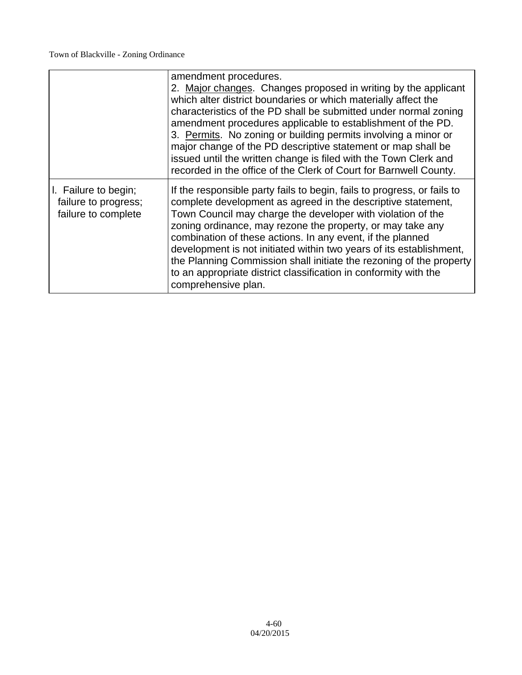|                                                                     | amendment procedures.<br>2. Major changes. Changes proposed in writing by the applicant<br>which alter district boundaries or which materially affect the<br>characteristics of the PD shall be submitted under normal zoning<br>amendment procedures applicable to establishment of the PD.<br>3. Permits. No zoning or building permits involving a minor or<br>major change of the PD descriptive statement or map shall be<br>issued until the written change is filed with the Town Clerk and<br>recorded in the office of the Clerk of Court for Barnwell County.     |
|---------------------------------------------------------------------|-----------------------------------------------------------------------------------------------------------------------------------------------------------------------------------------------------------------------------------------------------------------------------------------------------------------------------------------------------------------------------------------------------------------------------------------------------------------------------------------------------------------------------------------------------------------------------|
| I. Failure to begin;<br>failure to progress;<br>failure to complete | If the responsible party fails to begin, fails to progress, or fails to<br>complete development as agreed in the descriptive statement,<br>Town Council may charge the developer with violation of the<br>zoning ordinance, may rezone the property, or may take any<br>combination of these actions. In any event, if the planned<br>development is not initiated within two years of its establishment,<br>the Planning Commission shall initiate the rezoning of the property<br>to an appropriate district classification in conformity with the<br>comprehensive plan. |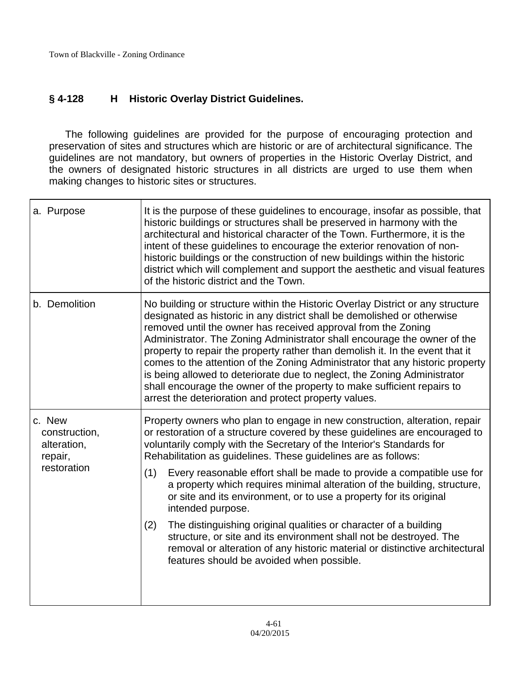# **§ 4-128 H Historic Overlay District Guidelines.**

The following guidelines are provided for the purpose of encouraging protection and preservation of sites and structures which are historic or are of architectural significance. The guidelines are not mandatory, but owners of properties in the Historic Overlay District, and the owners of designated historic structures in all districts are urged to use them when making changes to historic sites or structures.

| a. Purpose                                        | It is the purpose of these guidelines to encourage, insofar as possible, that<br>historic buildings or structures shall be preserved in harmony with the<br>architectural and historical character of the Town. Furthermore, it is the<br>intent of these guidelines to encourage the exterior renovation of non-<br>historic buildings or the construction of new buildings within the historic<br>district which will complement and support the aesthetic and visual features<br>of the historic district and the Town.                                                                                                                                                               |
|---------------------------------------------------|------------------------------------------------------------------------------------------------------------------------------------------------------------------------------------------------------------------------------------------------------------------------------------------------------------------------------------------------------------------------------------------------------------------------------------------------------------------------------------------------------------------------------------------------------------------------------------------------------------------------------------------------------------------------------------------|
| b. Demolition                                     | No building or structure within the Historic Overlay District or any structure<br>designated as historic in any district shall be demolished or otherwise<br>removed until the owner has received approval from the Zoning<br>Administrator. The Zoning Administrator shall encourage the owner of the<br>property to repair the property rather than demolish it. In the event that it<br>comes to the attention of the Zoning Administrator that any historic property<br>is being allowed to deteriorate due to neglect, the Zoning Administrator<br>shall encourage the owner of the property to make sufficient repairs to<br>arrest the deterioration and protect property values. |
| c. New<br>construction,<br>alteration,<br>repair, | Property owners who plan to engage in new construction, alteration, repair<br>or restoration of a structure covered by these guidelines are encouraged to<br>voluntarily comply with the Secretary of the Interior's Standards for<br>Rehabilitation as guidelines. These guidelines are as follows:                                                                                                                                                                                                                                                                                                                                                                                     |
| restoration                                       | (1)<br>Every reasonable effort shall be made to provide a compatible use for<br>a property which requires minimal alteration of the building, structure,<br>or site and its environment, or to use a property for its original<br>intended purpose.                                                                                                                                                                                                                                                                                                                                                                                                                                      |
|                                                   | (2)<br>The distinguishing original qualities or character of a building<br>structure, or site and its environment shall not be destroyed. The<br>removal or alteration of any historic material or distinctive architectural<br>features should be avoided when possible.                                                                                                                                                                                                                                                                                                                                                                                                                |
|                                                   |                                                                                                                                                                                                                                                                                                                                                                                                                                                                                                                                                                                                                                                                                          |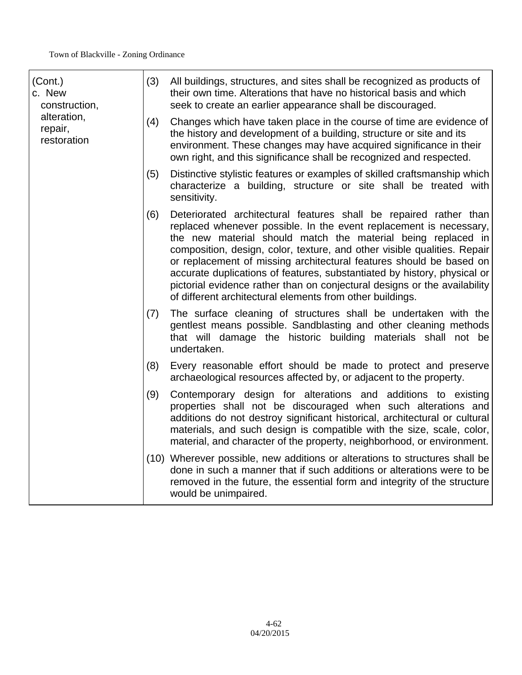| (Cont.)<br>c. New<br>construction,<br>alteration,<br>repair,<br>restoration | (3) | All buildings, structures, and sites shall be recognized as products of<br>their own time. Alterations that have no historical basis and which<br>seek to create an earlier appearance shall be discouraged.                                                                                                                                                                                                                                                                                                                                                                     |
|-----------------------------------------------------------------------------|-----|----------------------------------------------------------------------------------------------------------------------------------------------------------------------------------------------------------------------------------------------------------------------------------------------------------------------------------------------------------------------------------------------------------------------------------------------------------------------------------------------------------------------------------------------------------------------------------|
|                                                                             | (4) | Changes which have taken place in the course of time are evidence of<br>the history and development of a building, structure or site and its<br>environment. These changes may have acquired significance in their<br>own right, and this significance shall be recognized and respected.                                                                                                                                                                                                                                                                                        |
|                                                                             | (5) | Distinctive stylistic features or examples of skilled craftsmanship which<br>characterize a building, structure or site shall be treated with<br>sensitivity.                                                                                                                                                                                                                                                                                                                                                                                                                    |
|                                                                             | (6) | Deteriorated architectural features shall be repaired rather than<br>replaced whenever possible. In the event replacement is necessary,<br>the new material should match the material being replaced in<br>composition, design, color, texture, and other visible qualities. Repair<br>or replacement of missing architectural features should be based on<br>accurate duplications of features, substantiated by history, physical or<br>pictorial evidence rather than on conjectural designs or the availability<br>of different architectural elements from other buildings. |
|                                                                             | (7) | The surface cleaning of structures shall be undertaken with the<br>gentlest means possible. Sandblasting and other cleaning methods<br>that will damage the historic building materials shall not be<br>undertaken.                                                                                                                                                                                                                                                                                                                                                              |
|                                                                             | (8) | Every reasonable effort should be made to protect and preserve<br>archaeological resources affected by, or adjacent to the property.                                                                                                                                                                                                                                                                                                                                                                                                                                             |
|                                                                             | (9) | Contemporary design for alterations and additions to existing<br>properties shall not be discouraged when such alterations and<br>additions do not destroy significant historical, architectural or cultural<br>materials, and such design is compatible with the size, scale, color,<br>material, and character of the property, neighborhood, or environment.                                                                                                                                                                                                                  |
|                                                                             |     | (10) Wherever possible, new additions or alterations to structures shall be<br>done in such a manner that if such additions or alterations were to be<br>removed in the future, the essential form and integrity of the structure<br>would be unimpaired.                                                                                                                                                                                                                                                                                                                        |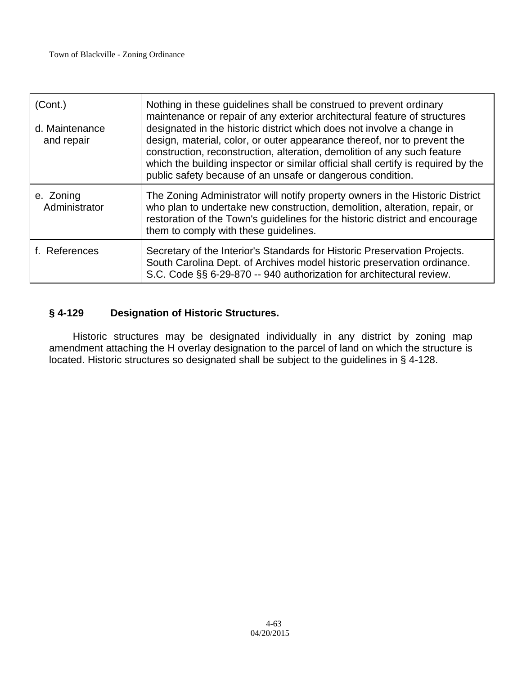| (Cont.)<br>d. Maintenance<br>and repair | Nothing in these guidelines shall be construed to prevent ordinary<br>maintenance or repair of any exterior architectural feature of structures<br>designated in the historic district which does not involve a change in<br>design, material, color, or outer appearance thereof, nor to prevent the<br>construction, reconstruction, alteration, demolition of any such feature<br>which the building inspector or similar official shall certify is required by the<br>public safety because of an unsafe or dangerous condition. |
|-----------------------------------------|--------------------------------------------------------------------------------------------------------------------------------------------------------------------------------------------------------------------------------------------------------------------------------------------------------------------------------------------------------------------------------------------------------------------------------------------------------------------------------------------------------------------------------------|
| e. Zoning<br>Administrator              | The Zoning Administrator will notify property owners in the Historic District<br>who plan to undertake new construction, demolition, alteration, repair, or<br>restoration of the Town's guidelines for the historic district and encourage<br>them to comply with these guidelines.                                                                                                                                                                                                                                                 |
| f. References                           | Secretary of the Interior's Standards for Historic Preservation Projects.<br>South Carolina Dept. of Archives model historic preservation ordinance.<br>S.C. Code §§ 6-29-870 -- 940 authorization for architectural review.                                                                                                                                                                                                                                                                                                         |

# **§ 4-129 Designation of Historic Structures.**

Historic structures may be designated individually in any district by zoning map amendment attaching the H overlay designation to the parcel of land on which the structure is located. Historic structures so designated shall be subject to the guidelines in § 4-128.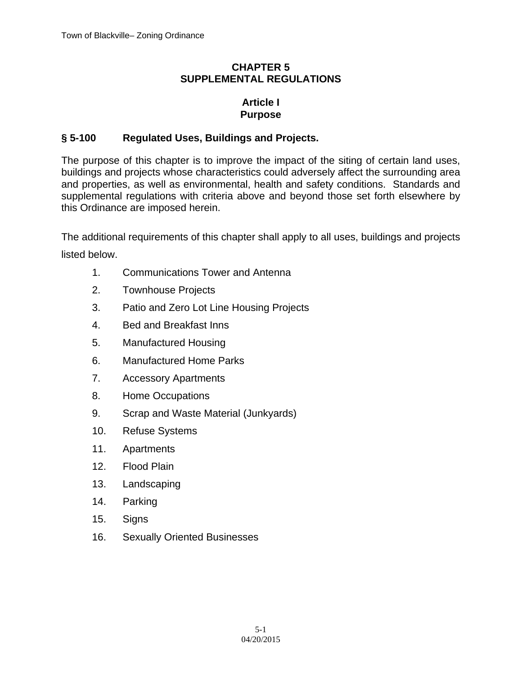## **CHAPTER 5 SUPPLEMENTAL REGULATIONS**

## **Article I Purpose**

## **§ 5-100 Regulated Uses, Buildings and Projects.**

The purpose of this chapter is to improve the impact of the siting of certain land uses, buildings and projects whose characteristics could adversely affect the surrounding area and properties, as well as environmental, health and safety conditions. Standards and supplemental regulations with criteria above and beyond those set forth elsewhere by this Ordinance are imposed herein.

The additional requirements of this chapter shall apply to all uses, buildings and projects listed below.

- 1. Communications Tower and Antenna
- 2. Townhouse Projects
- 3. Patio and Zero Lot Line Housing Projects
- 4. Bed and Breakfast Inns
- 5. Manufactured Housing
- 6. Manufactured Home Parks
- 7. Accessory Apartments
- 8. Home Occupations
- 9. Scrap and Waste Material (Junkyards)
- 10. Refuse Systems
- 11. Apartments
- 12. Flood Plain
- 13. Landscaping
- 14. Parking
- 15. Signs
- 16. Sexually Oriented Businesses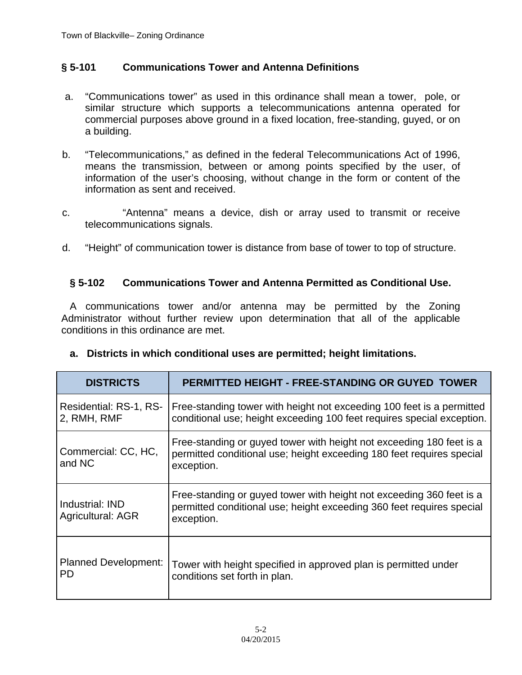## **§ 5-101 Communications Tower and Antenna Definitions**

- a. "Communications tower" as used in this ordinance shall mean a tower, pole, or similar structure which supports a telecommunications antenna operated for commercial purposes above ground in a fixed location, free-standing, guyed, or on a building.
- b. "Telecommunications," as defined in the federal Telecommunications Act of 1996, means the transmission, between or among points specified by the user, of information of the user's choosing, without change in the form or content of the information as sent and received.
- c. "Antenna" means a device, dish or array used to transmit or receive telecommunications signals.
- d. "Height" of communication tower is distance from base of tower to top of structure.

## **§ 5-102 Communications Tower and Antenna Permitted as Conditional Use.**

A communications tower and/or antenna may be permitted by the Zoning Administrator without further review upon determination that all of the applicable conditions in this ordinance are met.

| <b>DISTRICTS</b>                      | <b>PERMITTED HEIGHT - FREE-STANDING OR GUYED TOWER</b>                                                                                                      |
|---------------------------------------|-------------------------------------------------------------------------------------------------------------------------------------------------------------|
| Residential: RS-1, RS-<br>2, RMH, RMF | Free-standing tower with height not exceeding 100 feet is a permitted<br>conditional use; height exceeding 100 feet requires special exception.             |
| Commercial: CC, HC,<br>and NC         | Free-standing or guyed tower with height not exceeding 180 feet is a<br>permitted conditional use; height exceeding 180 feet requires special<br>exception. |
| Industrial: IND<br>Agricultural: AGR  | Free-standing or guyed tower with height not exceeding 360 feet is a<br>permitted conditional use; height exceeding 360 feet requires special<br>exception. |
| <b>Planned Development:</b><br>PD     | Tower with height specified in approved plan is permitted under<br>conditions set forth in plan.                                                            |

## **a. Districts in which conditional uses are permitted; height limitations.**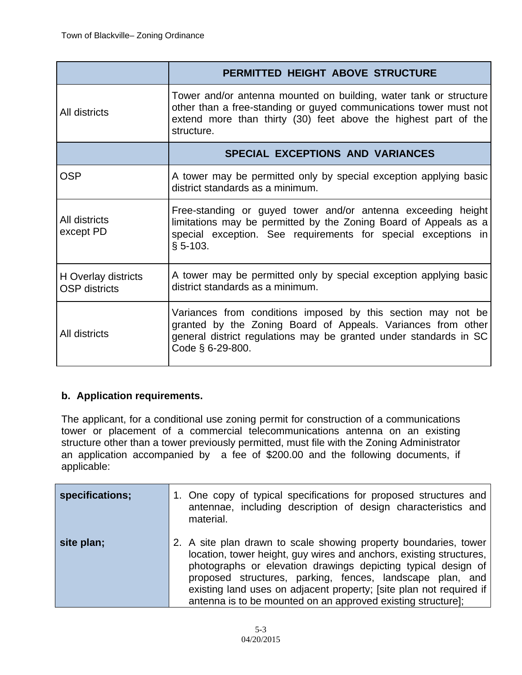|                                             | <b>PERMITTED HEIGHT ABOVE STRUCTURE</b>                                                                                                                                                                                  |
|---------------------------------------------|--------------------------------------------------------------------------------------------------------------------------------------------------------------------------------------------------------------------------|
| All districts                               | Tower and/or antenna mounted on building, water tank or structure<br>other than a free-standing or guyed communications tower must not<br>extend more than thirty (30) feet above the highest part of the<br>structure.  |
|                                             | SPECIAL EXCEPTIONS AND VARIANCES                                                                                                                                                                                         |
| OSP                                         | A tower may be permitted only by special exception applying basic<br>district standards as a minimum.                                                                                                                    |
| All districts<br>except PD                  | Free-standing or guyed tower and/or antenna exceeding height<br>limitations may be permitted by the Zoning Board of Appeals as a<br>special exception. See requirements for special exceptions in<br>$§ 5-103.$          |
| H Overlay districts<br><b>OSP</b> districts | A tower may be permitted only by special exception applying basic<br>district standards as a minimum.                                                                                                                    |
| All districts                               | Variances from conditions imposed by this section may not be<br>granted by the Zoning Board of Appeals. Variances from other<br>general district regulations may be granted under standards in SC<br>Code $\S$ 6-29-800. |

## **b. Application requirements.**

The applicant, for a conditional use zoning permit for construction of a communications tower or placement of a commercial telecommunications antenna on an existing structure other than a tower previously permitted, must file with the Zoning Administrator an application accompanied by a fee of \$200.00 and the following documents, if applicable:

| specifications; | 1. One copy of typical specifications for proposed structures and<br>antennae, including description of design characteristics and<br>material.                                                                                                                                                                                                                                                              |
|-----------------|--------------------------------------------------------------------------------------------------------------------------------------------------------------------------------------------------------------------------------------------------------------------------------------------------------------------------------------------------------------------------------------------------------------|
| site plan;      | 2. A site plan drawn to scale showing property boundaries, tower<br>location, tower height, guy wires and anchors, existing structures,<br>photographs or elevation drawings depicting typical design of<br>proposed structures, parking, fences, landscape plan, and<br>existing land uses on adjacent property; [site plan not required if<br>antenna is to be mounted on an approved existing structure]; |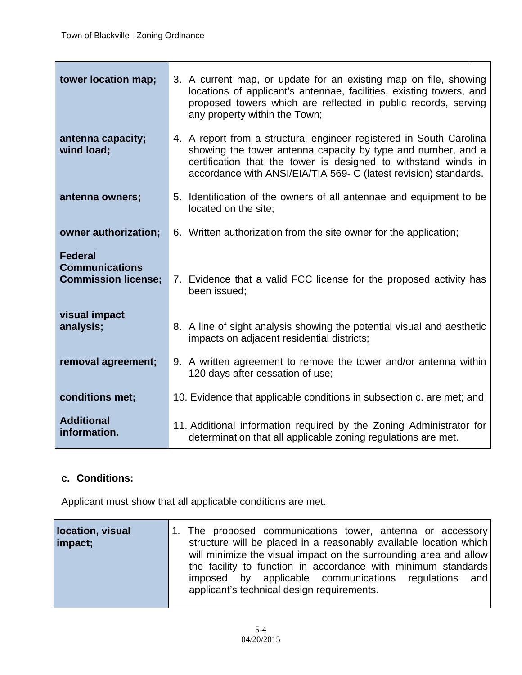| tower location map;                                                   | 3. A current map, or update for an existing map on file, showing<br>locations of applicant's antennae, facilities, existing towers, and<br>proposed towers which are reflected in public records, serving<br>any property within the Town;                                |
|-----------------------------------------------------------------------|---------------------------------------------------------------------------------------------------------------------------------------------------------------------------------------------------------------------------------------------------------------------------|
| antenna capacity;<br>wind load;                                       | 4. A report from a structural engineer registered in South Carolina<br>showing the tower antenna capacity by type and number, and a<br>certification that the tower is designed to withstand winds in<br>accordance with ANSI/EIA/TIA 569- C (latest revision) standards. |
| antenna owners;                                                       | 5. Identification of the owners of all antennae and equipment to be<br>located on the site:                                                                                                                                                                               |
| owner authorization;                                                  | 6. Written authorization from the site owner for the application;                                                                                                                                                                                                         |
| <b>Federal</b><br><b>Communications</b><br><b>Commission license;</b> | 7. Evidence that a valid FCC license for the proposed activity has<br>been issued;                                                                                                                                                                                        |
| visual impact<br>analysis;                                            | 8. A line of sight analysis showing the potential visual and aesthetic<br>impacts on adjacent residential districts;                                                                                                                                                      |
| removal agreement;                                                    | 9. A written agreement to remove the tower and/or antenna within<br>120 days after cessation of use;                                                                                                                                                                      |
| conditions met;                                                       | 10. Evidence that applicable conditions in subsection c. are met; and                                                                                                                                                                                                     |
| <b>Additional</b><br>information.                                     | 11. Additional information required by the Zoning Administrator for<br>determination that all applicable zoning regulations are met.                                                                                                                                      |

# **c. Conditions:**

Applicant must show that all applicable conditions are met.

| 1. The proposed communications tower, antenna or accessory<br>location, visual<br>structure will be placed in a reasonably available location which<br>impact;<br>will minimize the visual impact on the surrounding area and allow<br>the facility to function in accordance with minimum standards<br>imposed by applicable communications regulations and<br>applicant's technical design requirements. |
|------------------------------------------------------------------------------------------------------------------------------------------------------------------------------------------------------------------------------------------------------------------------------------------------------------------------------------------------------------------------------------------------------------|
|------------------------------------------------------------------------------------------------------------------------------------------------------------------------------------------------------------------------------------------------------------------------------------------------------------------------------------------------------------------------------------------------------------|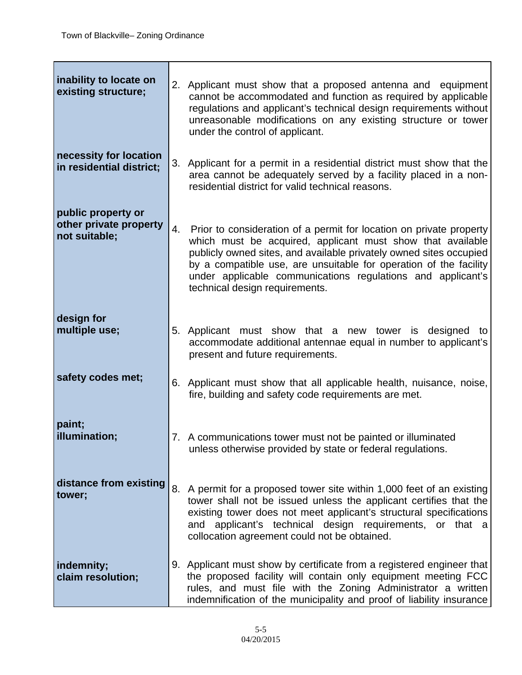| inability to locate on<br>existing structure;                 | 2. Applicant must show that a proposed antenna and equipment<br>cannot be accommodated and function as required by applicable<br>regulations and applicant's technical design requirements without<br>unreasonable modifications on any existing structure or tower<br>under the control of applicant.                                                                              |
|---------------------------------------------------------------|-------------------------------------------------------------------------------------------------------------------------------------------------------------------------------------------------------------------------------------------------------------------------------------------------------------------------------------------------------------------------------------|
| necessity for location<br>in residential district;            | 3. Applicant for a permit in a residential district must show that the<br>area cannot be adequately served by a facility placed in a non-<br>residential district for valid technical reasons.                                                                                                                                                                                      |
| public property or<br>other private property<br>not suitable; | Prior to consideration of a permit for location on private property<br>4.<br>which must be acquired, applicant must show that available<br>publicly owned sites, and available privately owned sites occupied<br>by a compatible use, are unsuitable for operation of the facility<br>under applicable communications regulations and applicant's<br>technical design requirements. |
| design for<br>multiple use;                                   | 5. Applicant must show that a new tower is designed to<br>accommodate additional antennae equal in number to applicant's<br>present and future requirements.                                                                                                                                                                                                                        |
| safety codes met;                                             | 6. Applicant must show that all applicable health, nuisance, noise,<br>fire, building and safety code requirements are met.                                                                                                                                                                                                                                                         |
| paint;<br>illumination;                                       | 7. A communications tower must not be painted or illuminated<br>unless otherwise provided by state or federal regulations.                                                                                                                                                                                                                                                          |
| distance from existing<br>tower;                              | 8.<br>A permit for a proposed tower site within 1,000 feet of an existing<br>tower shall not be issued unless the applicant certifies that the<br>existing tower does not meet applicant's structural specifications<br>and applicant's technical design requirements, or that a<br>collocation agreement could not be obtained.                                                    |
| indemnity;<br>claim resolution;                               | 9. Applicant must show by certificate from a registered engineer that<br>the proposed facility will contain only equipment meeting FCC<br>rules, and must file with the Zoning Administrator a written<br>indemnification of the municipality and proof of liability insurance                                                                                                      |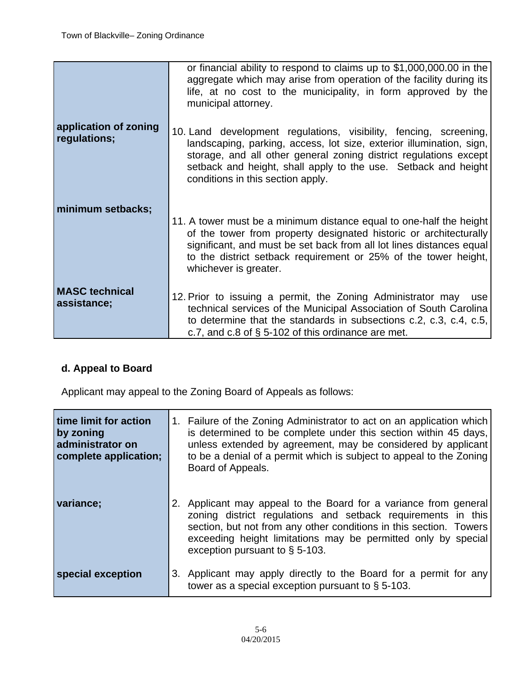|                                       | or financial ability to respond to claims up to \$1,000,000.00 in the<br>aggregate which may arise from operation of the facility during its<br>life, at no cost to the municipality, in form approved by the<br>municipal attorney.                                                                                  |
|---------------------------------------|-----------------------------------------------------------------------------------------------------------------------------------------------------------------------------------------------------------------------------------------------------------------------------------------------------------------------|
| application of zoning<br>regulations; | 10. Land development regulations, visibility, fencing, screening,<br>landscaping, parking, access, lot size, exterior illumination, sign,<br>storage, and all other general zoning district regulations except<br>setback and height, shall apply to the use. Setback and height<br>conditions in this section apply. |
| minimum setbacks;                     | 11. A tower must be a minimum distance equal to one-half the height<br>of the tower from property designated historic or architecturally<br>significant, and must be set back from all lot lines distances equal<br>to the district setback requirement or 25% of the tower height,<br>whichever is greater.          |
| <b>MASC</b> technical<br>assistance;  | 12. Prior to issuing a permit, the Zoning Administrator may<br>use<br>technical services of the Municipal Association of South Carolina<br>to determine that the standards in subsections c.2, c.3, c.4, c.5,<br>c.7, and c.8 of $\S$ 5-102 of this ordinance are met.                                                |

# **d. Appeal to Board**

Applicant may appeal to the Zoning Board of Appeals as follows:

| time limit for action<br>by zoning<br>administrator on<br>complete application; | 1. Failure of the Zoning Administrator to act on an application which<br>is determined to be complete under this section within 45 days,<br>unless extended by agreement, may be considered by applicant<br>to be a denial of a permit which is subject to appeal to the Zoning<br>Board of Appeals.         |
|---------------------------------------------------------------------------------|--------------------------------------------------------------------------------------------------------------------------------------------------------------------------------------------------------------------------------------------------------------------------------------------------------------|
| variance;                                                                       | 2. Applicant may appeal to the Board for a variance from general<br>zoning district regulations and setback requirements in this<br>section, but not from any other conditions in this section. Towers<br>exceeding height limitations may be permitted only by special<br>exception pursuant to $\S$ 5-103. |
| special exception                                                               | 3. Applicant may apply directly to the Board for a permit for any<br>tower as a special exception pursuant to $\S$ 5-103.                                                                                                                                                                                    |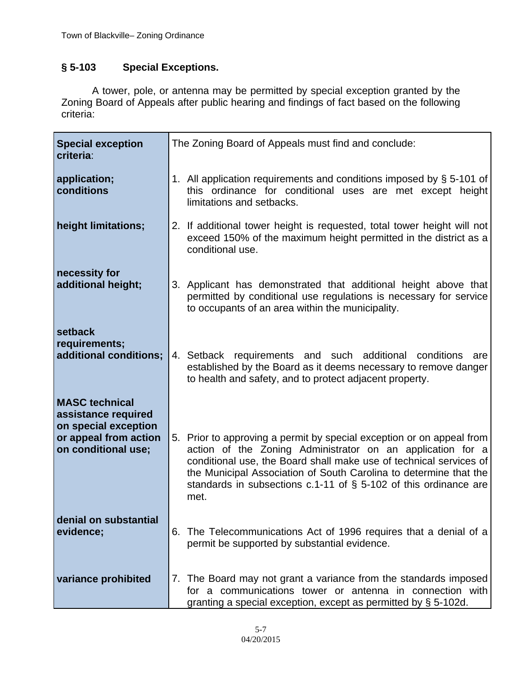# **§ 5-103 Special Exceptions.**

 A tower, pole, or antenna may be permitted by special exception granted by the Zoning Board of Appeals after public hearing and findings of fact based on the following criteria:

| <b>Special exception</b><br>criteria:                                                                                | The Zoning Board of Appeals must find and conclude:                                                                                                                                                                                                                                                                                                           |  |  |  |  |  |
|----------------------------------------------------------------------------------------------------------------------|---------------------------------------------------------------------------------------------------------------------------------------------------------------------------------------------------------------------------------------------------------------------------------------------------------------------------------------------------------------|--|--|--|--|--|
| application;<br>conditions                                                                                           | 1. All application requirements and conditions imposed by $\S$ 5-101 of<br>this ordinance for conditional uses are met except height<br>limitations and setbacks.                                                                                                                                                                                             |  |  |  |  |  |
| height limitations;                                                                                                  | 2. If additional tower height is requested, total tower height will not<br>exceed 150% of the maximum height permitted in the district as a<br>conditional use.                                                                                                                                                                                               |  |  |  |  |  |
| necessity for<br>additional height;                                                                                  | 3. Applicant has demonstrated that additional height above that<br>permitted by conditional use regulations is necessary for service<br>to occupants of an area within the municipality.                                                                                                                                                                      |  |  |  |  |  |
| setback<br>requirements;<br>additional conditions;                                                                   | 4. Setback requirements and such additional conditions<br>are<br>established by the Board as it deems necessary to remove danger<br>to health and safety, and to protect adjacent property.                                                                                                                                                                   |  |  |  |  |  |
| <b>MASC technical</b><br>assistance required<br>on special exception<br>or appeal from action<br>on conditional use; | 5. Prior to approving a permit by special exception or on appeal from<br>action of the Zoning Administrator on an application for a<br>conditional use, the Board shall make use of technical services of<br>the Municipal Association of South Carolina to determine that the<br>standards in subsections c.1-11 of $\S$ 5-102 of this ordinance are<br>met. |  |  |  |  |  |
| denial on substantial<br>evidence;                                                                                   | 6. The Telecommunications Act of 1996 requires that a denial of a<br>permit be supported by substantial evidence.                                                                                                                                                                                                                                             |  |  |  |  |  |
| variance prohibited                                                                                                  | 7. The Board may not grant a variance from the standards imposed<br>for a communications tower or antenna in connection with<br>granting a special exception, except as permitted by § 5-102d.                                                                                                                                                                |  |  |  |  |  |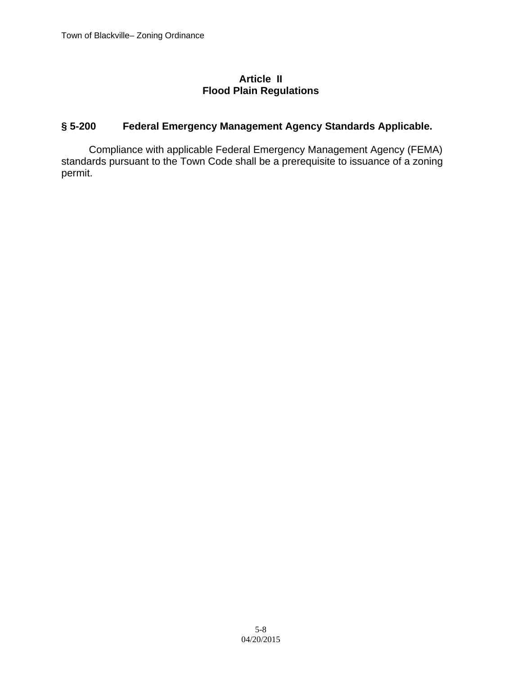#### **Article II Flood Plain Regulations**

# **§ 5-200 Federal Emergency Management Agency Standards Applicable.**

 Compliance with applicable Federal Emergency Management Agency (FEMA) standards pursuant to the Town Code shall be a prerequisite to issuance of a zoning permit.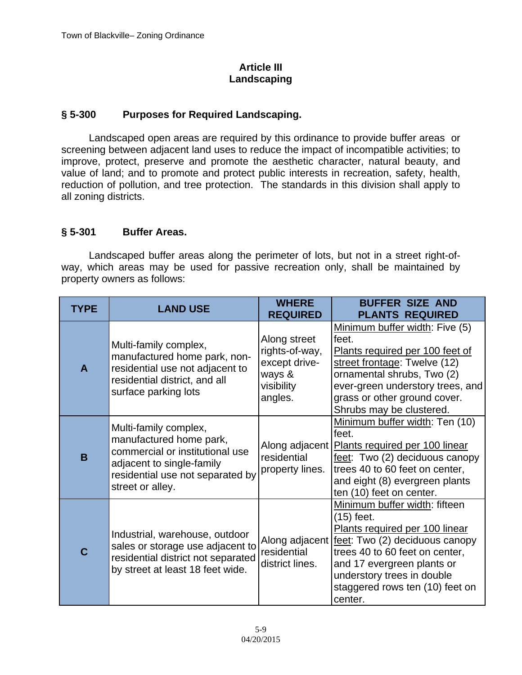## **Article III Landscaping**

# **§ 5-300 Purposes for Required Landscaping.**

 Landscaped open areas are required by this ordinance to provide buffer areas or screening between adjacent land uses to reduce the impact of incompatible activities; to improve, protect, preserve and promote the aesthetic character, natural beauty, and value of land; and to promote and protect public interests in recreation, safety, health, reduction of pollution, and tree protection. The standards in this division shall apply to all zoning districts.

## **§ 5-301 Buffer Areas.**

 Landscaped buffer areas along the perimeter of lots, but not in a street right-ofway, which areas may be used for passive recreation only, shall be maintained by property owners as follows:

| <b>TYPE</b>  | <b>LAND USE</b>                                                                                                                                                          | <b>WHERE</b><br><b>REQUIRED</b>                                                    | <b>BUFFER SIZE AND</b><br><b>PLANTS REQUIRED</b>                                                                                                                                                                                                                                   |  |  |  |
|--------------|--------------------------------------------------------------------------------------------------------------------------------------------------------------------------|------------------------------------------------------------------------------------|------------------------------------------------------------------------------------------------------------------------------------------------------------------------------------------------------------------------------------------------------------------------------------|--|--|--|
| $\mathbf{A}$ | Multi-family complex,<br>manufactured home park, non-<br>residential use not adjacent to<br>residential district, and all<br>surface parking lots                        | Along street<br>rights-of-way,<br>except drive-<br>ways &<br>visibility<br>angles. | Minimum buffer width: Five (5)<br>feet.<br>Plants required per 100 feet of<br>street frontage: Twelve (12)<br>ornamental shrubs, Two (2)<br>ever-green understory trees, and<br>grass or other ground cover.<br>Shrubs may be clustered.                                           |  |  |  |
| B            | Multi-family complex,<br>manufactured home park,<br>commercial or institutional use<br>adjacent to single-family<br>residential use not separated by<br>street or alley. | residential<br>property lines.                                                     | Minimum buffer width: Ten (10)<br>feet.<br>Along adjacent   Plants required per 100 linear<br>feet: Two (2) deciduous canopy<br>trees 40 to 60 feet on center,<br>and eight (8) evergreen plants<br>ten (10) feet on center.                                                       |  |  |  |
| $\mathbf C$  | Industrial, warehouse, outdoor<br>sales or storage use adjacent to<br>residential district not separated<br>by street at least 18 feet wide.                             | residential<br>district lines.                                                     | Minimum buffer width: fifteen<br>(15) feet.<br>Plants required per 100 linear<br>Along adjacent <u>feet</u> : Two (2) deciduous canopy<br>trees 40 to 60 feet on center,<br>and 17 evergreen plants or<br>understory trees in double<br>staggered rows ten (10) feet on<br>center. |  |  |  |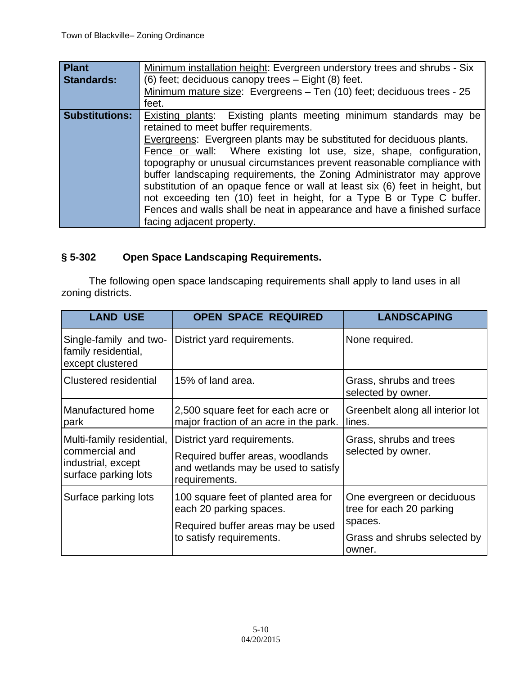| <b>Plant</b><br><b>Standards:</b> | Minimum installation height: Evergreen understory trees and shrubs - Six<br>$(6)$ feet; deciduous canopy trees $-$ Eight $(8)$ feet. |  |  |  |  |  |  |
|-----------------------------------|--------------------------------------------------------------------------------------------------------------------------------------|--|--|--|--|--|--|
|                                   | Minimum mature size: Evergreens - Ten (10) feet; deciduous trees - 25                                                                |  |  |  |  |  |  |
|                                   | feet.                                                                                                                                |  |  |  |  |  |  |
| <b>Substitutions:</b>             | <b>Existing plants:</b> Existing plants meeting minimum standards may be                                                             |  |  |  |  |  |  |
|                                   | retained to meet buffer requirements.                                                                                                |  |  |  |  |  |  |
|                                   | Evergreens: Evergreen plants may be substituted for deciduous plants.                                                                |  |  |  |  |  |  |
|                                   | Fence or wall: Where existing lot use, size, shape, configuration,                                                                   |  |  |  |  |  |  |
|                                   | topography or unusual circumstances prevent reasonable compliance with                                                               |  |  |  |  |  |  |
|                                   | buffer landscaping requirements, the Zoning Administrator may approve                                                                |  |  |  |  |  |  |
|                                   | substitution of an opaque fence or wall at least six (6) feet in height, but                                                         |  |  |  |  |  |  |
|                                   | not exceeding ten (10) feet in height, for a Type B or Type C buffer.                                                                |  |  |  |  |  |  |
|                                   | Fences and walls shall be neat in appearance and have a finished surface                                                             |  |  |  |  |  |  |
|                                   | facing adjacent property.                                                                                                            |  |  |  |  |  |  |

# **§ 5-302 Open Space Landscaping Requirements.**

 The following open space landscaping requirements shall apply to land uses in all zoning districts.

| <b>LAND USE</b>                                                                           | <b>OPEN SPACE REQUIRED</b>                                                                                              | <b>LANDSCAPING</b>                                                |  |  |  |
|-------------------------------------------------------------------------------------------|-------------------------------------------------------------------------------------------------------------------------|-------------------------------------------------------------------|--|--|--|
| Single-family and two-<br>family residential,<br>except clustered                         | District yard requirements.                                                                                             | None required.                                                    |  |  |  |
| <b>Clustered residential</b>                                                              | 15% of land area.                                                                                                       | Grass, shrubs and trees<br>selected by owner.                     |  |  |  |
| Manufactured home<br>park                                                                 | 2,500 square feet for each acre or<br>major fraction of an acre in the park.                                            | Greenbelt along all interior lot<br>lines.                        |  |  |  |
| Multi-family residential,<br>commercial and<br>industrial, except<br>surface parking lots | District yard requirements.<br>Required buffer areas, woodlands<br>and wetlands may be used to satisfy<br>requirements. | Grass, shrubs and trees<br>selected by owner.                     |  |  |  |
| Surface parking lots                                                                      | 100 square feet of planted area for<br>each 20 parking spaces.<br>Required buffer areas may be used                     | One evergreen or deciduous<br>tree for each 20 parking<br>spaces. |  |  |  |
|                                                                                           | to satisfy requirements.                                                                                                | Grass and shrubs selected by<br>owner.                            |  |  |  |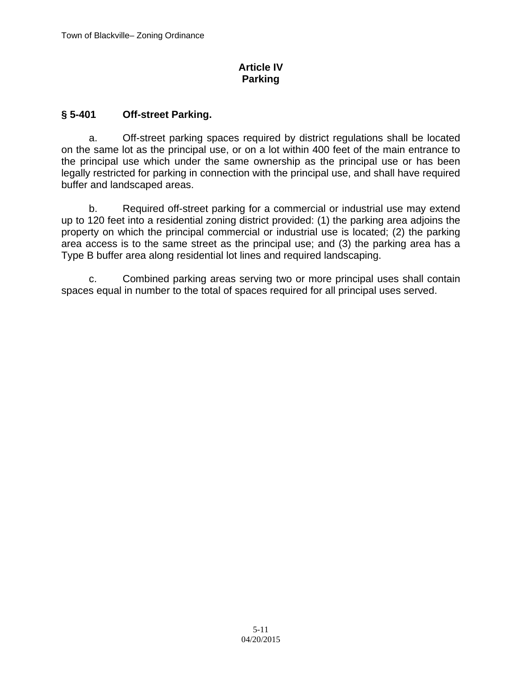## **Article IV Parking**

# **§ 5-401 Off-street Parking.**

 a. Off-street parking spaces required by district regulations shall be located on the same lot as the principal use, or on a lot within 400 feet of the main entrance to the principal use which under the same ownership as the principal use or has been legally restricted for parking in connection with the principal use, and shall have required buffer and landscaped areas.

 b. Required off-street parking for a commercial or industrial use may extend up to 120 feet into a residential zoning district provided: (1) the parking area adjoins the property on which the principal commercial or industrial use is located; (2) the parking area access is to the same street as the principal use; and (3) the parking area has a Type B buffer area along residential lot lines and required landscaping.

 c. Combined parking areas serving two or more principal uses shall contain spaces equal in number to the total of spaces required for all principal uses served.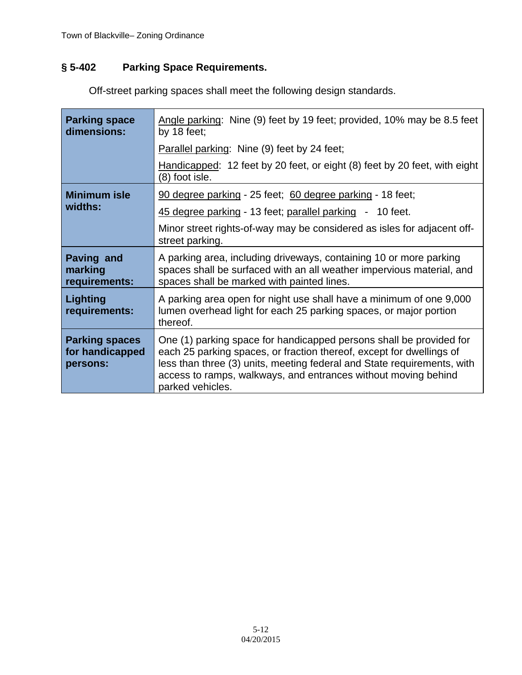# **§ 5-402 Parking Space Requirements.**

Off-street parking spaces shall meet the following design standards.

| <b>Parking space</b><br>dimensions:                  | Angle parking: Nine (9) feet by 19 feet; provided, 10% may be 8.5 feet<br>by 18 feet;                                                                                                                                                                                                                        |
|------------------------------------------------------|--------------------------------------------------------------------------------------------------------------------------------------------------------------------------------------------------------------------------------------------------------------------------------------------------------------|
|                                                      | Parallel parking: Nine (9) feet by 24 feet;                                                                                                                                                                                                                                                                  |
|                                                      | Handicapped: 12 feet by 20 feet, or eight (8) feet by 20 feet, with eight<br>(8) foot isle.                                                                                                                                                                                                                  |
| <b>Minimum isle</b>                                  | 90 degree parking - 25 feet; 60 degree parking - 18 feet;                                                                                                                                                                                                                                                    |
| widths:                                              | 45 degree parking - 13 feet; parallel parking - 10 feet.                                                                                                                                                                                                                                                     |
|                                                      | Minor street rights-of-way may be considered as isles for adjacent off-<br>street parking.                                                                                                                                                                                                                   |
| Paving and<br>marking<br>requirements:               | A parking area, including driveways, containing 10 or more parking<br>spaces shall be surfaced with an all weather impervious material, and<br>spaces shall be marked with painted lines.                                                                                                                    |
| Lighting<br>requirements:                            | A parking area open for night use shall have a minimum of one 9,000<br>lumen overhead light for each 25 parking spaces, or major portion<br>thereof.                                                                                                                                                         |
| <b>Parking spaces</b><br>for handicapped<br>persons: | One (1) parking space for handicapped persons shall be provided for<br>each 25 parking spaces, or fraction thereof, except for dwellings of<br>less than three (3) units, meeting federal and State requirements, with<br>access to ramps, walkways, and entrances without moving behind<br>parked vehicles. |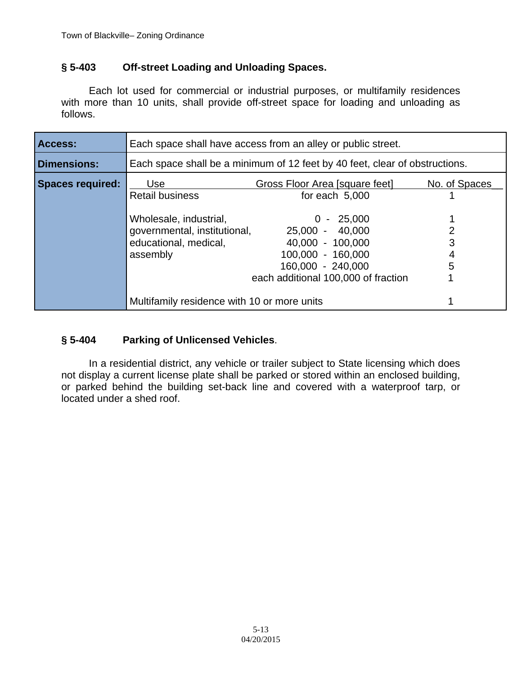## **§ 5-403 Off-street Loading and Unloading Spaces.**

 Each lot used for commercial or industrial purposes, or multifamily residences with more than 10 units, shall provide off-street space for loading and unloading as follows.

| Access:                 | Each space shall have access from an alley or public street.                |                                     |   |  |  |
|-------------------------|-----------------------------------------------------------------------------|-------------------------------------|---|--|--|
| <b>Dimensions:</b>      | Each space shall be a minimum of 12 feet by 40 feet, clear of obstructions. |                                     |   |  |  |
| <b>Spaces required:</b> | Use<br>No. of Spaces<br>Gross Floor Area [square feet]                      |                                     |   |  |  |
|                         | <b>Retail business</b>                                                      | for each $5,000$                    |   |  |  |
|                         | Wholesale, industrial,                                                      | $-25,000$<br>$\Omega$               |   |  |  |
|                         | governmental, institutional,                                                | 25,000 - 40,000                     |   |  |  |
|                         | educational, medical,                                                       | 40,000 - 100,000                    | 3 |  |  |
|                         | assembly                                                                    | 100,000 - 160,000                   | 4 |  |  |
|                         |                                                                             | 160,000 - 240,000                   | 5 |  |  |
|                         |                                                                             | each additional 100,000 of fraction |   |  |  |
|                         | Multifamily residence with 10 or more units                                 |                                     |   |  |  |

# **§ 5-404 Parking of Unlicensed Vehicles**.

 In a residential district, any vehicle or trailer subject to State licensing which does not display a current license plate shall be parked or stored within an enclosed building, or parked behind the building set-back line and covered with a waterproof tarp, or located under a shed roof.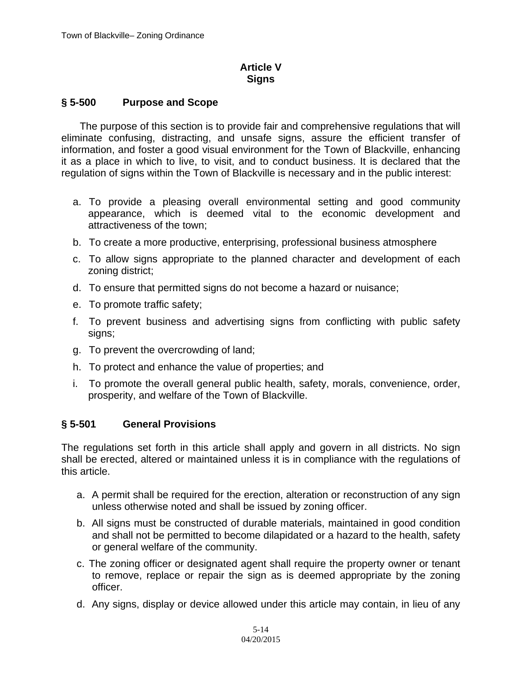#### **Article V Signs**

#### **§ 5-500 Purpose and Scope**

The purpose of this section is to provide fair and comprehensive regulations that will eliminate confusing, distracting, and unsafe signs, assure the efficient transfer of information, and foster a good visual environment for the Town of Blackville, enhancing it as a place in which to live, to visit, and to conduct business. It is declared that the regulation of signs within the Town of Blackville is necessary and in the public interest:

- a. To provide a pleasing overall environmental setting and good community appearance, which is deemed vital to the economic development and attractiveness of the town;
- b. To create a more productive, enterprising, professional business atmosphere
- c. To allow signs appropriate to the planned character and development of each zoning district;
- d. To ensure that permitted signs do not become a hazard or nuisance;
- e. To promote traffic safety;
- f. To prevent business and advertising signs from conflicting with public safety signs;
- g. To prevent the overcrowding of land;
- h. To protect and enhance the value of properties; and
- i. To promote the overall general public health, safety, morals, convenience, order, prosperity, and welfare of the Town of Blackville.

## **§ 5-501 General Provisions**

The regulations set forth in this article shall apply and govern in all districts. No sign shall be erected, altered or maintained unless it is in compliance with the regulations of this article.

- a. A permit shall be required for the erection, alteration or reconstruction of any sign unless otherwise noted and shall be issued by zoning officer.
- b. All signs must be constructed of durable materials, maintained in good condition and shall not be permitted to become dilapidated or a hazard to the health, safety or general welfare of the community.
- c. The zoning officer or designated agent shall require the property owner or tenant to remove, replace or repair the sign as is deemed appropriate by the zoning officer.
- d. Any signs, display or device allowed under this article may contain, in lieu of any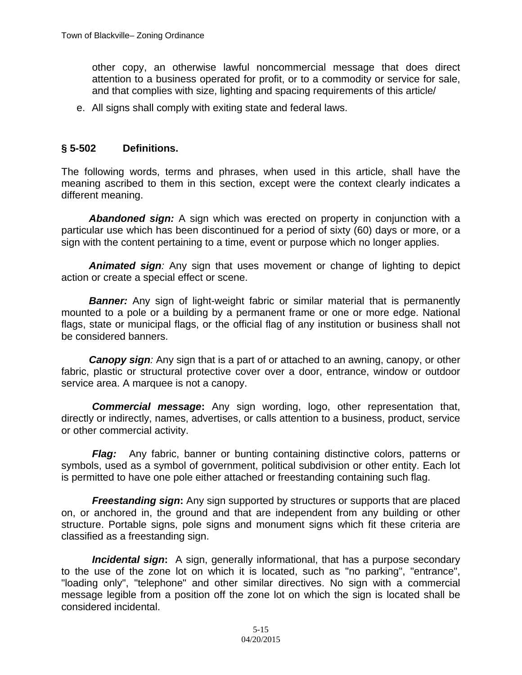other copy, an otherwise lawful noncommercial message that does direct attention to a business operated for profit, or to a commodity or service for sale, and that complies with size, lighting and spacing requirements of this article/

e. All signs shall comply with exiting state and federal laws.

## **§ 5-502 Definitions.**

The following words, terms and phrases, when used in this article, shall have the meaning ascribed to them in this section, except were the context clearly indicates a different meaning.

*Abandoned sign:* A sign which was erected on property in conjunction with a particular use which has been discontinued for a period of sixty (60) days or more, or a sign with the content pertaining to a time, event or purpose which no longer applies.

*Animated sign:* Any sign that uses movement or change of lighting to depict action or create a special effect or scene.

**Banner:** Any sign of light-weight fabric or similar material that is permanently mounted to a pole or a building by a permanent frame or one or more edge. National flags, state or municipal flags, or the official flag of any institution or business shall not be considered banners.

*Canopy sign:* Any sign that is a part of or attached to an awning, canopy, or other fabric, plastic or structural protective cover over a door, entrance, window or outdoor service area. A marquee is not a canopy.

*Commercial message***:** Any sign wording, logo, other representation that, directly or indirectly, names, advertises, or calls attention to a business, product, service or other commercial activity.

*Flag:* Any fabric, banner or bunting containing distinctive colors, patterns or symbols, used as a symbol of government, political subdivision or other entity. Each lot is permitted to have one pole either attached or freestanding containing such flag.

**Freestanding sign:** Any sign supported by structures or supports that are placed on, or anchored in, the ground and that are independent from any building or other structure. Portable signs, pole signs and monument signs which fit these criteria are classified as a freestanding sign.

*Incidental sign***:** A sign, generally informational, that has a purpose secondary to the use of the zone lot on which it is located, such as "no parking", "entrance", "loading only", "telephone" and other similar directives. No sign with a commercial message legible from a position off the zone lot on which the sign is located shall be considered incidental.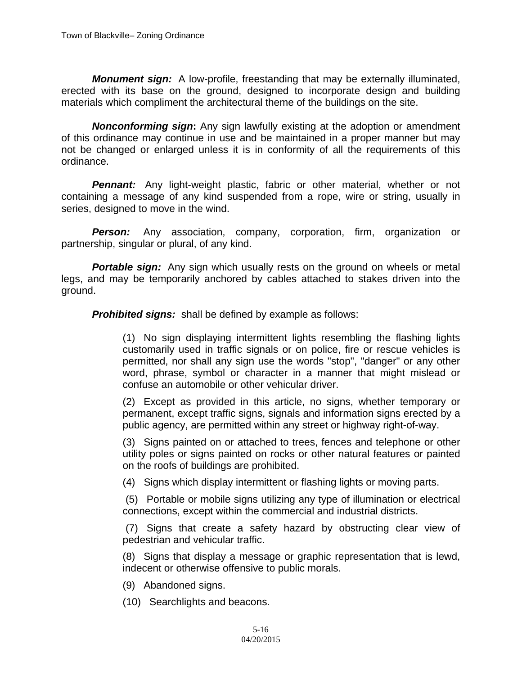*Monument sign:* A low-profile, freestanding that may be externally illuminated, erected with its base on the ground, designed to incorporate design and building materials which compliment the architectural theme of the buildings on the site.

*Nonconforming sign***:** Any sign lawfully existing at the adoption or amendment of this ordinance may continue in use and be maintained in a proper manner but may not be changed or enlarged unless it is in conformity of all the requirements of this ordinance.

*Pennant:* Any light-weight plastic, fabric or other material, whether or not containing a message of any kind suspended from a rope, wire or string, usually in series, designed to move in the wind.

*Person:* Any association, company, corporation, firm, organization or partnership, singular or plural, of any kind.

**Portable sign:** Any sign which usually rests on the ground on wheels or metal legs, and may be temporarily anchored by cables attached to stakes driven into the ground.

*Prohibited signs:* shall be defined by example as follows:

(1) No sign displaying intermittent lights resembling the flashing lights customarily used in traffic signals or on police, fire or rescue vehicles is permitted, nor shall any sign use the words "stop", "danger" or any other word, phrase, symbol or character in a manner that might mislead or confuse an automobile or other vehicular driver.

(2) Except as provided in this article, no signs, whether temporary or permanent, except traffic signs, signals and information signs erected by a public agency, are permitted within any street or highway right-of-way.

(3) Signs painted on or attached to trees, fences and telephone or other utility poles or signs painted on rocks or other natural features or painted on the roofs of buildings are prohibited.

(4) Signs which display intermittent or flashing lights or moving parts.

 (5) Portable or mobile signs utilizing any type of illumination or electrical connections, except within the commercial and industrial districts.

 (7) Signs that create a safety hazard by obstructing clear view of pedestrian and vehicular traffic.

(8) Signs that display a message or graphic representation that is lewd, indecent or otherwise offensive to public morals.

- (9) Abandoned signs.
- (10) Searchlights and beacons.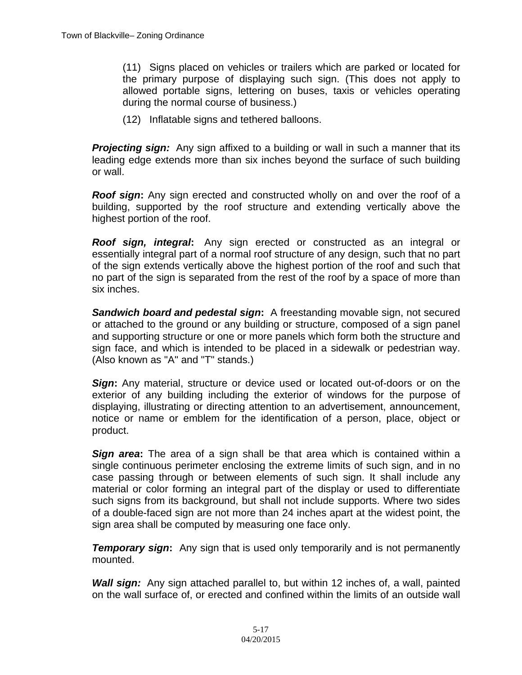(11) Signs placed on vehicles or trailers which are parked or located for the primary purpose of displaying such sign. (This does not apply to allowed portable signs, lettering on buses, taxis or vehicles operating during the normal course of business.)

(12) Inflatable signs and tethered balloons.

*Projecting sign:* Any sign affixed to a building or wall in such a manner that its leading edge extends more than six inches beyond the surface of such building or wall.

*Roof sign***:** Any sign erected and constructed wholly on and over the roof of a building, supported by the roof structure and extending vertically above the highest portion of the roof.

*Roof sign, integral***:** Any sign erected or constructed as an integral or essentially integral part of a normal roof structure of any design, such that no part of the sign extends vertically above the highest portion of the roof and such that no part of the sign is separated from the rest of the roof by a space of more than six inches.

*Sandwich board and pedestal sign***:** A freestanding movable sign, not secured or attached to the ground or any building or structure, composed of a sign panel and supporting structure or one or more panels which form both the structure and sign face, and which is intended to be placed in a sidewalk or pedestrian way. (Also known as "A" and "T" stands.)

*Sign***:** Any material, structure or device used or located out-of-doors or on the exterior of any building including the exterior of windows for the purpose of displaying, illustrating or directing attention to an advertisement, announcement, notice or name or emblem for the identification of a person, place, object or product.

*Sign area***:** The area of a sign shall be that area which is contained within a single continuous perimeter enclosing the extreme limits of such sign, and in no case passing through or between elements of such sign. It shall include any material or color forming an integral part of the display or used to differentiate such signs from its background, but shall not include supports. Where two sides of a double-faced sign are not more than 24 inches apart at the widest point, the sign area shall be computed by measuring one face only.

**Temporary sign:** Any sign that is used only temporarily and is not permanently mounted.

*Wall sign:* Any sign attached parallel to, but within 12 inches of, a wall, painted on the wall surface of, or erected and confined within the limits of an outside wall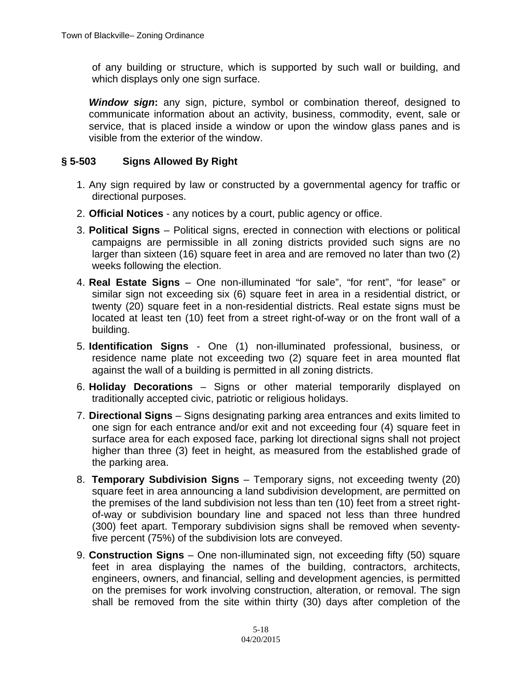of any building or structure, which is supported by such wall or building, and which displays only one sign surface.

*Window sign***:** any sign, picture, symbol or combination thereof, designed to communicate information about an activity, business, commodity, event, sale or service, that is placed inside a window or upon the window glass panes and is visible from the exterior of the window.

#### **§ 5-503 Signs Allowed By Right**

- 1. Any sign required by law or constructed by a governmental agency for traffic or directional purposes.
- 2. **Official Notices** any notices by a court, public agency or office.
- 3. **Political Signs** Political signs, erected in connection with elections or political campaigns are permissible in all zoning districts provided such signs are no larger than sixteen (16) square feet in area and are removed no later than two (2) weeks following the election.
- 4. **Real Estate Signs** One non-illuminated "for sale", "for rent", "for lease" or similar sign not exceeding six (6) square feet in area in a residential district, or twenty (20) square feet in a non-residential districts. Real estate signs must be located at least ten (10) feet from a street right-of-way or on the front wall of a building.
- 5. **Identification Signs** One (1) non-illuminated professional, business, or residence name plate not exceeding two (2) square feet in area mounted flat against the wall of a building is permitted in all zoning districts.
- 6. **Holiday Decorations** Signs or other material temporarily displayed on traditionally accepted civic, patriotic or religious holidays.
- 7. **Directional Signs** Signs designating parking area entrances and exits limited to one sign for each entrance and/or exit and not exceeding four (4) square feet in surface area for each exposed face, parking lot directional signs shall not project higher than three (3) feet in height, as measured from the established grade of the parking area.
- 8. **Temporary Subdivision Signs** Temporary signs, not exceeding twenty (20) square feet in area announcing a land subdivision development, are permitted on the premises of the land subdivision not less than ten (10) feet from a street rightof-way or subdivision boundary line and spaced not less than three hundred (300) feet apart. Temporary subdivision signs shall be removed when seventyfive percent (75%) of the subdivision lots are conveyed.
- 9. **Construction Signs** One non-illuminated sign, not exceeding fifty (50) square feet in area displaying the names of the building, contractors, architects, engineers, owners, and financial, selling and development agencies, is permitted on the premises for work involving construction, alteration, or removal. The sign shall be removed from the site within thirty (30) days after completion of the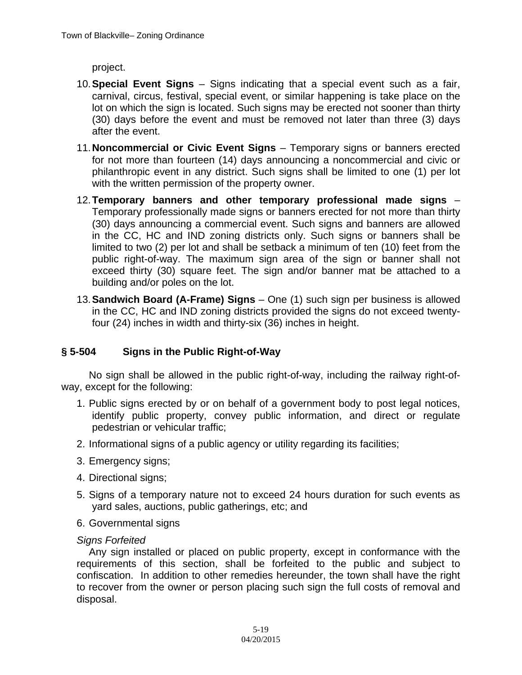project.

- 10. **Special Event Signs** Signs indicating that a special event such as a fair, carnival, circus, festival, special event, or similar happening is take place on the lot on which the sign is located. Such signs may be erected not sooner than thirty (30) days before the event and must be removed not later than three (3) days after the event.
- 11. **Noncommercial or Civic Event Signs**  Temporary signs or banners erected for not more than fourteen (14) days announcing a noncommercial and civic or philanthropic event in any district. Such signs shall be limited to one (1) per lot with the written permission of the property owner.
- 12. **Temporary banners and other temporary professional made signs**  Temporary professionally made signs or banners erected for not more than thirty (30) days announcing a commercial event. Such signs and banners are allowed in the CC, HC and IND zoning districts only. Such signs or banners shall be limited to two (2) per lot and shall be setback a minimum of ten (10) feet from the public right-of-way. The maximum sign area of the sign or banner shall not exceed thirty (30) square feet. The sign and/or banner mat be attached to a building and/or poles on the lot.
- 13. **Sandwich Board (A-Frame) Signs**  One (1) such sign per business is allowed in the CC, HC and IND zoning districts provided the signs do not exceed twentyfour (24) inches in width and thirty-six (36) inches in height.

## **§ 5-504 Signs in the Public Right-of-Way**

No sign shall be allowed in the public right-of-way, including the railway right-ofway, except for the following:

- 1. Public signs erected by or on behalf of a government body to post legal notices, identify public property, convey public information, and direct or regulate pedestrian or vehicular traffic;
- 2. Informational signs of a public agency or utility regarding its facilities;
- 3. Emergency signs;
- 4. Directional signs;
- 5. Signs of a temporary nature not to exceed 24 hours duration for such events as yard sales, auctions, public gatherings, etc; and
- 6. Governmental signs

#### *Signs Forfeited*

 Any sign installed or placed on public property, except in conformance with the requirements of this section, shall be forfeited to the public and subject to confiscation. In addition to other remedies hereunder, the town shall have the right to recover from the owner or person placing such sign the full costs of removal and disposal.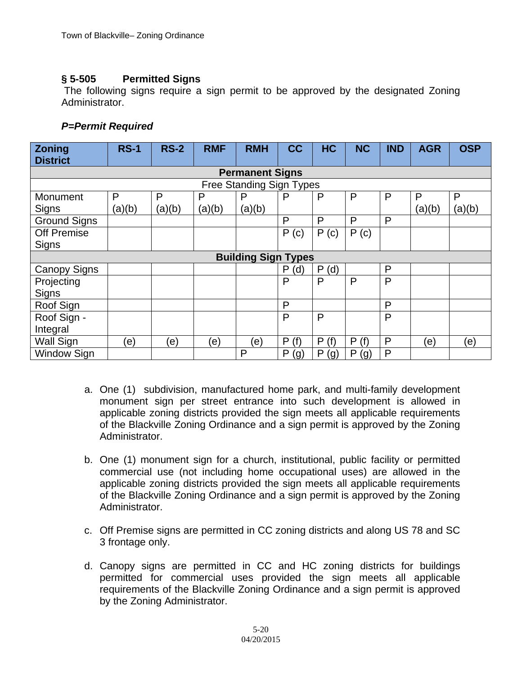# **§ 5-505 Permitted Signs**

 The following signs require a sign permit to be approved by the designated Zoning Administrator.

#### *P=Permit Required*

| <b>Zoning</b><br><b>District</b> | $RS-1$ | $RS-2$ | <b>RMF</b> | <b>RMH</b>                      | cc       | <b>HC</b>    | <b>NC</b> | <b>IND</b>   | <b>AGR</b> | <b>OSP</b> |
|----------------------------------|--------|--------|------------|---------------------------------|----------|--------------|-----------|--------------|------------|------------|
| <b>Permanent Signs</b>           |        |        |            |                                 |          |              |           |              |            |            |
|                                  |        |        |            | <b>Free Standing Sign Types</b> |          |              |           |              |            |            |
| Monument                         | P      | P      | P          | P                               | P        | P            | P         | P            | P          | P          |
| Signs                            | (a)(b) | (a)(b) | (a)(b)     | (a)(b)                          |          |              |           |              | (a)(b)     | (a)(b)     |
| <b>Ground Signs</b>              |        |        |            |                                 | P        | P            | P         | P            |            |            |
| Off Premise                      |        |        |            |                                 | P(c)     | P(c)         | P(c)      |              |            |            |
| <b>Signs</b>                     |        |        |            |                                 |          |              |           |              |            |            |
|                                  |        |        |            | <b>Building Sign Types</b>      |          |              |           |              |            |            |
| <b>Canopy Signs</b>              |        |        |            |                                 | P(d)     | P(d)         |           | P            |            |            |
| Projecting                       |        |        |            |                                 | P        | P            | P         | P            |            |            |
| Signs                            |        |        |            |                                 |          |              |           |              |            |            |
| Roof Sign                        |        |        |            |                                 | P        |              |           | P            |            |            |
| Roof Sign -                      |        |        |            |                                 | P        | $\mathsf{P}$ |           | $\mathsf{P}$ |            |            |
| Integral                         |        |        |            |                                 |          |              |           |              |            |            |
| <b>Wall Sign</b>                 | (e)    | (e)    | (e)        | (e)                             | P(f)     | P(f)         | P(f)      | $\mathsf{P}$ | (e)        | (e)        |
| Window Sign                      |        |        |            | $\mathsf{P}$                    | P<br>(g) | P<br>(g)     | P<br>(g)  | P            |            |            |

- a. One (1) subdivision, manufactured home park, and multi-family development monument sign per street entrance into such development is allowed in applicable zoning districts provided the sign meets all applicable requirements of the Blackville Zoning Ordinance and a sign permit is approved by the Zoning Administrator.
- b. One (1) monument sign for a church, institutional, public facility or permitted commercial use (not including home occupational uses) are allowed in the applicable zoning districts provided the sign meets all applicable requirements of the Blackville Zoning Ordinance and a sign permit is approved by the Zoning Administrator.
- c. Off Premise signs are permitted in CC zoning districts and along US 78 and SC 3 frontage only.
- d. Canopy signs are permitted in CC and HC zoning districts for buildings permitted for commercial uses provided the sign meets all applicable requirements of the Blackville Zoning Ordinance and a sign permit is approved by the Zoning Administrator.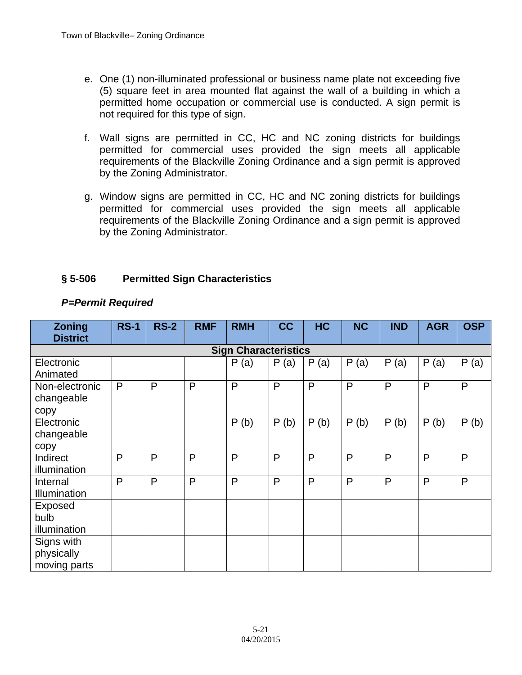- e. One (1) non-illuminated professional or business name plate not exceeding five (5) square feet in area mounted flat against the wall of a building in which a permitted home occupation or commercial use is conducted. A sign permit is not required for this type of sign.
- f. Wall signs are permitted in CC, HC and NC zoning districts for buildings permitted for commercial uses provided the sign meets all applicable requirements of the Blackville Zoning Ordinance and a sign permit is approved by the Zoning Administrator.
- g. Window signs are permitted in CC, HC and NC zoning districts for buildings permitted for commercial uses provided the sign meets all applicable requirements of the Blackville Zoning Ordinance and a sign permit is approved by the Zoning Administrator.

# **§ 5-506 Permitted Sign Characteristics**

| <b>Zoning</b><br><b>District</b>         | <b>RS-1</b> | <b>RS-2</b> | <b>RMF</b> | <b>RMH</b> | cc   | <b>HC</b> | <b>NC</b>    | <b>IND</b> | <b>AGR</b>   | <b>OSP</b>   |  |
|------------------------------------------|-------------|-------------|------------|------------|------|-----------|--------------|------------|--------------|--------------|--|
| <b>Sign Characteristics</b>              |             |             |            |            |      |           |              |            |              |              |  |
| Electronic<br>Animated                   |             |             |            | P(a)       | P(a) | P(a)      | P(a)         | P(a)       | P(a)         | P(a)         |  |
| Non-electronic<br>changeable<br>copy     | P           | P           | P          | P          | P    | P         | $\mathsf{P}$ | P          | $\mathsf{P}$ | $\mathsf{P}$ |  |
| Electronic<br>changeable<br>copy         |             |             |            | P(b)       | P(b) | P(b)      | P(b)         | P(b)       | P(b)         | P(b)         |  |
| Indirect<br>illumination                 | P           | P           | P          | P          | P    | P         | $\mathsf{P}$ | P          | P            | $\mathsf{P}$ |  |
| Internal<br><b>Illumination</b>          | P           | P           | P          | P          | P    | P         | $\mathsf{P}$ | P          | P            | $\mathsf{P}$ |  |
| Exposed<br>bulb<br>illumination          |             |             |            |            |      |           |              |            |              |              |  |
| Signs with<br>physically<br>moving parts |             |             |            |            |      |           |              |            |              |              |  |

## *P=Permit Required*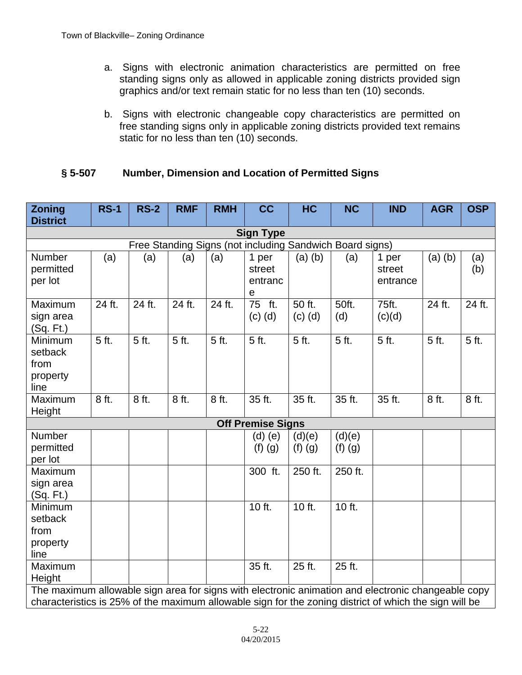- a. Signs with electronic animation characteristics are permitted on free standing signs only as allowed in applicable zoning districts provided sign graphics and/or text remain static for no less than ten (10) seconds.
- b. Signs with electronic changeable copy characteristics are permitted on free standing signs only in applicable zoning districts provided text remains static for no less than ten (10) seconds.

## **§ 5-507 Number, Dimension and Location of Permitted Signs**

| <b>Zoning</b><br><b>District</b>                                                                                                                                                                             | <b>RS-1</b> | <b>RS-2</b>        | <b>RMF</b>         | <b>RMH</b> | <b>CC</b>                                        | <b>HC</b>             | <b>NC</b>             | <b>IND</b>                  | <b>AGR</b>         | <b>OSP</b> |
|--------------------------------------------------------------------------------------------------------------------------------------------------------------------------------------------------------------|-------------|--------------------|--------------------|------------|--------------------------------------------------|-----------------------|-----------------------|-----------------------------|--------------------|------------|
| <b>Sign Type</b>                                                                                                                                                                                             |             |                    |                    |            |                                                  |                       |                       |                             |                    |            |
| Free Standing Signs (not including Sandwich Board signs)                                                                                                                                                     |             |                    |                    |            |                                                  |                       |                       |                             |                    |            |
| <b>Number</b><br>permitted<br>per lot                                                                                                                                                                        | (a)         | (a)                | (a)                | (a)        | 1 per<br>street<br>entranc<br>$\mathsf e$        | $(a)$ $(b)$           | (a)                   | 1 per<br>street<br>entrance | $(a)$ $(b)$        | (a)<br>(b) |
| Maximum<br>sign area<br>(Sq. Ft.)                                                                                                                                                                            | 24 ft.      | 24 ft.             | 24 ft.             | 24 ft.     | $\overline{75}$<br>$\overline{t}$<br>$(c)$ $(d)$ | 50 ft.<br>$(c)$ $(d)$ | 50ft.<br>(d)          | 75ft.<br>(c)(d)             | 24 ft.             | 24 ft.     |
| Minimum<br>setback<br>from<br>property<br>line                                                                                                                                                               | 5 ft.       | $\overline{5}$ ft. | $\overline{5}$ ft. | 5 ft.      | $\overline{5}$ ft.                               | 5 ft.                 | 5 ft.                 | $\overline{5}$ ft.          | $\overline{5}$ ft. | 5 ft.      |
| Maximum<br>Height                                                                                                                                                                                            | 8 ft.       | 8 ft.              | 8 ft.              | 8 ft.      | 35 ft.                                           | 35 ft.                | 35 ft.                | 35 ft.                      | 8 ft.              | 8 ft.      |
|                                                                                                                                                                                                              |             |                    |                    |            | <b>Off Premise Signs</b>                         |                       |                       |                             |                    |            |
| <b>Number</b><br>permitted<br>per lot                                                                                                                                                                        |             |                    |                    |            | $(d)$ (e)<br>$(f)$ $(g)$                         | (d)(e)<br>$(f)$ $(g)$ | (d)(e)<br>$(f)$ $(g)$ |                             |                    |            |
| Maximum<br>sign area<br>(Sq. Ft.)                                                                                                                                                                            |             |                    |                    |            | 300 ft.                                          | 250 ft.               | 250 ft.               |                             |                    |            |
| Minimum<br>setback<br>from<br>property<br>line                                                                                                                                                               |             |                    |                    |            | 10 ft.                                           | 10 ft.                | 10 ft.                |                             |                    |            |
| Maximum<br>Height                                                                                                                                                                                            |             |                    |                    |            | 35 ft.                                           | 25 ft.                | 25 ft.                |                             |                    |            |
| The maximum allowable sign area for signs with electronic animation and electronic changeable copy<br>characteristics is 25% of the maximum allowable sign for the zoning district of which the sign will be |             |                    |                    |            |                                                  |                       |                       |                             |                    |            |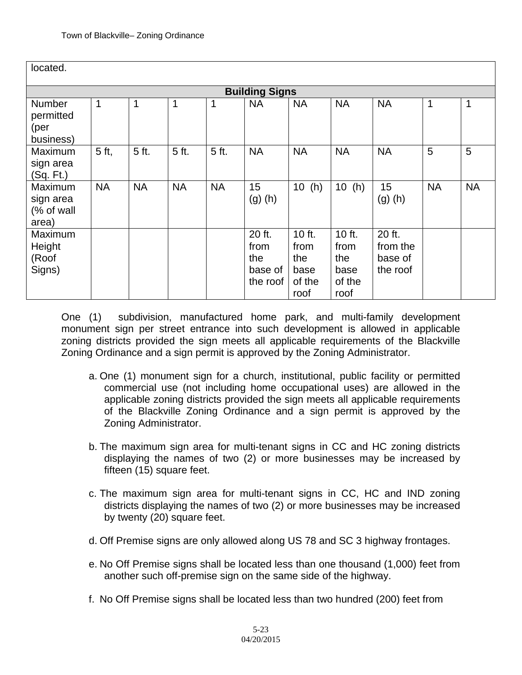| located.                                    |             |           |           |           |                                              |                                                 |                                                 |                                           |           |           |
|---------------------------------------------|-------------|-----------|-----------|-----------|----------------------------------------------|-------------------------------------------------|-------------------------------------------------|-------------------------------------------|-----------|-----------|
| <b>Building Signs</b>                       |             |           |           |           |                                              |                                                 |                                                 |                                           |           |           |
| Number<br>permitted<br>(per<br>business)    | $\mathbf 1$ | 1         | 1         | 1         | <b>NA</b>                                    | <b>NA</b>                                       | <b>NA</b>                                       | <b>NA</b>                                 | 1         | 1         |
| Maximum<br>sign area<br>(Sq. Ft.)           | 5 ft,       | 5 ft.     | 5 ft.     | 5 ft.     | <b>NA</b>                                    | <b>NA</b>                                       | <b>NA</b>                                       | <b>NA</b>                                 | 5         | 5         |
| Maximum<br>sign area<br>(% of wall<br>area) | <b>NA</b>   | <b>NA</b> | <b>NA</b> | <b>NA</b> | 15<br>$(g)$ (h)                              | 10(h)                                           | 10(h)                                           | 15<br>$(g)$ (h)                           | <b>NA</b> | <b>NA</b> |
| Maximum<br>Height<br>(Roof<br>Signs)        |             |           |           |           | 20 ft.<br>from<br>the<br>base of<br>the roof | 10 ft.<br>from<br>the<br>base<br>of the<br>roof | 10 ft.<br>from<br>the<br>base<br>of the<br>roof | 20 ft.<br>from the<br>base of<br>the roof |           |           |

One (1) subdivision, manufactured home park, and multi-family development monument sign per street entrance into such development is allowed in applicable zoning districts provided the sign meets all applicable requirements of the Blackville Zoning Ordinance and a sign permit is approved by the Zoning Administrator.

- a. One (1) monument sign for a church, institutional, public facility or permitted commercial use (not including home occupational uses) are allowed in the applicable zoning districts provided the sign meets all applicable requirements of the Blackville Zoning Ordinance and a sign permit is approved by the Zoning Administrator.
- b. The maximum sign area for multi-tenant signs in CC and HC zoning districts displaying the names of two (2) or more businesses may be increased by fifteen (15) square feet.
- c. The maximum sign area for multi-tenant signs in CC, HC and IND zoning districts displaying the names of two (2) or more businesses may be increased by twenty (20) square feet.
- d. Off Premise signs are only allowed along US 78 and SC 3 highway frontages.
- e. No Off Premise signs shall be located less than one thousand (1,000) feet from another such off-premise sign on the same side of the highway.
- f. No Off Premise signs shall be located less than two hundred (200) feet from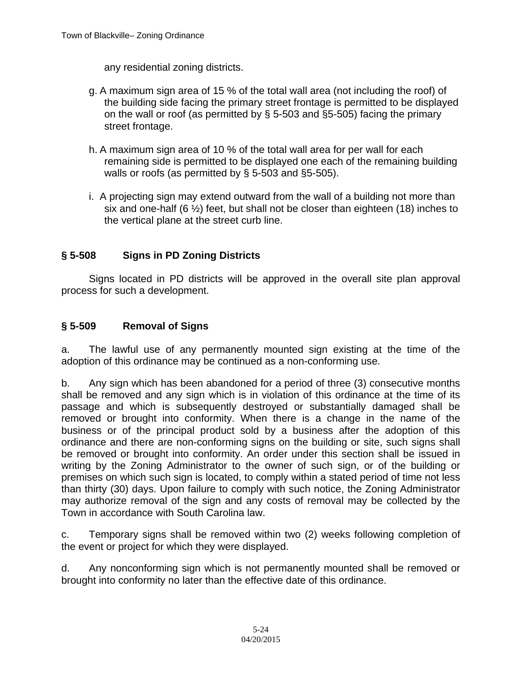any residential zoning districts.

- g. A maximum sign area of 15 % of the total wall area (not including the roof) of the building side facing the primary street frontage is permitted to be displayed on the wall or roof (as permitted by § 5-503 and §5-505) facing the primary street frontage.
- h. A maximum sign area of 10 % of the total wall area for per wall for each remaining side is permitted to be displayed one each of the remaining building walls or roofs (as permitted by § 5-503 and §5-505).
- i. A projecting sign may extend outward from the wall of a building not more than six and one-half  $(6 \frac{1}{2})$  feet, but shall not be closer than eighteen (18) inches to the vertical plane at the street curb line.

## **§ 5-508 Signs in PD Zoning Districts**

Signs located in PD districts will be approved in the overall site plan approval process for such a development.

#### **§ 5-509 Removal of Signs**

a. The lawful use of any permanently mounted sign existing at the time of the adoption of this ordinance may be continued as a non-conforming use.

b. Any sign which has been abandoned for a period of three (3) consecutive months shall be removed and any sign which is in violation of this ordinance at the time of its passage and which is subsequently destroyed or substantially damaged shall be removed or brought into conformity. When there is a change in the name of the business or of the principal product sold by a business after the adoption of this ordinance and there are non-conforming signs on the building or site, such signs shall be removed or brought into conformity. An order under this section shall be issued in writing by the Zoning Administrator to the owner of such sign, or of the building or premises on which such sign is located, to comply within a stated period of time not less than thirty (30) days. Upon failure to comply with such notice, the Zoning Administrator may authorize removal of the sign and any costs of removal may be collected by the Town in accordance with South Carolina law.

c. Temporary signs shall be removed within two (2) weeks following completion of the event or project for which they were displayed.

d. Any nonconforming sign which is not permanently mounted shall be removed or brought into conformity no later than the effective date of this ordinance.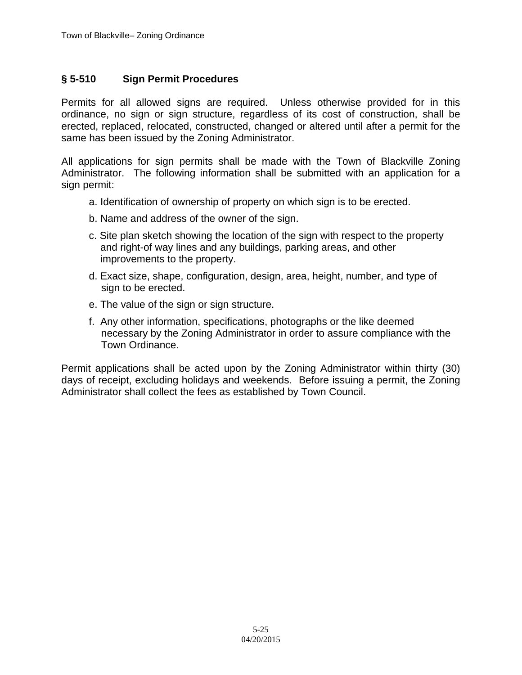## **§ 5-510 Sign Permit Procedures**

Permits for all allowed signs are required. Unless otherwise provided for in this ordinance, no sign or sign structure, regardless of its cost of construction, shall be erected, replaced, relocated, constructed, changed or altered until after a permit for the same has been issued by the Zoning Administrator.

All applications for sign permits shall be made with the Town of Blackville Zoning Administrator. The following information shall be submitted with an application for a sign permit:

- a. Identification of ownership of property on which sign is to be erected.
- b. Name and address of the owner of the sign.
- c. Site plan sketch showing the location of the sign with respect to the property and right-of way lines and any buildings, parking areas, and other improvements to the property.
- d. Exact size, shape, configuration, design, area, height, number, and type of sign to be erected.
- e. The value of the sign or sign structure.
- f. Any other information, specifications, photographs or the like deemed necessary by the Zoning Administrator in order to assure compliance with the Town Ordinance.

Permit applications shall be acted upon by the Zoning Administrator within thirty (30) days of receipt, excluding holidays and weekends. Before issuing a permit, the Zoning Administrator shall collect the fees as established by Town Council.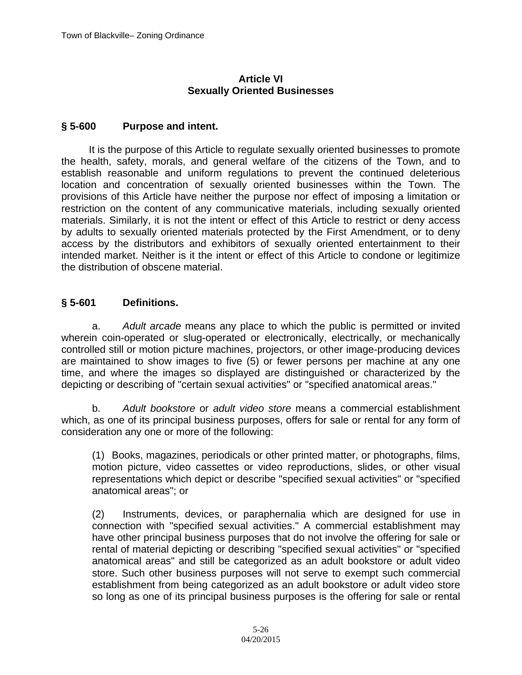## **Article VI Sexually Oriented Businesses**

## **§ 5-600 Purpose and intent.**

 It is the purpose of this Article to regulate sexually oriented businesses to promote the health, safety, morals, and general welfare of the citizens of the Town, and to establish reasonable and uniform regulations to prevent the continued deleterious location and concentration of sexually oriented businesses within the Town. The provisions of this Article have neither the purpose nor effect of imposing a limitation or restriction on the content of any communicative materials, including sexually oriented materials. Similarly, it is not the intent or effect of this Article to restrict or deny access by adults to sexually oriented materials protected by the First Amendment, or to deny access by the distributors and exhibitors of sexually oriented entertainment to their intended market. Neither is it the intent or effect of this Article to condone or legitimize the distribution of obscene material.

## **§ 5-601 Definitions.**

a. *Adult arcade* means any place to which the public is permitted or invited wherein coin-operated or slug-operated or electronically, electrically, or mechanically controlled still or motion picture machines, projectors, or other image-producing devices are maintained to show images to five (5) or fewer persons per machine at any one time, and where the images so displayed are distinguished or characterized by the depicting or describing of "certain sexual activities" or "specified anatomical areas."

b. *Adult bookstore* or *adult video store* means a commercial establishment which, as one of its principal business purposes, offers for sale or rental for any form of consideration any one or more of the following:

(1) Books, magazines, periodicals or other printed matter, or photographs, films, motion picture, video cassettes or video reproductions, slides, or other visual representations which depict or describe "specified sexual activities" or "specified anatomical areas"; or

(2) Instruments, devices, or paraphernalia which are designed for use in connection with "specified sexual activities." A commercial establishment may have other principal business purposes that do not involve the offering for sale or rental of material depicting or describing "specified sexual activities" or "specified anatomical areas" and still be categorized as an adult bookstore or adult video store. Such other business purposes will not serve to exempt such commercial establishment from being categorized as an adult bookstore or adult video store so long as one of its principal business purposes is the offering for sale or rental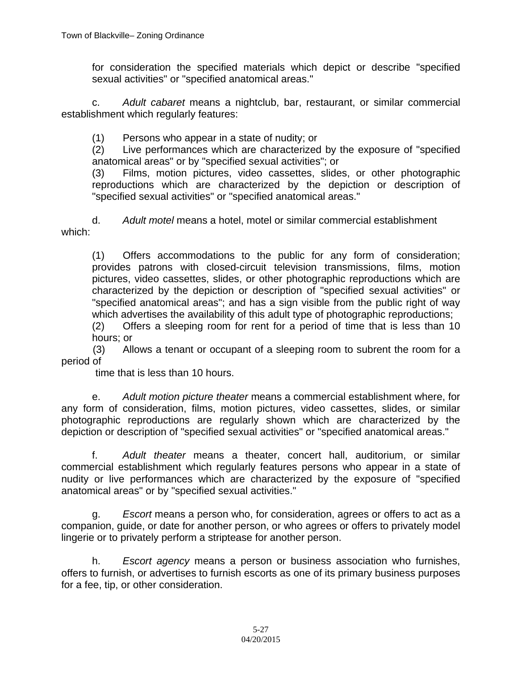for consideration the specified materials which depict or describe "specified sexual activities" or "specified anatomical areas."

c. *Adult cabaret* means a nightclub, bar, restaurant, or similar commercial establishment which regularly features:

(1) Persons who appear in a state of nudity; or

(2) Live performances which are characterized by the exposure of "specified anatomical areas" or by "specified sexual activities"; or

(3) Films, motion pictures, video cassettes, slides, or other photographic reproductions which are characterized by the depiction or description of "specified sexual activities" or "specified anatomical areas."

d. *Adult motel* means a hotel, motel or similar commercial establishment which:

(1) Offers accommodations to the public for any form of consideration; provides patrons with closed-circuit television transmissions, films, motion pictures, video cassettes, slides, or other photographic reproductions which are characterized by the depiction or description of "specified sexual activities" or "specified anatomical areas"; and has a sign visible from the public right of way which advertises the availability of this adult type of photographic reproductions;

(2) Offers a sleeping room for rent for a period of time that is less than 10 hours; or

 (3) Allows a tenant or occupant of a sleeping room to subrent the room for a period of

time that is less than 10 hours.

e. *Adult motion picture theater* means a commercial establishment where, for any form of consideration, films, motion pictures, video cassettes, slides, or similar photographic reproductions are regularly shown which are characterized by the depiction or description of "specified sexual activities" or "specified anatomical areas."

f. *Adult theater* means a theater, concert hall, auditorium, or similar commercial establishment which regularly features persons who appear in a state of nudity or live performances which are characterized by the exposure of "specified anatomical areas" or by "specified sexual activities."

g. *Escort* means a person who, for consideration, agrees or offers to act as a companion, guide, or date for another person, or who agrees or offers to privately model lingerie or to privately perform a striptease for another person.

h. *Escort agency* means a person or business association who furnishes, offers to furnish, or advertises to furnish escorts as one of its primary business purposes for a fee, tip, or other consideration.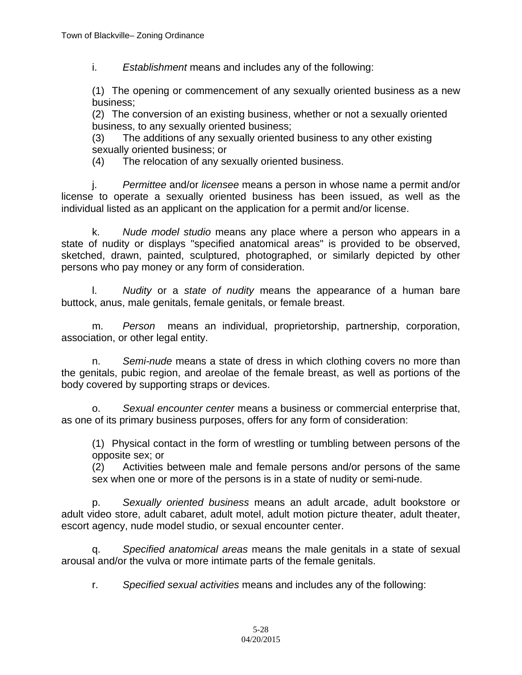i. *Establishment* means and includes any of the following:

(1) The opening or commencement of any sexually oriented business as a new business;

(2) The conversion of an existing business, whether or not a sexually oriented business, to any sexually oriented business;

(3) The additions of any sexually oriented business to any other existing sexually oriented business; or

(4) The relocation of any sexually oriented business.

j. *Permittee* and/or *licensee* means a person in whose name a permit and/or license to operate a sexually oriented business has been issued, as well as the individual listed as an applicant on the application for a permit and/or license.

k. *Nude model studio* means any place where a person who appears in a state of nudity or displays "specified anatomical areas" is provided to be observed, sketched, drawn, painted, sculptured, photographed, or similarly depicted by other persons who pay money or any form of consideration.

l. *Nudity* or a *state of nudity* means the appearance of a human bare buttock, anus, male genitals, female genitals, or female breast.

m. *Person* means an individual, proprietorship, partnership, corporation, association, or other legal entity.

n. *Semi-nude* means a state of dress in which clothing covers no more than the genitals, pubic region, and areolae of the female breast, as well as portions of the body covered by supporting straps or devices.

o. *Sexual encounter center* means a business or commercial enterprise that, as one of its primary business purposes, offers for any form of consideration:

(1) Physical contact in the form of wrestling or tumbling between persons of the opposite sex; or

(2) Activities between male and female persons and/or persons of the same sex when one or more of the persons is in a state of nudity or semi-nude.

p. *Sexually oriented business* means an adult arcade, adult bookstore or adult video store, adult cabaret, adult motel, adult motion picture theater, adult theater, escort agency, nude model studio, or sexual encounter center.

q. *Specified anatomical areas* means the male genitals in a state of sexual arousal and/or the vulva or more intimate parts of the female genitals.

r. *Specified sexual activities* means and includes any of the following: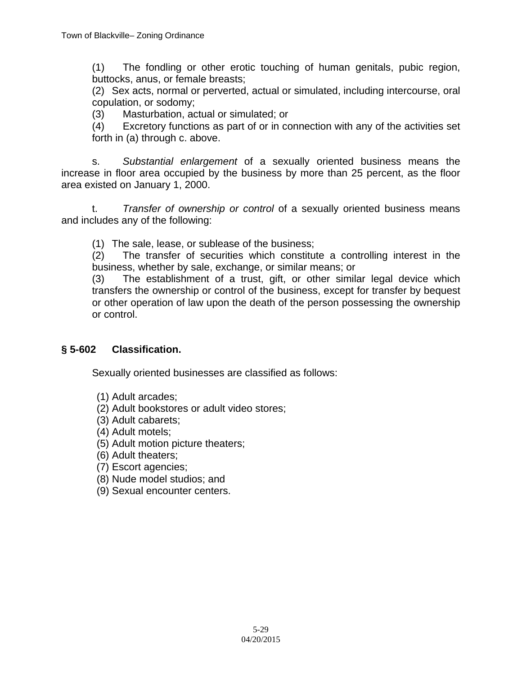(1) The fondling or other erotic touching of human genitals, pubic region, buttocks, anus, or female breasts;

(2) Sex acts, normal or perverted, actual or simulated, including intercourse, oral copulation, or sodomy;

(3) Masturbation, actual or simulated; or

(4) Excretory functions as part of or in connection with any of the activities set forth in (a) through c. above.

s. *Substantial enlargement* of a sexually oriented business means the increase in floor area occupied by the business by more than 25 percent, as the floor area existed on January 1, 2000.

t. *Transfer of ownership or control* of a sexually oriented business means and includes any of the following:

(1) The sale, lease, or sublease of the business;

(2) The transfer of securities which constitute a controlling interest in the business, whether by sale, exchange, or similar means; or

(3) The establishment of a trust, gift, or other similar legal device which transfers the ownership or control of the business, except for transfer by bequest or other operation of law upon the death of the person possessing the ownership or control.

# **§ 5-602 Classification.**

Sexually oriented businesses are classified as follows:

- (1) Adult arcades;
- (2) Adult bookstores or adult video stores;
- (3) Adult cabarets;
- (4) Adult motels;
- (5) Adult motion picture theaters;
- (6) Adult theaters;
- (7) Escort agencies;
- (8) Nude model studios; and
- (9) Sexual encounter centers.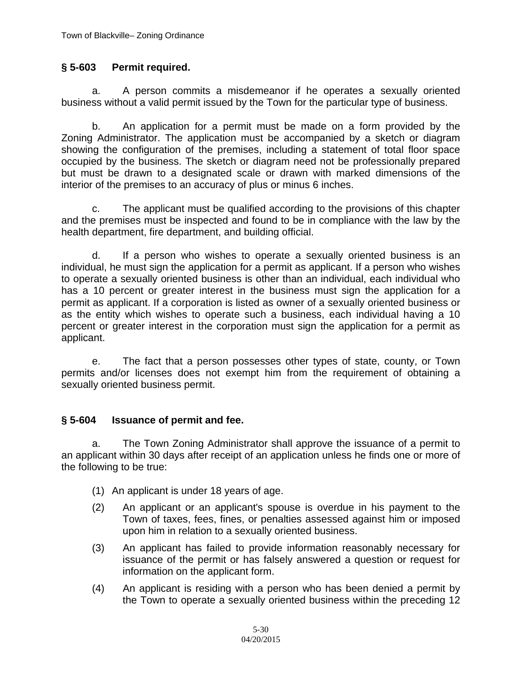## **§ 5-603 Permit required.**

a. A person commits a misdemeanor if he operates a sexually oriented business without a valid permit issued by the Town for the particular type of business.

b. An application for a permit must be made on a form provided by the Zoning Administrator. The application must be accompanied by a sketch or diagram showing the configuration of the premises, including a statement of total floor space occupied by the business. The sketch or diagram need not be professionally prepared but must be drawn to a designated scale or drawn with marked dimensions of the interior of the premises to an accuracy of plus or minus 6 inches.

c. The applicant must be qualified according to the provisions of this chapter and the premises must be inspected and found to be in compliance with the law by the health department, fire department, and building official.

d. If a person who wishes to operate a sexually oriented business is an individual, he must sign the application for a permit as applicant. If a person who wishes to operate a sexually oriented business is other than an individual, each individual who has a 10 percent or greater interest in the business must sign the application for a permit as applicant. If a corporation is listed as owner of a sexually oriented business or as the entity which wishes to operate such a business, each individual having a 10 percent or greater interest in the corporation must sign the application for a permit as applicant.

e. The fact that a person possesses other types of state, county, or Town permits and/or licenses does not exempt him from the requirement of obtaining a sexually oriented business permit.

## **§ 5-604 Issuance of permit and fee.**

a. The Town Zoning Administrator shall approve the issuance of a permit to an applicant within 30 days after receipt of an application unless he finds one or more of the following to be true:

- (1) An applicant is under 18 years of age.
- (2) An applicant or an applicant's spouse is overdue in his payment to the Town of taxes, fees, fines, or penalties assessed against him or imposed upon him in relation to a sexually oriented business.
- (3) An applicant has failed to provide information reasonably necessary for issuance of the permit or has falsely answered a question or request for information on the applicant form.
- (4) An applicant is residing with a person who has been denied a permit by the Town to operate a sexually oriented business within the preceding 12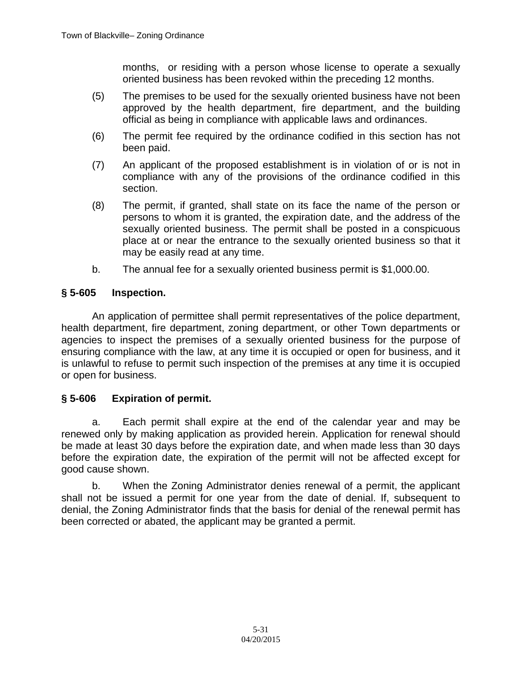months, or residing with a person whose license to operate a sexually oriented business has been revoked within the preceding 12 months.

- (5) The premises to be used for the sexually oriented business have not been approved by the health department, fire department, and the building official as being in compliance with applicable laws and ordinances.
- (6) The permit fee required by the ordinance codified in this section has not been paid.
- (7) An applicant of the proposed establishment is in violation of or is not in compliance with any of the provisions of the ordinance codified in this section.
- (8) The permit, if granted, shall state on its face the name of the person or persons to whom it is granted, the expiration date, and the address of the sexually oriented business. The permit shall be posted in a conspicuous place at or near the entrance to the sexually oriented business so that it may be easily read at any time.
- b. The annual fee for a sexually oriented business permit is \$1,000.00.

#### **§ 5-605 Inspection.**

 An application of permittee shall permit representatives of the police department, health department, fire department, zoning department, or other Town departments or agencies to inspect the premises of a sexually oriented business for the purpose of ensuring compliance with the law, at any time it is occupied or open for business, and it is unlawful to refuse to permit such inspection of the premises at any time it is occupied or open for business.

## **§ 5-606 Expiration of permit.**

a. Each permit shall expire at the end of the calendar year and may be renewed only by making application as provided herein. Application for renewal should be made at least 30 days before the expiration date, and when made less than 30 days before the expiration date, the expiration of the permit will not be affected except for good cause shown.

b. When the Zoning Administrator denies renewal of a permit, the applicant shall not be issued a permit for one year from the date of denial. If, subsequent to denial, the Zoning Administrator finds that the basis for denial of the renewal permit has been corrected or abated, the applicant may be granted a permit.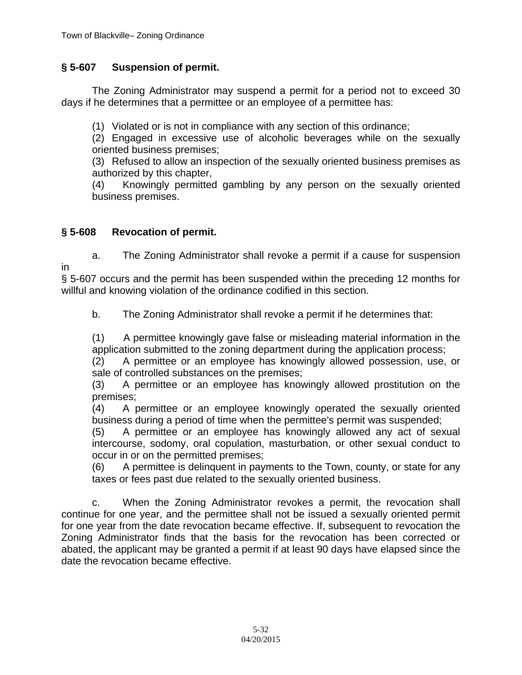## **§ 5-607 Suspension of permit.**

The Zoning Administrator may suspend a permit for a period not to exceed 30 days if he determines that a permittee or an employee of a permittee has:

(1) Violated or is not in compliance with any section of this ordinance;

(2) Engaged in excessive use of alcoholic beverages while on the sexually oriented business premises;

(3) Refused to allow an inspection of the sexually oriented business premises as authorized by this chapter,

(4) Knowingly permitted gambling by any person on the sexually oriented business premises.

# **§ 5-608 Revocation of permit.**

a. The Zoning Administrator shall revoke a permit if a cause for suspension in

§ 5-607 occurs and the permit has been suspended within the preceding 12 months for willful and knowing violation of the ordinance codified in this section.

b. The Zoning Administrator shall revoke a permit if he determines that:

(1) A permittee knowingly gave false or misleading material information in the application submitted to the zoning department during the application process;

(2) A permittee or an employee has knowingly allowed possession, use, or sale of controlled substances on the premises;

(3) A permittee or an employee has knowingly allowed prostitution on the premises;

(4) A permittee or an employee knowingly operated the sexually oriented business during a period of time when the permittee's permit was suspended;

(5) A permittee or an employee has knowingly allowed any act of sexual intercourse, sodomy, oral copulation, masturbation, or other sexual conduct to occur in or on the permitted premises;

(6) A permittee is delinquent in payments to the Town, county, or state for any taxes or fees past due related to the sexually oriented business.

c. When the Zoning Administrator revokes a permit, the revocation shall continue for one year, and the permittee shall not be issued a sexually oriented permit for one year from the date revocation became effective. If, subsequent to revocation the Zoning Administrator finds that the basis for the revocation has been corrected or abated, the applicant may be granted a permit if at least 90 days have elapsed since the date the revocation became effective.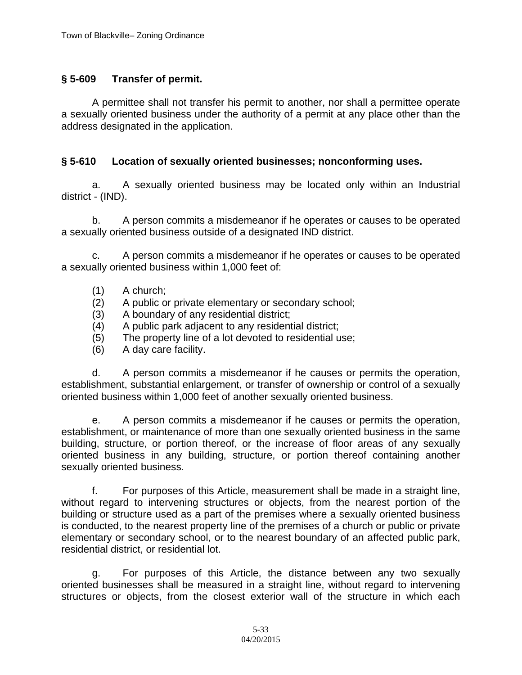## **§ 5-609 Transfer of permit.**

A permittee shall not transfer his permit to another, nor shall a permittee operate a sexually oriented business under the authority of a permit at any place other than the address designated in the application.

## **§ 5-610 Location of sexually oriented businesses; nonconforming uses.**

a. A sexually oriented business may be located only within an Industrial district - (IND).

b. A person commits a misdemeanor if he operates or causes to be operated a sexually oriented business outside of a designated IND district.

c. A person commits a misdemeanor if he operates or causes to be operated a sexually oriented business within 1,000 feet of:

- (1) A church;
- (2) A public or private elementary or secondary school;
- (3) A boundary of any residential district;
- (4) A public park adjacent to any residential district;
- (5) The property line of a lot devoted to residential use;
- (6) A day care facility.

d. A person commits a misdemeanor if he causes or permits the operation, establishment, substantial enlargement, or transfer of ownership or control of a sexually oriented business within 1,000 feet of another sexually oriented business.

e. A person commits a misdemeanor if he causes or permits the operation, establishment, or maintenance of more than one sexually oriented business in the same building, structure, or portion thereof, or the increase of floor areas of any sexually oriented business in any building, structure, or portion thereof containing another sexually oriented business.

f. For purposes of this Article, measurement shall be made in a straight line, without regard to intervening structures or objects, from the nearest portion of the building or structure used as a part of the premises where a sexually oriented business is conducted, to the nearest property line of the premises of a church or public or private elementary or secondary school, or to the nearest boundary of an affected public park, residential district, or residential lot.

g. For purposes of this Article, the distance between any two sexually oriented businesses shall be measured in a straight line, without regard to intervening structures or objects, from the closest exterior wall of the structure in which each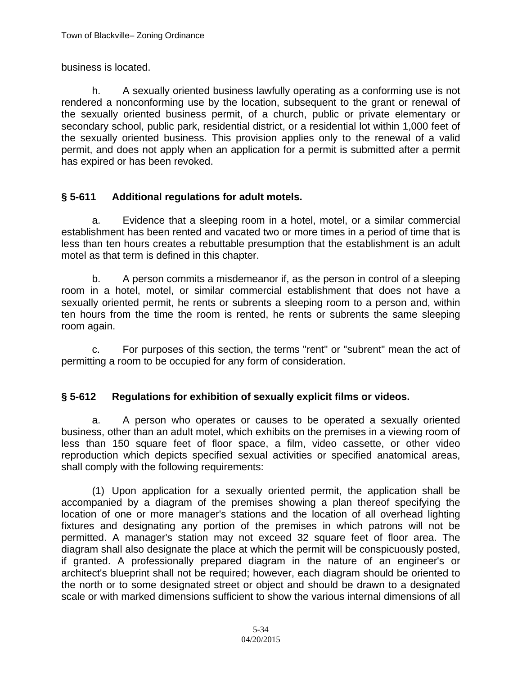business is located.

h. A sexually oriented business lawfully operating as a conforming use is not rendered a nonconforming use by the location, subsequent to the grant or renewal of the sexually oriented business permit, of a church, public or private elementary or secondary school, public park, residential district, or a residential lot within 1,000 feet of the sexually oriented business. This provision applies only to the renewal of a valid permit, and does not apply when an application for a permit is submitted after a permit has expired or has been revoked.

# **§ 5-611 Additional regulations for adult motels.**

a. Evidence that a sleeping room in a hotel, motel, or a similar commercial establishment has been rented and vacated two or more times in a period of time that is less than ten hours creates a rebuttable presumption that the establishment is an adult motel as that term is defined in this chapter.

b. A person commits a misdemeanor if, as the person in control of a sleeping room in a hotel, motel, or similar commercial establishment that does not have a sexually oriented permit, he rents or subrents a sleeping room to a person and, within ten hours from the time the room is rented, he rents or subrents the same sleeping room again.

c. For purposes of this section, the terms "rent" or "subrent" mean the act of permitting a room to be occupied for any form of consideration.

# **§ 5-612 Regulations for exhibition of sexually explicit films or videos.**

a. A person who operates or causes to be operated a sexually oriented business, other than an adult motel, which exhibits on the premises in a viewing room of less than 150 square feet of floor space, a film, video cassette, or other video reproduction which depicts specified sexual activities or specified anatomical areas, shall comply with the following requirements:

(1) Upon application for a sexually oriented permit, the application shall be accompanied by a diagram of the premises showing a plan thereof specifying the location of one or more manager's stations and the location of all overhead lighting fixtures and designating any portion of the premises in which patrons will not be permitted. A manager's station may not exceed 32 square feet of floor area. The diagram shall also designate the place at which the permit will be conspicuously posted, if granted. A professionally prepared diagram in the nature of an engineer's or architect's blueprint shall not be required; however, each diagram should be oriented to the north or to some designated street or object and should be drawn to a designated scale or with marked dimensions sufficient to show the various internal dimensions of all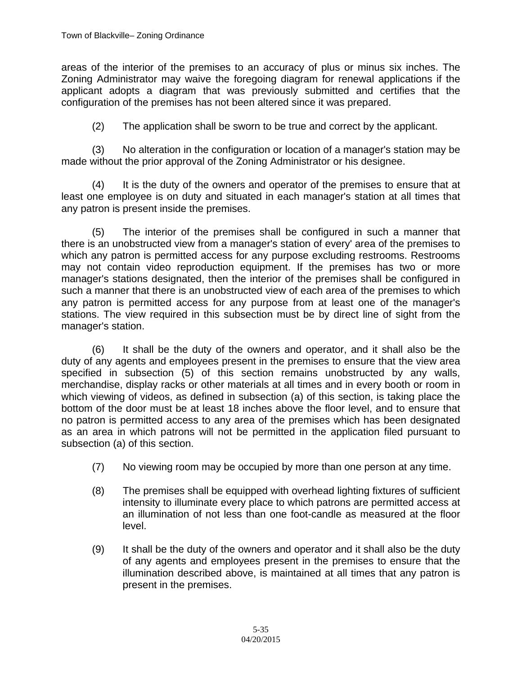areas of the interior of the premises to an accuracy of plus or minus six inches. The Zoning Administrator may waive the foregoing diagram for renewal applications if the applicant adopts a diagram that was previously submitted and certifies that the configuration of the premises has not been altered since it was prepared.

(2) The application shall be sworn to be true and correct by the applicant.

(3) No alteration in the configuration or location of a manager's station may be made without the prior approval of the Zoning Administrator or his designee.

(4) It is the duty of the owners and operator of the premises to ensure that at least one employee is on duty and situated in each manager's station at all times that any patron is present inside the premises.

(5) The interior of the premises shall be configured in such a manner that there is an unobstructed view from a manager's station of every' area of the premises to which any patron is permitted access for any purpose excluding restrooms. Restrooms may not contain video reproduction equipment. If the premises has two or more manager's stations designated, then the interior of the premises shall be configured in such a manner that there is an unobstructed view of each area of the premises to which any patron is permitted access for any purpose from at least one of the manager's stations. The view required in this subsection must be by direct line of sight from the manager's station.

(6) It shall be the duty of the owners and operator, and it shall also be the duty of any agents and employees present in the premises to ensure that the view area specified in subsection (5) of this section remains unobstructed by any walls, merchandise, display racks or other materials at all times and in every booth or room in which viewing of videos, as defined in subsection (a) of this section, is taking place the bottom of the door must be at least 18 inches above the floor level, and to ensure that no patron is permitted access to any area of the premises which has been designated as an area in which patrons will not be permitted in the application filed pursuant to subsection (a) of this section.

- (7) No viewing room may be occupied by more than one person at any time.
- (8) The premises shall be equipped with overhead lighting fixtures of sufficient intensity to illuminate every place to which patrons are permitted access at an illumination of not less than one foot-candle as measured at the floor level.
- (9) It shall be the duty of the owners and operator and it shall also be the duty of any agents and employees present in the premises to ensure that the illumination described above, is maintained at all times that any patron is present in the premises.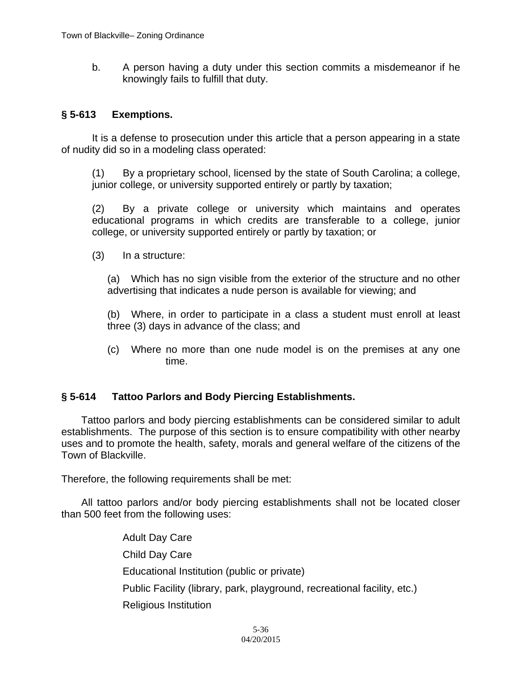b. A person having a duty under this section commits a misdemeanor if he knowingly fails to fulfill that duty.

### **§ 5-613 Exemptions.**

It is a defense to prosecution under this article that a person appearing in a state of nudity did so in a modeling class operated:

(1) By a proprietary school, licensed by the state of South Carolina; a college, junior college, or university supported entirely or partly by taxation;

(2) By a private college or university which maintains and operates educational programs in which credits are transferable to a college, junior college, or university supported entirely or partly by taxation; or

(3) In a structure:

 (a) Which has no sign visible from the exterior of the structure and no other advertising that indicates a nude person is available for viewing; and

 (b) Where, in order to participate in a class a student must enroll at least three (3) days in advance of the class; and

 (c) Where no more than one nude model is on the premises at any one time.

## **§ 5-614 Tattoo Parlors and Body Piercing Establishments.**

Tattoo parlors and body piercing establishments can be considered similar to adult establishments. The purpose of this section is to ensure compatibility with other nearby uses and to promote the health, safety, morals and general welfare of the citizens of the Town of Blackville.

Therefore, the following requirements shall be met:

 All tattoo parlors and/or body piercing establishments shall not be located closer than 500 feet from the following uses:

> Adult Day Care Child Day Care Educational Institution (public or private) Public Facility (library, park, playground, recreational facility, etc.) Religious Institution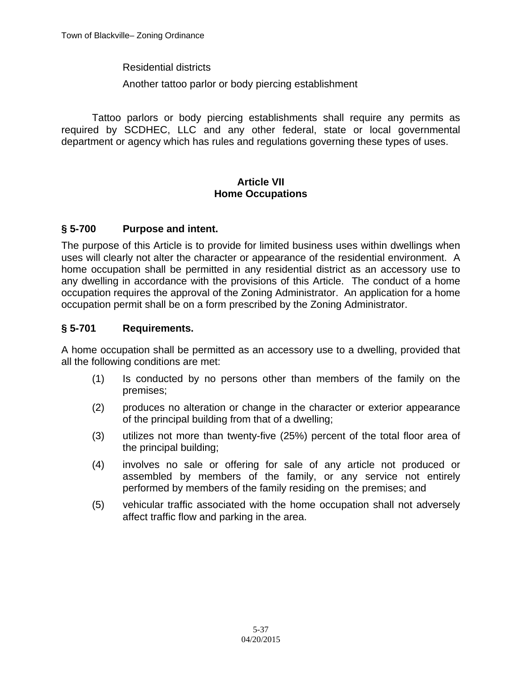Residential districts

Another tattoo parlor or body piercing establishment

 Tattoo parlors or body piercing establishments shall require any permits as required by SCDHEC, LLC and any other federal, state or local governmental department or agency which has rules and regulations governing these types of uses.

#### **Article VII Home Occupations**

## **§ 5-700 Purpose and intent.**

The purpose of this Article is to provide for limited business uses within dwellings when uses will clearly not alter the character or appearance of the residential environment. A home occupation shall be permitted in any residential district as an accessory use to any dwelling in accordance with the provisions of this Article. The conduct of a home occupation requires the approval of the Zoning Administrator. An application for a home occupation permit shall be on a form prescribed by the Zoning Administrator.

## **§ 5-701 Requirements.**

A home occupation shall be permitted as an accessory use to a dwelling, provided that all the following conditions are met:

- (1) Is conducted by no persons other than members of the family on the premises;
- (2) produces no alteration or change in the character or exterior appearance of the principal building from that of a dwelling;
- (3) utilizes not more than twenty-five (25%) percent of the total floor area of the principal building;
- (4) involves no sale or offering for sale of any article not produced or assembled by members of the family, or any service not entirely performed by members of the family residing on the premises; and
- (5) vehicular traffic associated with the home occupation shall not adversely affect traffic flow and parking in the area.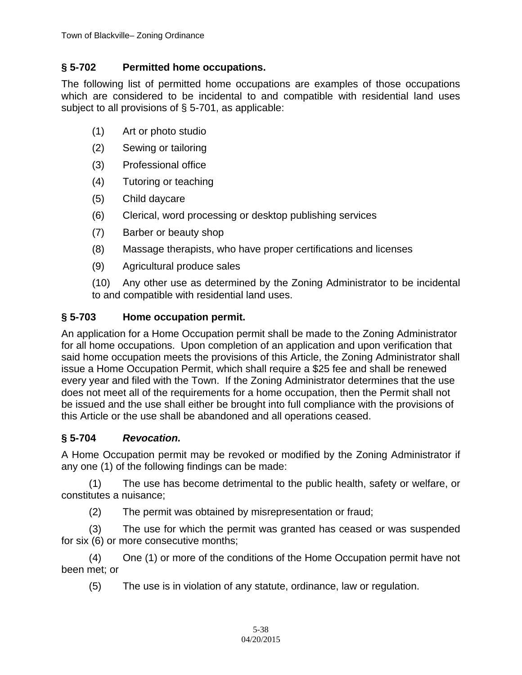# **§ 5-702 Permitted home occupations.**

The following list of permitted home occupations are examples of those occupations which are considered to be incidental to and compatible with residential land uses subject to all provisions of § 5-701, as applicable:

- (1) Art or photo studio
- (2) Sewing or tailoring
- (3) Professional office
- (4) Tutoring or teaching
- (5) Child daycare
- (6) Clerical, word processing or desktop publishing services
- (7) Barber or beauty shop
- (8) Massage therapists, who have proper certifications and licenses
- (9) Agricultural produce sales

 (10) Any other use as determined by the Zoning Administrator to be incidental to and compatible with residential land uses.

## **§ 5-703 Home occupation permit.**

An application for a Home Occupation permit shall be made to the Zoning Administrator for all home occupations. Upon completion of an application and upon verification that said home occupation meets the provisions of this Article, the Zoning Administrator shall issue a Home Occupation Permit, which shall require a \$25 fee and shall be renewed every year and filed with the Town. If the Zoning Administrator determines that the use does not meet all of the requirements for a home occupation, then the Permit shall not be issued and the use shall either be brought into full compliance with the provisions of this Article or the use shall be abandoned and all operations ceased.

# **§ 5-704** *Revocation.*

A Home Occupation permit may be revoked or modified by the Zoning Administrator if any one (1) of the following findings can be made:

 (1) The use has become detrimental to the public health, safety or welfare, or constitutes a nuisance;

(2) The permit was obtained by misrepresentation or fraud;

 (3) The use for which the permit was granted has ceased or was suspended for six (6) or more consecutive months;

 (4) One (1) or more of the conditions of the Home Occupation permit have not been met; or

(5) The use is in violation of any statute, ordinance, law or regulation.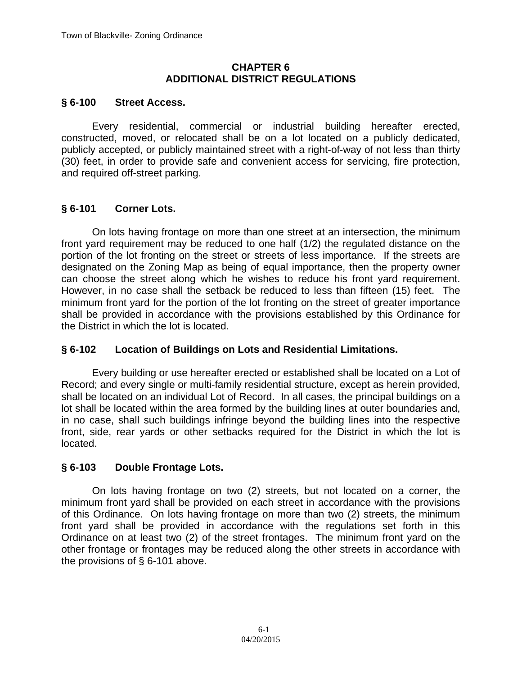#### **CHAPTER 6 ADDITIONAL DISTRICT REGULATIONS**

#### **§ 6-100 Street Access.**

 Every residential, commercial or industrial building hereafter erected, constructed, moved, or relocated shall be on a lot located on a publicly dedicated, publicly accepted, or publicly maintained street with a right-of-way of not less than thirty (30) feet, in order to provide safe and convenient access for servicing, fire protection, and required off-street parking.

## **§ 6-101 Corner Lots.**

 On lots having frontage on more than one street at an intersection, the minimum front yard requirement may be reduced to one half (1/2) the regulated distance on the portion of the lot fronting on the street or streets of less importance. If the streets are designated on the Zoning Map as being of equal importance, then the property owner can choose the street along which he wishes to reduce his front yard requirement. However, in no case shall the setback be reduced to less than fifteen (15) feet. The minimum front yard for the portion of the lot fronting on the street of greater importance shall be provided in accordance with the provisions established by this Ordinance for the District in which the lot is located.

#### **§ 6-102 Location of Buildings on Lots and Residential Limitations.**

 Every building or use hereafter erected or established shall be located on a Lot of Record; and every single or multi-family residential structure, except as herein provided, shall be located on an individual Lot of Record. In all cases, the principal buildings on a lot shall be located within the area formed by the building lines at outer boundaries and, in no case, shall such buildings infringe beyond the building lines into the respective front, side, rear yards or other setbacks required for the District in which the lot is located.

#### **§ 6-103 Double Frontage Lots.**

 On lots having frontage on two (2) streets, but not located on a corner, the minimum front yard shall be provided on each street in accordance with the provisions of this Ordinance. On lots having frontage on more than two (2) streets, the minimum front yard shall be provided in accordance with the regulations set forth in this Ordinance on at least two (2) of the street frontages. The minimum front yard on the other frontage or frontages may be reduced along the other streets in accordance with the provisions of § 6-101 above.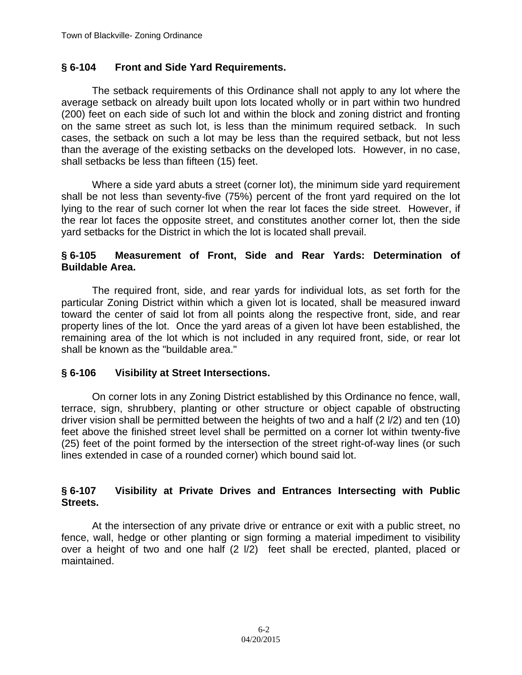#### **§ 6-104 Front and Side Yard Requirements.**

 The setback requirements of this Ordinance shall not apply to any lot where the average setback on already built upon lots located wholly or in part within two hundred (200) feet on each side of such lot and within the block and zoning district and fronting on the same street as such lot, is less than the minimum required setback. In such cases, the setback on such a lot may be less than the required setback, but not less than the average of the existing setbacks on the developed lots. However, in no case, shall setbacks be less than fifteen (15) feet.

 Where a side yard abuts a street (corner lot), the minimum side yard requirement shall be not less than seventy-five (75%) percent of the front yard required on the lot lying to the rear of such corner lot when the rear lot faces the side street. However, if the rear lot faces the opposite street, and constitutes another corner lot, then the side yard setbacks for the District in which the lot is located shall prevail.

#### **§ 6-105 Measurement of Front, Side and Rear Yards: Determination of Buildable Area.**

 The required front, side, and rear yards for individual lots, as set forth for the particular Zoning District within which a given lot is located, shall be measured inward toward the center of said lot from all points along the respective front, side, and rear property lines of the lot. Once the yard areas of a given lot have been established, the remaining area of the lot which is not included in any required front, side, or rear lot shall be known as the "buildable area."

#### **§ 6-106 Visibility at Street Intersections.**

 On corner lots in any Zoning District established by this Ordinance no fence, wall, terrace, sign, shrubbery, planting or other structure or object capable of obstructing driver vision shall be permitted between the heights of two and a half (2 l/2) and ten (10) feet above the finished street level shall be permitted on a corner lot within twenty-five (25) feet of the point formed by the intersection of the street right-of-way lines (or such lines extended in case of a rounded corner) which bound said lot.

#### **§ 6-107 Visibility at Private Drives and Entrances Intersecting with Public Streets.**

 At the intersection of any private drive or entrance or exit with a public street, no fence, wall, hedge or other planting or sign forming a material impediment to visibility over a height of two and one half (2 l/2) feet shall be erected, planted, placed or maintained.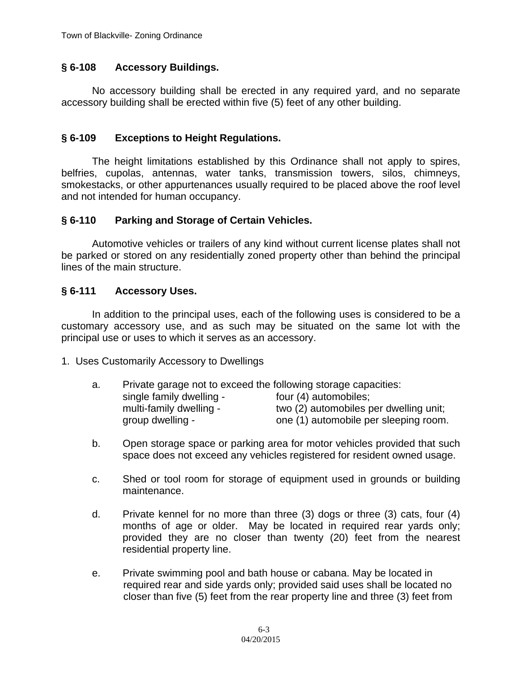#### **§ 6-108 Accessory Buildings.**

 No accessory building shall be erected in any required yard, and no separate accessory building shall be erected within five (5) feet of any other building.

#### **§ 6-109 Exceptions to Height Regulations.**

 The height limitations established by this Ordinance shall not apply to spires, belfries, cupolas, antennas, water tanks, transmission towers, silos, chimneys, smokestacks, or other appurtenances usually required to be placed above the roof level and not intended for human occupancy.

#### **§ 6-110 Parking and Storage of Certain Vehicles.**

 Automotive vehicles or trailers of any kind without current license plates shall not be parked or stored on any residentially zoned property other than behind the principal lines of the main structure.

#### **§ 6-111 Accessory Uses.**

In addition to the principal uses, each of the following uses is considered to be a customary accessory use, and as such may be situated on the same lot with the principal use or uses to which it serves as an accessory.

1. Uses Customarily Accessory to Dwellings

| а. | Private garage not to exceed the following storage capacities: |                                        |
|----|----------------------------------------------------------------|----------------------------------------|
|    | single family dwelling -                                       | four (4) automobiles;                  |
|    | multi-family dwelling -                                        | two (2) automobiles per dwelling unit; |
|    | group dwelling -                                               | one (1) automobile per sleeping room.  |

- b. Open storage space or parking area for motor vehicles provided that such space does not exceed any vehicles registered for resident owned usage.
- c. Shed or tool room for storage of equipment used in grounds or building maintenance.
- d. Private kennel for no more than three (3) dogs or three (3) cats, four (4) months of age or older. May be located in required rear yards only; provided they are no closer than twenty (20) feet from the nearest residential property line.
- e. Private swimming pool and bath house or cabana. May be located in required rear and side yards only; provided said uses shall be located no closer than five (5) feet from the rear property line and three (3) feet from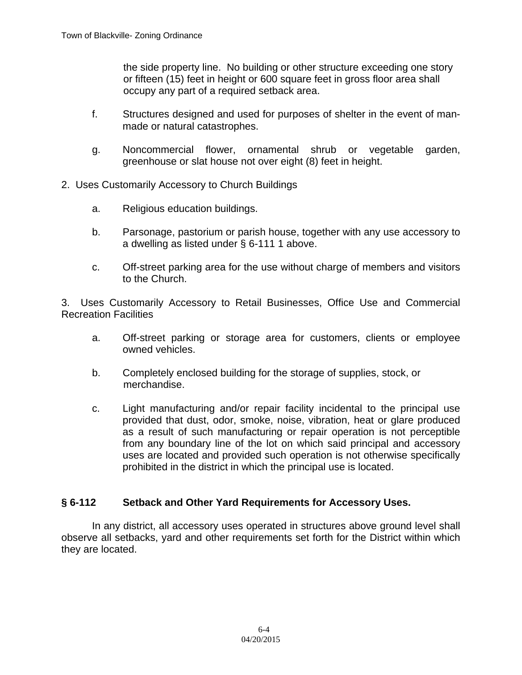the side property line. No building or other structure exceeding one story or fifteen (15) feet in height or 600 square feet in gross floor area shall occupy any part of a required setback area.

- f. Structures designed and used for purposes of shelter in the event of manmade or natural catastrophes.
- g. Noncommercial flower, ornamental shrub or vegetable garden, greenhouse or slat house not over eight (8) feet in height.
- 2. Uses Customarily Accessory to Church Buildings
	- a. Religious education buildings.
	- b. Parsonage, pastorium or parish house, together with any use accessory to a dwelling as listed under § 6-111 1 above.
	- c. Off-street parking area for the use without charge of members and visitors to the Church.

3. Uses Customarily Accessory to Retail Businesses, Office Use and Commercial Recreation Facilities

- a. Off-street parking or storage area for customers, clients or employee owned vehicles.
- b. Completely enclosed building for the storage of supplies, stock, or merchandise.
- c. Light manufacturing and/or repair facility incidental to the principal use provided that dust, odor, smoke, noise, vibration, heat or glare produced as a result of such manufacturing or repair operation is not perceptible from any boundary line of the lot on which said principal and accessory uses are located and provided such operation is not otherwise specifically prohibited in the district in which the principal use is located.

#### **§ 6-112 Setback and Other Yard Requirements for Accessory Uses.**

 In any district, all accessory uses operated in structures above ground level shall observe all setbacks, yard and other requirements set forth for the District within which they are located.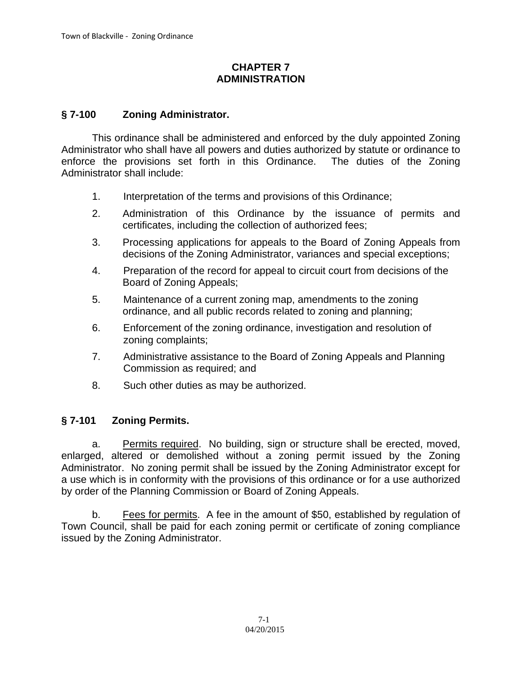#### **CHAPTER 7 ADMINISTRATION**

## **§ 7-100 Zoning Administrator.**

 This ordinance shall be administered and enforced by the duly appointed Zoning Administrator who shall have all powers and duties authorized by statute or ordinance to enforce the provisions set forth in this Ordinance. The duties of the Zoning Administrator shall include:

- 1. Interpretation of the terms and provisions of this Ordinance;
- 2. Administration of this Ordinance by the issuance of permits and certificates, including the collection of authorized fees;
- 3. Processing applications for appeals to the Board of Zoning Appeals from decisions of the Zoning Administrator, variances and special exceptions;
- 4. Preparation of the record for appeal to circuit court from decisions of the Board of Zoning Appeals;
- 5. Maintenance of a current zoning map, amendments to the zoning ordinance, and all public records related to zoning and planning;
- 6. Enforcement of the zoning ordinance, investigation and resolution of zoning complaints;
- 7. Administrative assistance to the Board of Zoning Appeals and Planning Commission as required; and
- 8. Such other duties as may be authorized.

## **§ 7-101 Zoning Permits.**

a. Permits required. No building, sign or structure shall be erected, moved, enlarged, altered or demolished without a zoning permit issued by the Zoning Administrator. No zoning permit shall be issued by the Zoning Administrator except for a use which is in conformity with the provisions of this ordinance or for a use authorized by order of the Planning Commission or Board of Zoning Appeals.

b. Fees for permits. A fee in the amount of \$50, established by regulation of Town Council, shall be paid for each zoning permit or certificate of zoning compliance issued by the Zoning Administrator.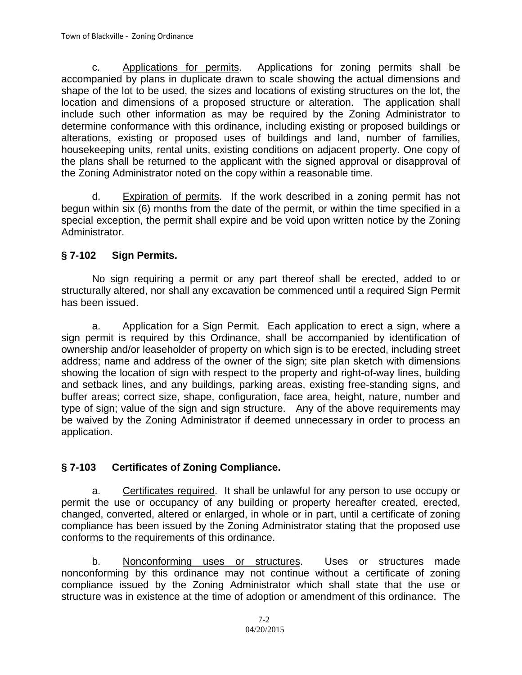c. Applications for permits. Applications for zoning permits shall be accompanied by plans in duplicate drawn to scale showing the actual dimensions and shape of the lot to be used, the sizes and locations of existing structures on the lot, the location and dimensions of a proposed structure or alteration. The application shall include such other information as may be required by the Zoning Administrator to determine conformance with this ordinance, including existing or proposed buildings or alterations, existing or proposed uses of buildings and land, number of families, housekeeping units, rental units, existing conditions on adjacent property. One copy of the plans shall be returned to the applicant with the signed approval or disapproval of the Zoning Administrator noted on the copy within a reasonable time.

d. Expiration of permits. If the work described in a zoning permit has not begun within six (6) months from the date of the permit, or within the time specified in a special exception, the permit shall expire and be void upon written notice by the Zoning Administrator.

# **§ 7-102 Sign Permits.**

 No sign requiring a permit or any part thereof shall be erected, added to or structurally altered, nor shall any excavation be commenced until a required Sign Permit has been issued.

a. Application for a Sign Permit. Each application to erect a sign, where a sign permit is required by this Ordinance, shall be accompanied by identification of ownership and/or leaseholder of property on which sign is to be erected, including street address; name and address of the owner of the sign; site plan sketch with dimensions showing the location of sign with respect to the property and right-of-way lines, building and setback lines, and any buildings, parking areas, existing free-standing signs, and buffer areas; correct size, shape, configuration, face area, height, nature, number and type of sign; value of the sign and sign structure. Any of the above requirements may be waived by the Zoning Administrator if deemed unnecessary in order to process an application.

# **§ 7-103 Certificates of Zoning Compliance.**

a. Certificates required. It shall be unlawful for any person to use occupy or permit the use or occupancy of any building or property hereafter created, erected, changed, converted, altered or enlarged, in whole or in part, until a certificate of zoning compliance has been issued by the Zoning Administrator stating that the proposed use conforms to the requirements of this ordinance.

b. Nonconforming uses or structures. Uses or structures made nonconforming by this ordinance may not continue without a certificate of zoning compliance issued by the Zoning Administrator which shall state that the use or structure was in existence at the time of adoption or amendment of this ordinance. The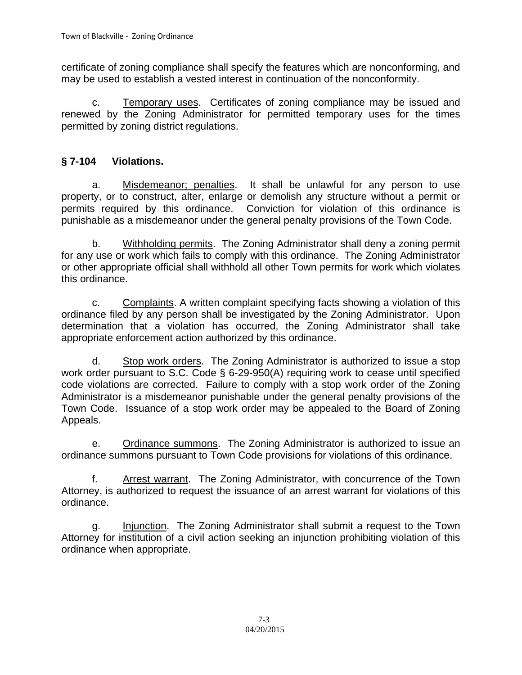certificate of zoning compliance shall specify the features which are nonconforming, and may be used to establish a vested interest in continuation of the nonconformity.

c. Temporary uses. Certificates of zoning compliance may be issued and renewed by the Zoning Administrator for permitted temporary uses for the times permitted by zoning district regulations.

## **§ 7-104 Violations.**

a. Misdemeanor; penalties. It shall be unlawful for any person to use property, or to construct, alter, enlarge or demolish any structure without a permit or permits required by this ordinance. Conviction for violation of this ordinance is punishable as a misdemeanor under the general penalty provisions of the Town Code.

b. Withholding permits. The Zoning Administrator shall deny a zoning permit for any use or work which fails to comply with this ordinance. The Zoning Administrator or other appropriate official shall withhold all other Town permits for work which violates this ordinance.

c. Complaints. A written complaint specifying facts showing a violation of this ordinance filed by any person shall be investigated by the Zoning Administrator. Upon determination that a violation has occurred, the Zoning Administrator shall take appropriate enforcement action authorized by this ordinance.

d. Stop work orders. The Zoning Administrator is authorized to issue a stop work order pursuant to S.C. Code § 6-29-950(A) requiring work to cease until specified code violations are corrected. Failure to comply with a stop work order of the Zoning Administrator is a misdemeanor punishable under the general penalty provisions of the Town Code. Issuance of a stop work order may be appealed to the Board of Zoning Appeals.

e. Ordinance summons. The Zoning Administrator is authorized to issue an ordinance summons pursuant to Town Code provisions for violations of this ordinance.

f. Arrest warrant. The Zoning Administrator, with concurrence of the Town Attorney, is authorized to request the issuance of an arrest warrant for violations of this ordinance.

g. Injunction. The Zoning Administrator shall submit a request to the Town Attorney for institution of a civil action seeking an injunction prohibiting violation of this ordinance when appropriate.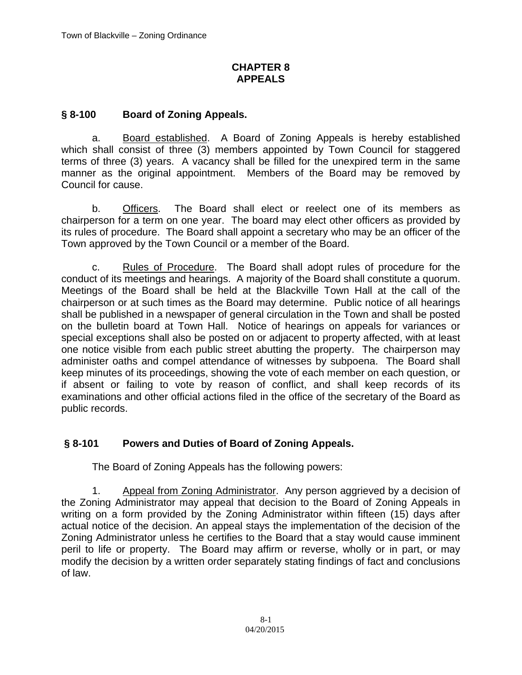### **CHAPTER 8 APPEALS**

# **§ 8-100 Board of Zoning Appeals.**

a. Board established. A Board of Zoning Appeals is hereby established which shall consist of three (3) members appointed by Town Council for staggered terms of three (3) years. A vacancy shall be filled for the unexpired term in the same manner as the original appointment. Members of the Board may be removed by Council for cause.

b. Officers. The Board shall elect or reelect one of its members as chairperson for a term on one year. The board may elect other officers as provided by its rules of procedure. The Board shall appoint a secretary who may be an officer of the Town approved by the Town Council or a member of the Board.

c. Rules of Procedure. The Board shall adopt rules of procedure for the conduct of its meetings and hearings. A majority of the Board shall constitute a quorum. Meetings of the Board shall be held at the Blackville Town Hall at the call of the chairperson or at such times as the Board may determine. Public notice of all hearings shall be published in a newspaper of general circulation in the Town and shall be posted on the bulletin board at Town Hall. Notice of hearings on appeals for variances or special exceptions shall also be posted on or adjacent to property affected, with at least one notice visible from each public street abutting the property. The chairperson may administer oaths and compel attendance of witnesses by subpoena. The Board shall keep minutes of its proceedings, showing the vote of each member on each question, or if absent or failing to vote by reason of conflict, and shall keep records of its examinations and other official actions filed in the office of the secretary of the Board as public records.

## **§ 8-101 Powers and Duties of Board of Zoning Appeals.**

The Board of Zoning Appeals has the following powers:

1. Appeal from Zoning Administrator. Any person aggrieved by a decision of the Zoning Administrator may appeal that decision to the Board of Zoning Appeals in writing on a form provided by the Zoning Administrator within fifteen (15) days after actual notice of the decision. An appeal stays the implementation of the decision of the Zoning Administrator unless he certifies to the Board that a stay would cause imminent peril to life or property. The Board may affirm or reverse, wholly or in part, or may modify the decision by a written order separately stating findings of fact and conclusions of law.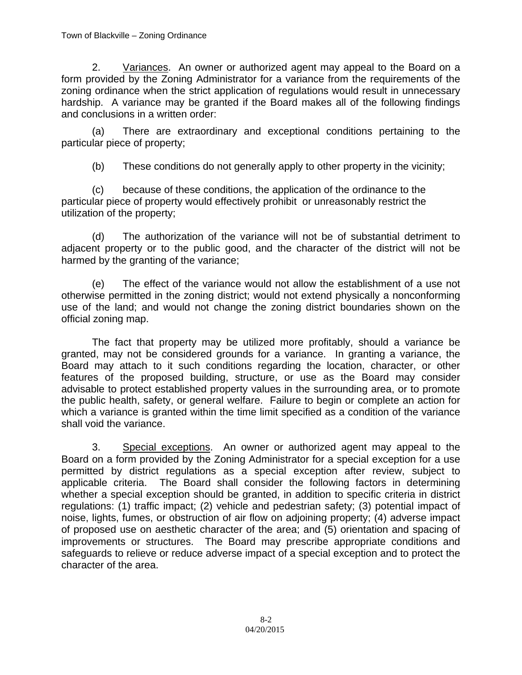2. Variances. An owner or authorized agent may appeal to the Board on a form provided by the Zoning Administrator for a variance from the requirements of the zoning ordinance when the strict application of regulations would result in unnecessary hardship. A variance may be granted if the Board makes all of the following findings and conclusions in a written order:

(a) There are extraordinary and exceptional conditions pertaining to the particular piece of property;

(b) These conditions do not generally apply to other property in the vicinity;

(c) because of these conditions, the application of the ordinance to the particular piece of property would effectively prohibit or unreasonably restrict the utilization of the property;

(d) The authorization of the variance will not be of substantial detriment to adjacent property or to the public good, and the character of the district will not be harmed by the granting of the variance;

(e) The effect of the variance would not allow the establishment of a use not otherwise permitted in the zoning district; would not extend physically a nonconforming use of the land; and would not change the zoning district boundaries shown on the official zoning map.

The fact that property may be utilized more profitably, should a variance be granted, may not be considered grounds for a variance. In granting a variance, the Board may attach to it such conditions regarding the location, character, or other features of the proposed building, structure, or use as the Board may consider advisable to protect established property values in the surrounding area, or to promote the public health, safety, or general welfare. Failure to begin or complete an action for which a variance is granted within the time limit specified as a condition of the variance shall void the variance.

3. Special exceptions. An owner or authorized agent may appeal to the Board on a form provided by the Zoning Administrator for a special exception for a use permitted by district regulations as a special exception after review, subject to applicable criteria. The Board shall consider the following factors in determining whether a special exception should be granted, in addition to specific criteria in district regulations: (1) traffic impact; (2) vehicle and pedestrian safety; (3) potential impact of noise, lights, fumes, or obstruction of air flow on adjoining property; (4) adverse impact of proposed use on aesthetic character of the area; and (5) orientation and spacing of improvements or structures. The Board may prescribe appropriate conditions and safeguards to relieve or reduce adverse impact of a special exception and to protect the character of the area.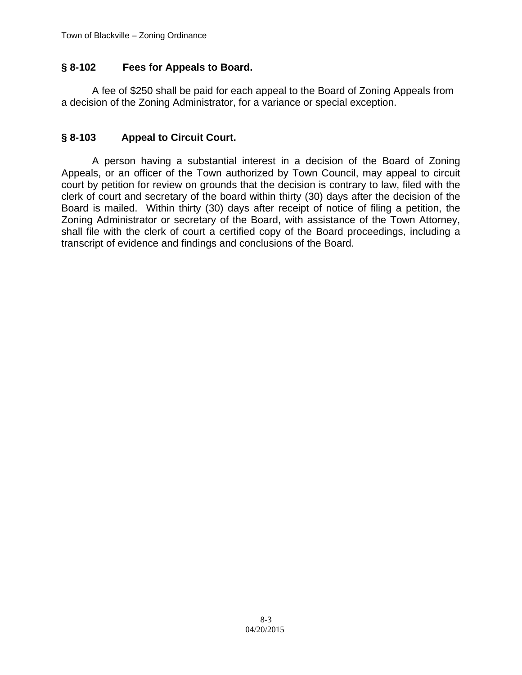## **§ 8-102 Fees for Appeals to Board.**

A fee of \$250 shall be paid for each appeal to the Board of Zoning Appeals from a decision of the Zoning Administrator, for a variance or special exception.

## **§ 8-103 Appeal to Circuit Court.**

A person having a substantial interest in a decision of the Board of Zoning Appeals, or an officer of the Town authorized by Town Council, may appeal to circuit court by petition for review on grounds that the decision is contrary to law, filed with the clerk of court and secretary of the board within thirty (30) days after the decision of the Board is mailed. Within thirty (30) days after receipt of notice of filing a petition, the Zoning Administrator or secretary of the Board, with assistance of the Town Attorney, shall file with the clerk of court a certified copy of the Board proceedings, including a transcript of evidence and findings and conclusions of the Board.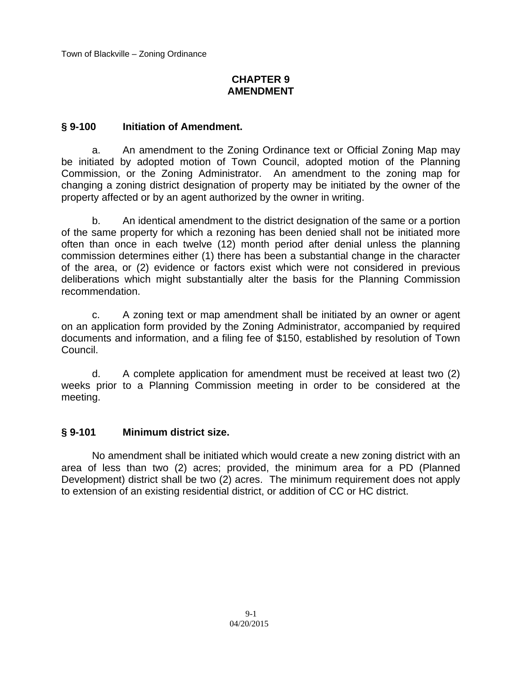## **CHAPTER 9 AMENDMENT**

# **§ 9-100 Initiation of Amendment.**

 a. An amendment to the Zoning Ordinance text or Official Zoning Map may be initiated by adopted motion of Town Council, adopted motion of the Planning Commission, or the Zoning Administrator. An amendment to the zoning map for changing a zoning district designation of property may be initiated by the owner of the property affected or by an agent authorized by the owner in writing.

 b. An identical amendment to the district designation of the same or a portion of the same property for which a rezoning has been denied shall not be initiated more often than once in each twelve (12) month period after denial unless the planning commission determines either (1) there has been a substantial change in the character of the area, or (2) evidence or factors exist which were not considered in previous deliberations which might substantially alter the basis for the Planning Commission recommendation.

 c. A zoning text or map amendment shall be initiated by an owner or agent on an application form provided by the Zoning Administrator, accompanied by required documents and information, and a filing fee of \$150, established by resolution of Town Council.

 d. A complete application for amendment must be received at least two (2) weeks prior to a Planning Commission meeting in order to be considered at the meeting.

## **§ 9-101 Minimum district size.**

 No amendment shall be initiated which would create a new zoning district with an area of less than two (2) acres; provided, the minimum area for a PD (Planned Development) district shall be two (2) acres. The minimum requirement does not apply to extension of an existing residential district, or addition of CC or HC district.